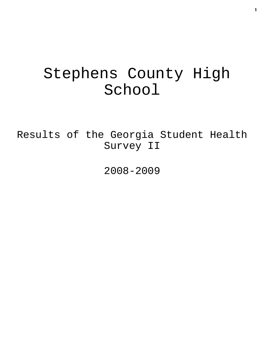# Stephens County High School

Results of the Georgia Student Health Survey II

2008-2009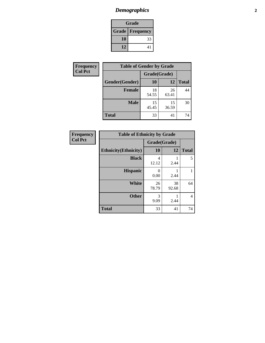# *Demographics* **2**

| <b>Grade</b>             |    |  |  |  |
|--------------------------|----|--|--|--|
| <b>Grade   Frequency</b> |    |  |  |  |
| 10                       | 33 |  |  |  |
| 12                       | 41 |  |  |  |

| <b>Frequency</b> | <b>Table of Gender by Grade</b> |              |             |              |  |
|------------------|---------------------------------|--------------|-------------|--------------|--|
| <b>Col Pct</b>   |                                 | Grade(Grade) |             |              |  |
|                  | Gender(Gender)                  | <b>10</b>    | 12          | <b>Total</b> |  |
|                  | Female                          | 18<br>54.55  | 26<br>63.41 | 44           |  |
|                  | <b>Male</b>                     | 15<br>45.45  | 15<br>36.59 | 30           |  |
|                  | <b>Total</b>                    | 33           | 41          | 74           |  |

| <b>Frequency</b> |
|------------------|
| <b>Col Pct</b>   |

| <b>Table of Ethnicity by Grade</b> |              |             |              |  |  |  |
|------------------------------------|--------------|-------------|--------------|--|--|--|
|                                    | Grade(Grade) |             |              |  |  |  |
| <b>Ethnicity</b> (Ethnicity)       | 10           | 12          | <b>Total</b> |  |  |  |
| <b>Black</b>                       | 4<br>12.12   | 2.44        | 5            |  |  |  |
| <b>Hispanic</b>                    | 0<br>0.00    | 2.44        |              |  |  |  |
| White                              | 26<br>78.79  | 38<br>92.68 | 64           |  |  |  |
| <b>Other</b>                       | 3<br>9.09    | 2.44        | 4            |  |  |  |
| <b>Total</b>                       | 33           | 41          | 74           |  |  |  |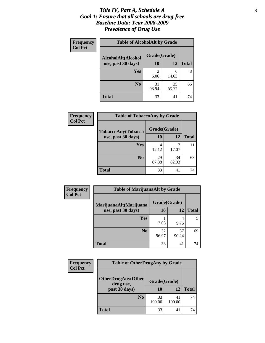### *Title IV, Part A, Schedule A* **3** *Goal 1: Ensure that all schools are drug-free Baseline Data: Year 2008-2009 Prevalence of Drug Use*

| Frequency      | <b>Table of AlcoholAlt by Grade</b> |              |             |              |  |  |
|----------------|-------------------------------------|--------------|-------------|--------------|--|--|
| <b>Col Pct</b> | AlcoholAlt(Alcohol                  | Grade(Grade) |             |              |  |  |
|                | use, past 30 days)                  | 10           | 12          | <b>Total</b> |  |  |
|                | Yes                                 | 2<br>6.06    | 6<br>14.63  | 8            |  |  |
|                | N <sub>0</sub>                      | 31<br>93.94  | 35<br>85.37 | 66           |  |  |
|                | <b>Total</b>                        | 33           | 41          | 74           |  |  |

| Frequency<br><b>Col Pct</b> | <b>Table of TobaccoAny by Grade</b> |              |             |              |  |  |
|-----------------------------|-------------------------------------|--------------|-------------|--------------|--|--|
|                             | TobaccoAny(Tobacco                  | Grade(Grade) |             |              |  |  |
|                             | use, past 30 days)                  | 10           | 12          | <b>Total</b> |  |  |
|                             | Yes                                 | 4<br>12.12   | 7<br>17.07  | 11           |  |  |
|                             | N <sub>0</sub>                      | 29<br>87.88  | 34<br>82.93 | 63           |  |  |
|                             | <b>Total</b>                        | 33           | 41          | 74           |  |  |

| Frequency<br><b>Col Pct</b> | <b>Table of MarijuanaAlt by Grade</b> |              |             |              |  |
|-----------------------------|---------------------------------------|--------------|-------------|--------------|--|
|                             | MarijuanaAlt(Marijuana                | Grade(Grade) |             |              |  |
|                             | use, past 30 days)                    | 10           | 12          | <b>Total</b> |  |
|                             | Yes                                   | 3.03         | 4<br>9.76   | 5            |  |
|                             | N <sub>0</sub>                        | 32<br>96.97  | 37<br>90.24 | 69           |  |
|                             | <b>Total</b>                          | 33           | 41          | 74           |  |

| <b>Frequency</b><br><b>Col Pct</b> | <b>Table of OtherDrugAny by Grade</b>  |              |              |              |  |
|------------------------------------|----------------------------------------|--------------|--------------|--------------|--|
|                                    | <b>OtherDrugAny(Other</b><br>drug use, | Grade(Grade) |              |              |  |
| past 30 days)                      |                                        | 10           | 12           | <b>Total</b> |  |
|                                    | N <sub>0</sub>                         | 33<br>100.00 | 41<br>100.00 | 74           |  |
|                                    | <b>Total</b>                           | 33           | 41           | 74           |  |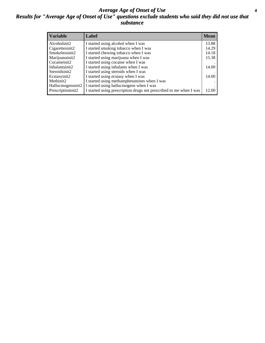### *Average Age of Onset of Use* **4** *Results for "Average Age of Onset of Use" questions exclude students who said they did not use that substance*

| <b>Variable</b>    | Label                                                              | <b>Mean</b> |
|--------------------|--------------------------------------------------------------------|-------------|
| Alcoholinit2       | I started using alcohol when I was                                 | 13.88       |
| Cigarettesinit2    | I started smoking tobacco when I was                               | 14.29       |
| Smokelessinit2     | I started chewing tobacco when I was                               | 14.18       |
| Marijuanainit2     | I started using marijuana when I was                               | 15.38       |
| Cocaineinit2       | I started using cocaine when I was                                 |             |
| Inhalantsinit2     | I started using inhalants when I was                               | 14.00       |
| Steroidsinit2      | I started using steroids when I was                                |             |
| Ecstasyinit2       | I started using ecstasy when I was                                 | 14.00       |
| Methinit2          | I started using methamphetamines when I was                        |             |
| Hallucinogensinit2 | I started using hallucinogens when I was                           |             |
| Prescriptioninit2  | I started using prescription drugs not prescribed to me when I was | 12.00       |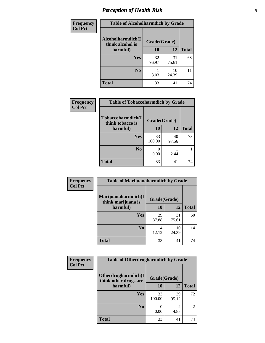# *Perception of Health Risk* **5**

| Frequency      | <b>Table of Alcoholharmdich by Grade</b> |              |             |              |  |
|----------------|------------------------------------------|--------------|-------------|--------------|--|
| <b>Col Pct</b> | Alcoholharmdich(I<br>think alcohol is    | Grade(Grade) |             |              |  |
|                | harmful)                                 | 10           | 12          | <b>Total</b> |  |
|                | <b>Yes</b>                               | 32<br>96.97  | 31<br>75.61 | 63           |  |
|                | N <sub>0</sub>                           | 3.03         | 10<br>24.39 | 11           |  |
|                | <b>Total</b>                             | 33           | 41          | 74           |  |

| Frequency      | <b>Table of Tobaccoharmdich by Grade</b> |              |             |              |
|----------------|------------------------------------------|--------------|-------------|--------------|
| <b>Col Pct</b> | Tobaccoharmdich(I<br>think tobacco is    | Grade(Grade) |             |              |
|                | harmful)                                 | 10           | 12          | <b>Total</b> |
|                | <b>Yes</b>                               | 33<br>100.00 | 40<br>97.56 | 73           |
|                | N <sub>0</sub>                           | 0.00         | 2.44        |              |
|                | <b>Total</b>                             | 33           | 41          | 74           |

| <b>Frequency</b> | <b>Table of Marijuanaharmdich by Grade</b> |              |             |              |  |
|------------------|--------------------------------------------|--------------|-------------|--------------|--|
| <b>Col Pct</b>   | Marijuanaharmdich(I<br>think marijuana is  | Grade(Grade) |             |              |  |
|                  | harmful)                                   | 10           | 12          | <b>Total</b> |  |
|                  | <b>Yes</b>                                 | 29<br>87.88  | 31<br>75.61 | 60           |  |
|                  | N <sub>0</sub>                             | 12.12        | 10<br>24.39 | 14           |  |
|                  | <b>Total</b>                               | 33           | 41          | 74           |  |

| <b>Frequency</b> | <b>Table of Otherdrugharmdich by Grade</b>   |              |             |                |  |
|------------------|----------------------------------------------|--------------|-------------|----------------|--|
| <b>Col Pct</b>   | Otherdrugharmdich(I<br>think other drugs are | Grade(Grade) |             |                |  |
|                  | harmful)                                     | 10           | 12          | <b>Total</b>   |  |
|                  | <b>Yes</b>                                   | 33<br>100.00 | 39<br>95.12 | 72             |  |
|                  | N <sub>0</sub>                               | 0.00         | 2<br>4.88   | $\overline{2}$ |  |
|                  | <b>Total</b>                                 | 33           | 41          | 74             |  |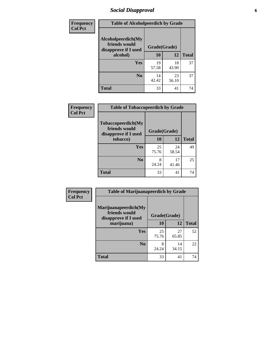# *Social Disapproval* **6**

| Frequency      | <b>Table of Alcoholpeerdich by Grade</b>                    |              |             |              |  |  |
|----------------|-------------------------------------------------------------|--------------|-------------|--------------|--|--|
| <b>Col Pct</b> | Alcoholpeerdich(My<br>friends would<br>disapprove if I used | Grade(Grade) |             |              |  |  |
|                | alcohol)                                                    | 10           | 12          | <b>Total</b> |  |  |
|                | <b>Yes</b>                                                  | 19<br>57.58  | 18<br>43.90 | 37           |  |  |
|                | N <sub>0</sub>                                              | 14<br>42.42  | 23<br>56.10 | 37           |  |  |
|                | <b>Total</b>                                                | 33           | 41          | 74           |  |  |

| <b>Frequency</b> |
|------------------|
| <b>Col Pct</b>   |

| <b>Table of Tobaccopeerdich by Grade</b>                    |              |             |              |  |  |  |
|-------------------------------------------------------------|--------------|-------------|--------------|--|--|--|
| Tobaccopeerdich(My<br>friends would<br>disapprove if I used | Grade(Grade) |             |              |  |  |  |
| tobacco)                                                    | 10           | 12          | <b>Total</b> |  |  |  |
| Yes                                                         | 25<br>75.76  | 24<br>58.54 | 49           |  |  |  |
| N <sub>0</sub>                                              | 8<br>24.24   | 17<br>41.46 | 25           |  |  |  |
| <b>Total</b>                                                | 33           | 41          | 74           |  |  |  |

| <b>Frequency</b> | <b>Table of Marijuanapeerdich by Grade</b>                    |              |             |              |  |
|------------------|---------------------------------------------------------------|--------------|-------------|--------------|--|
| <b>Col Pct</b>   | Marijuanapeerdich(My<br>friends would<br>disapprove if I used | Grade(Grade) |             |              |  |
|                  | marijuana)                                                    | 10           | 12          | <b>Total</b> |  |
|                  | <b>Yes</b>                                                    | 25<br>75.76  | 27<br>65.85 | 52           |  |
|                  | N <sub>0</sub>                                                | 8<br>24.24   | 14<br>34.15 | 22           |  |
|                  | <b>Total</b>                                                  | 33           | 41          | 74           |  |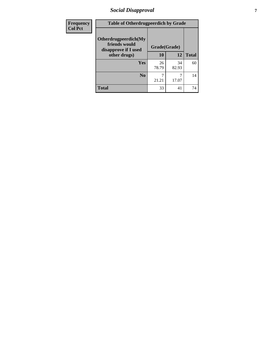# *Social Disapproval* **7**

| Frequency      | <b>Table of Otherdrugpeerdich by Grade</b>                    |              |             |              |  |
|----------------|---------------------------------------------------------------|--------------|-------------|--------------|--|
| <b>Col Pct</b> | Otherdrugpeerdich(My<br>friends would<br>disapprove if I used | Grade(Grade) |             |              |  |
|                | other drugs)                                                  | 10           | 12          | <b>Total</b> |  |
|                | Yes                                                           | 26<br>78.79  | 34<br>82.93 | 60           |  |
|                | N <sub>0</sub>                                                | 21.21        | 17.07       | 14           |  |
|                | <b>Total</b>                                                  | 33           | 41          | 74           |  |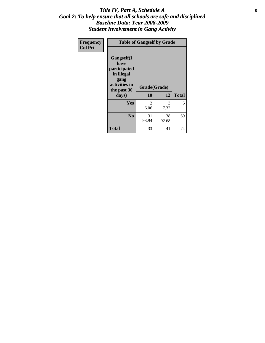### Title IV, Part A, Schedule A **8** *Goal 2: To help ensure that all schools are safe and disciplined Baseline Data: Year 2008-2009 Student Involvement in Gang Activity*

| Frequency      | <b>Table of Gangself by Grade</b>                                                                 |                    |             |              |  |
|----------------|---------------------------------------------------------------------------------------------------|--------------------|-------------|--------------|--|
| <b>Col Pct</b> | Gangself(I<br>have<br>participated<br>in illegal<br>gang<br>activities in<br>the past 30<br>days) | Grade(Grade)<br>10 | 12          | <b>Total</b> |  |
|                | Yes                                                                                               | 2<br>6.06          | 3<br>7.32   | 5            |  |
|                | N <sub>0</sub>                                                                                    | 31<br>93.94        | 38<br>92.68 | 69           |  |
|                | <b>Total</b>                                                                                      | 33                 | 41          | 74           |  |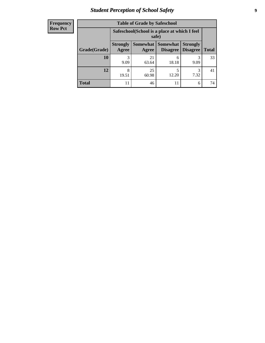# *Student Perception of School Safety* **9**

| <b>Frequency</b><br>Row Pct |
|-----------------------------|
|                             |

| <b>Table of Grade by Safeschool</b> |                                                                                                                                   |                                                        |            |      |    |  |
|-------------------------------------|-----------------------------------------------------------------------------------------------------------------------------------|--------------------------------------------------------|------------|------|----|--|
|                                     |                                                                                                                                   | Safeschool (School is a place at which I feel<br>safe) |            |      |    |  |
| Grade(Grade)                        | <b>Somewhat   Somewhat</b><br><b>Strongly</b><br><b>Strongly</b><br><b>Disagree</b><br>Agree<br>Disagree<br><b>Total</b><br>Agree |                                                        |            |      |    |  |
| <b>10</b>                           | 3<br>9.09                                                                                                                         | 21<br>63.64                                            | 6<br>18.18 | 9.09 | 33 |  |
| 12                                  | 8<br>19.51                                                                                                                        | 25<br>60.98                                            | 5<br>12.20 | 7.32 | 41 |  |
| <b>Total</b>                        |                                                                                                                                   | 46                                                     | 11         | 6    | 74 |  |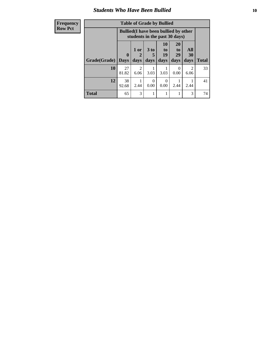### *Students Who Have Been Bullied* **10**

| <b>Frequency</b> | <b>Table of Grade by Bullied</b> |                                                                               |                        |                  |                  |                       |                        |              |
|------------------|----------------------------------|-------------------------------------------------------------------------------|------------------------|------------------|------------------|-----------------------|------------------------|--------------|
| <b>Row Pct</b>   |                                  | <b>Bullied</b> (I have been bullied by other<br>students in the past 30 days) |                        |                  |                  |                       |                        |              |
|                  |                                  | $\mathbf{0}$                                                                  | $1$ or<br>2            | $3$ to<br>5      | 10<br>to  <br>19 | <b>20</b><br>to<br>29 | All<br>30              |              |
|                  | Grade(Grade)   Days              |                                                                               | days                   | days             | days             | days                  | days                   | <b>Total</b> |
|                  | 10                               | 27<br>81.82                                                                   | $\mathfrak{D}$<br>6.06 | 3.03             | 3.03             | $\Omega$<br>0.00      | $\overline{2}$<br>6.06 | 33           |
|                  | 12                               | 38<br>92.68                                                                   | 2.44                   | $\Omega$<br>0.00 | $\Omega$<br>0.00 | 2.44                  | 2.44                   | 41           |
|                  | <b>Total</b>                     | 65                                                                            | 3                      |                  |                  |                       | 3                      | 74           |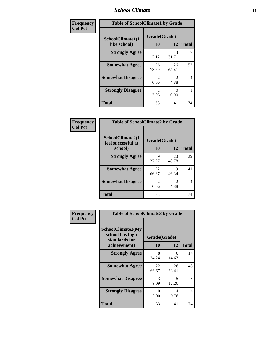### *School Climate* **11**

| Frequency      | <b>Table of SchoolClimate1 by Grade</b> |                          |                        |              |  |  |
|----------------|-----------------------------------------|--------------------------|------------------------|--------------|--|--|
| <b>Col Pct</b> | SchoolClimate1(I<br>like school)        | Grade(Grade)<br>10<br>12 |                        | <b>Total</b> |  |  |
|                | <b>Strongly Agree</b>                   | 4<br>12.12               | 13<br>31.71            | 17           |  |  |
|                | <b>Somewhat Agree</b>                   | 26<br>78.79              | 26<br>63.41            | 52           |  |  |
|                | <b>Somewhat Disagree</b>                | 2<br>6.06                | $\mathfrak{D}$<br>4.88 | 4            |  |  |
|                | <b>Strongly Disagree</b>                | 3.03                     | $\mathbf{0}$<br>0.00   | 1            |  |  |
|                | Total                                   | 33                       | 41                     | 74           |  |  |

| Frequency |
|-----------|
|           |

| <b>Table of SchoolClimate2 by Grade</b> |                        |                        |              |  |
|-----------------------------------------|------------------------|------------------------|--------------|--|
| SchoolClimate2(I<br>feel successful at  | Grade(Grade)           |                        |              |  |
| school)                                 | 10                     | 12                     | <b>Total</b> |  |
| <b>Strongly Agree</b>                   | 9<br>27.27             | 20<br>48.78            | 29           |  |
| <b>Somewhat Agree</b>                   | 22<br>66.67            | 19<br>46.34            | 41           |  |
| <b>Somewhat Disagree</b>                | $\mathfrak{D}$<br>6.06 | $\mathfrak{D}$<br>4.88 | 4            |  |
| <b>Total</b>                            | 33                     | 41                     | 74           |  |

| Frequency      | <b>Table of SchoolClimate3 by Grade</b>                               |                           |             |              |
|----------------|-----------------------------------------------------------------------|---------------------------|-------------|--------------|
| <b>Col Pct</b> | SchoolClimate3(My<br>school has high<br>standards for<br>achievement) | Grade(Grade)<br>10        | 12          | <b>Total</b> |
|                | <b>Strongly Agree</b>                                                 | 8                         | 6           | 14           |
|                |                                                                       | 24.24                     | 14.63       |              |
|                | <b>Somewhat Agree</b>                                                 | 22<br>66.67               | 26<br>63.41 | 48           |
|                | <b>Somewhat Disagree</b>                                              | 3<br>9.09                 | 5<br>12.20  | 8            |
|                | <b>Strongly Disagree</b>                                              | $\mathbf{\Omega}$<br>0.00 | 4<br>9.76   | 4            |
|                | Total                                                                 | 33                        | 41          | 74           |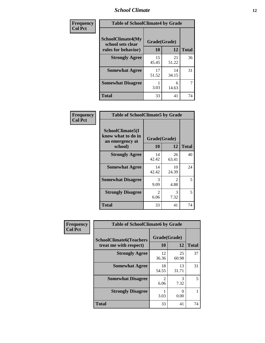### *School Climate* **12**

| Frequency      | <b>Table of SchoolClimate4 by Grade</b>       |              |             |              |
|----------------|-----------------------------------------------|--------------|-------------|--------------|
| <b>Col Pct</b> | <b>SchoolClimate4(My</b><br>school sets clear | Grade(Grade) |             |              |
|                | rules for behavior)                           | 10           | 12          | <b>Total</b> |
|                | <b>Strongly Agree</b>                         | 15<br>45.45  | 21<br>51.22 | 36           |
|                | <b>Somewhat Agree</b>                         | 17<br>51.52  | 14<br>34.15 | 31           |
|                | <b>Somewhat Disagree</b>                      | 3.03         | 6<br>14.63  | 7            |
|                | <b>Total</b>                                  | 33           | 41          | 74           |

| Frequency      | <b>Table of SchoolClimate5 by Grade</b>                   |                        |                       |              |
|----------------|-----------------------------------------------------------|------------------------|-----------------------|--------------|
| <b>Col Pct</b> | SchoolClimate5(I<br>know what to do in<br>an emergency at | Grade(Grade)           |                       |              |
|                | school)                                                   | <b>10</b>              | 12                    | <b>Total</b> |
|                | <b>Strongly Agree</b>                                     | 14<br>42.42            | 26<br>63.41           | 40           |
|                | <b>Somewhat Agree</b>                                     | 14<br>42.42            | 10<br>24.39           | 24           |
|                | <b>Somewhat Disagree</b>                                  | 3<br>9.09              | $\mathcal{L}$<br>4.88 | 5            |
|                | <b>Strongly Disagree</b>                                  | $\mathfrak{D}$<br>6.06 | 3<br>7.32             | 5            |
|                | <b>Total</b>                                              | 33                     | 41                    | 74           |

| Frequency      | <b>Table of SchoolClimate6 by Grade</b>                  |                        |                           |              |  |
|----------------|----------------------------------------------------------|------------------------|---------------------------|--------------|--|
| <b>Col Pct</b> | <b>SchoolClimate6(Teachers</b><br>treat me with respect) | Grade(Grade)<br>10     | 12                        | <b>Total</b> |  |
|                | <b>Strongly Agree</b>                                    | 12<br>36.36            | 25<br>60.98               | 37           |  |
|                | <b>Somewhat Agree</b>                                    | 18<br>54.55            | 13<br>31.71               | 31           |  |
|                | <b>Somewhat Disagree</b>                                 | $\mathfrak{D}$<br>6.06 | 3<br>7.32                 | 5            |  |
|                | <b>Strongly Disagree</b>                                 | 3.03                   | $\mathbf{\Omega}$<br>0.00 |              |  |
|                | <b>Total</b>                                             | 33                     | 41                        | 74           |  |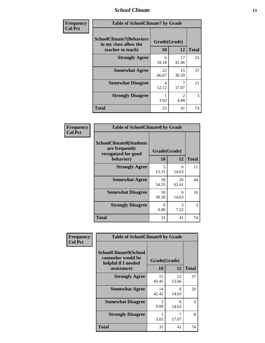### *School Climate* **13**

| Frequency      | <b>Table of SchoolClimate7 by Grade</b>                                       |                           |                        |              |
|----------------|-------------------------------------------------------------------------------|---------------------------|------------------------|--------------|
| <b>Col Pct</b> | <b>SchoolClimate7(Behaviors</b><br>in my class allow the<br>teacher to teach) | Grade(Grade)<br><b>10</b> | 12                     | <b>Total</b> |
|                | <b>Strongly Agree</b>                                                         | 6<br>18.18                | 17<br>41.46            | 23           |
|                | <b>Somewhat Agree</b>                                                         | 22<br>66.67               | 15<br>36.59            | 37           |
|                | <b>Somewhat Disagree</b>                                                      | 4<br>12.12                | 7<br>17.07             | 11           |
|                | <b>Strongly Disagree</b>                                                      | 3.03                      | $\mathfrak{D}$<br>4.88 | 3            |
|                | <b>Total</b>                                                                  | 33                        | 41                     | 74           |

| Frequency      | <b>Table of SchoolClimate8 by Grade</b>                                 |                      |             |              |
|----------------|-------------------------------------------------------------------------|----------------------|-------------|--------------|
| <b>Col Pct</b> | <b>SchoolClimate8(Students</b><br>are frequently<br>recognized for good | Grade(Grade)         |             |              |
|                | behavior)                                                               | 10                   | 12          | <b>Total</b> |
|                | <b>Strongly Agree</b>                                                   | 5<br>15.15           | 6<br>14.63  | 11           |
|                | <b>Somewhat Agree</b>                                                   | 18<br>54.55          | 26<br>63.41 | 44           |
|                | <b>Somewhat Disagree</b>                                                | 10<br>30.30          | 6<br>14.63  | 16           |
|                | <b>Strongly Disagree</b>                                                | $\mathbf{0}$<br>0.00 | 3<br>7.32   | 3            |
|                | <b>Total</b>                                                            | 33                   | 41          | 74           |

| Frequency      | <b>Table of SchoolClimate9 by Grade</b>                                           |                    |             |              |
|----------------|-----------------------------------------------------------------------------------|--------------------|-------------|--------------|
| <b>Col Pct</b> | SchoolClimate9(School<br>counselor would be<br>helpful if I needed<br>assistance) | Grade(Grade)<br>10 | 12          | <b>Total</b> |
|                | <b>Strongly Agree</b>                                                             | 15<br>45.45        | 22<br>53.66 | 37           |
|                | <b>Somewhat Agree</b>                                                             | 14<br>42.42        | 6<br>14.63  | 20           |
|                | <b>Somewhat Disagree</b>                                                          | 3<br>9.09          | 6<br>14.63  | 9            |
|                | <b>Strongly Disagree</b>                                                          | 3.03               | 7<br>17.07  | 8            |
|                | Total                                                                             | 33                 | 41          | 74           |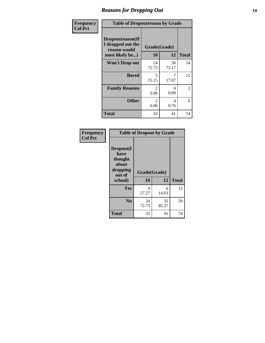### *Reasons for Dropping Out* **14**

| Frequency      | <b>Table of Dropoutreason by Grade</b>                                   |                        |             |                |
|----------------|--------------------------------------------------------------------------|------------------------|-------------|----------------|
| <b>Col Pct</b> | Dropoutreason(If<br>I dropped out the<br>reason would<br>most likely be) | Grade(Grade)<br>10     | 12          | <b>Total</b>   |
|                | <b>Won't Drop out</b>                                                    | 24<br>72.73            | 30<br>73.17 | 54             |
|                | <b>Bored</b>                                                             | 5<br>15.15             | 7<br>17.07  | 12             |
|                | <b>Family Reasons</b>                                                    | $\mathfrak{D}$<br>6.06 | 0<br>0.00   | $\overline{2}$ |
|                | <b>Other</b>                                                             | 2<br>6.06              | 4<br>9.76   | 6              |
|                | <b>Total</b>                                                             | 33                     | 41          | 74             |

| Frequency<br><b>Col Pct</b> | <b>Table of Dropout by Grade</b>                                       |                    |             |              |
|-----------------------------|------------------------------------------------------------------------|--------------------|-------------|--------------|
|                             | Dropout(I<br>have<br>thought<br>about<br>dropping<br>out of<br>school) | Grade(Grade)<br>10 | 12          | <b>Total</b> |
|                             | Yes                                                                    | 9<br>27.27         | 6<br>14.63  | 15           |
|                             | N <sub>0</sub>                                                         | 24<br>72.73        | 35<br>85.37 | 59           |
|                             | <b>Total</b>                                                           | 33                 | 41          | 74           |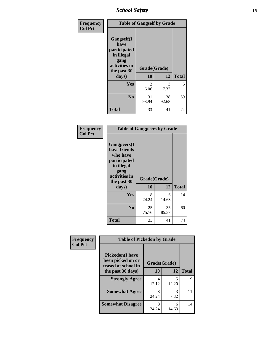*School Safety* **15**

| Frequency      | <b>Table of Gangself by Grade</b>                                                                 |                    |             |              |
|----------------|---------------------------------------------------------------------------------------------------|--------------------|-------------|--------------|
| <b>Col Pct</b> | Gangself(I<br>have<br>participated<br>in illegal<br>gang<br>activities in<br>the past 30<br>days) | Grade(Grade)<br>10 | 12          | <b>Total</b> |
|                | Yes                                                                                               | 2<br>6.06          | 3<br>7.32   | 5            |
|                | N <sub>0</sub>                                                                                    | 31<br>93.94        | 38<br>92.68 | 69           |
|                | <b>Total</b>                                                                                      | 33                 | 41          | 74           |

| Frequency<br><b>Col Pct</b> | <b>Table of Gangpeers by Grade</b>                                                                                             |                    |             |              |
|-----------------------------|--------------------------------------------------------------------------------------------------------------------------------|--------------------|-------------|--------------|
|                             | <b>Gangpeers</b> (I<br>have friends<br>who have<br>participated<br>in illegal<br>gang<br>activities in<br>the past 30<br>days) | Grade(Grade)<br>10 | 12          | <b>Total</b> |
|                             | Yes                                                                                                                            | 8<br>24.24         | 6<br>14.63  | 14           |
|                             | N <sub>0</sub>                                                                                                                 | 25<br>75.76        | 35<br>85.37 | 60           |
|                             | <b>Total</b>                                                                                                                   | 33                 | 41          | 74           |

| Frequency      | <b>Table of Pickedon by Grade</b>                                   |              |            |              |
|----------------|---------------------------------------------------------------------|--------------|------------|--------------|
| <b>Col Pct</b> | <b>Pickedon</b> (I have<br>been picked on or<br>teased at school in | Grade(Grade) |            |              |
|                | the past 30 days)                                                   | 10           | 12         | <b>Total</b> |
|                | <b>Strongly Agree</b>                                               | 4<br>12.12   | 5<br>12.20 | 9            |
|                | <b>Somewhat Agree</b>                                               | 8<br>24.24   | 3<br>7.32  | 11           |
|                | <b>Somewhat Disagree</b>                                            | 8<br>24.24   | 6<br>14.63 | 14           |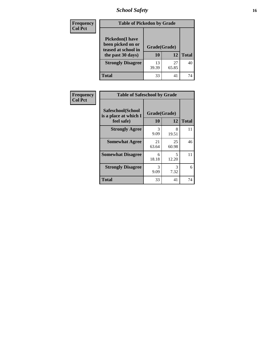*School Safety* **16**

| <b>Frequency</b> | <b>Table of Pickedon by Grade</b>                                                        |                    |             |              |  |  |  |  |
|------------------|------------------------------------------------------------------------------------------|--------------------|-------------|--------------|--|--|--|--|
| <b>Col Pct</b>   | <b>Pickedon</b> (I have<br>been picked on or<br>teased at school in<br>the past 30 days) | Grade(Grade)<br>10 | 12          | <b>Total</b> |  |  |  |  |
|                  | <b>Strongly Disagree</b>                                                                 | 13<br>39.39        | 27<br>65.85 | 40           |  |  |  |  |
|                  | <b>Total</b>                                                                             | 33                 | 41          | 74           |  |  |  |  |

| <b>Frequency</b> | <b>Table of Safeschool by Grade</b>        |              |             |              |  |  |  |  |  |
|------------------|--------------------------------------------|--------------|-------------|--------------|--|--|--|--|--|
| <b>Col Pct</b>   | Safeschool(School<br>is a place at which I | Grade(Grade) |             |              |  |  |  |  |  |
|                  | feel safe)                                 | 10           | 12          | <b>Total</b> |  |  |  |  |  |
|                  | <b>Strongly Agree</b>                      | 3<br>9.09    | 8<br>19.51  | 11           |  |  |  |  |  |
|                  | <b>Somewhat Agree</b>                      | 21<br>63.64  | 25<br>60.98 | 46           |  |  |  |  |  |
|                  | <b>Somewhat Disagree</b>                   | 6<br>18.18   | 5<br>12.20  | 11           |  |  |  |  |  |
|                  | <b>Strongly Disagree</b>                   | 3<br>9.09    | 3<br>7.32   | 6            |  |  |  |  |  |
|                  | <b>Total</b>                               | 33           | 41          | 74           |  |  |  |  |  |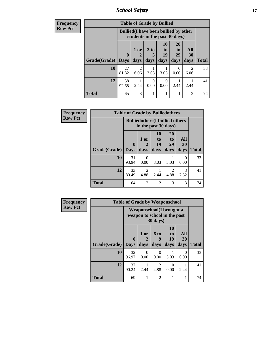*School Safety* **17**

| <b>Frequency</b> | <b>Table of Grade by Bullied</b> |             |                                                                               |                      |                          |                       |                        |              |  |  |
|------------------|----------------------------------|-------------|-------------------------------------------------------------------------------|----------------------|--------------------------|-----------------------|------------------------|--------------|--|--|
| <b>Row Pct</b>   |                                  |             | <b>Bullied</b> (I have been bullied by other<br>students in the past 30 days) |                      |                          |                       |                        |              |  |  |
|                  |                                  | $\mathbf 0$ | 1 or                                                                          | 3 <sub>to</sub><br>5 | 10<br>$\mathbf{t}$<br>19 | <b>20</b><br>to<br>29 | All<br><b>30</b>       |              |  |  |
|                  | Grade(Grade)                     | <b>Days</b> | days                                                                          | days                 | days                     | days                  | days                   | <b>Total</b> |  |  |
|                  | 10                               | 27<br>81.82 | $\mathfrak{D}$<br>6.06                                                        | 3.03                 | 3.03                     | 0<br>0.00             | $\overline{2}$<br>6.06 | 33           |  |  |
|                  | 12                               | 38<br>92.68 | 2.44                                                                          | $\Omega$<br>0.00     | $\Omega$<br>0.00         | 2.44                  | 2.44                   | 41           |  |  |
|                  | <b>Total</b>                     | 65          | 3                                                                             |                      |                          |                       | 3                      | 74           |  |  |

| <b>Frequency</b> | <b>Table of Grade by Bulliedothers</b> |              |                                                               |                        |                                     |                          |              |  |  |
|------------------|----------------------------------------|--------------|---------------------------------------------------------------|------------------------|-------------------------------------|--------------------------|--------------|--|--|
| <b>Row Pct</b>   |                                        |              | <b>Bulliedothers(I bullied others</b><br>in the past 30 days) |                        |                                     |                          |              |  |  |
|                  | Grade(Grade)   Days                    | $\mathbf{0}$ | 1 or<br>$\mathcal{D}_{\mathcal{L}}$<br>days                   | 10<br>to<br>19<br>days | <b>20</b><br>to<br>29<br>days       | All<br><b>30</b><br>days | <b>Total</b> |  |  |
|                  | 10                                     | 31<br>93.94  | 0<br>0.00                                                     | 3.03                   | 3.03                                | 0<br>0.00                | 33           |  |  |
|                  | 12                                     | 33<br>80.49  | $\mathfrak{D}$<br>4.88                                        | 2.44                   | $\mathcal{D}_{\mathcal{L}}$<br>4.88 | 3<br>7.32                | 41           |  |  |
|                  | <b>Total</b>                           | 64           | $\overline{2}$                                                | $\overline{2}$         | 3                                   | 3                        | 74           |  |  |

| <b>Frequency</b> | <b>Table of Grade by Weaponschool</b> |                             |                                                                  |                   |                               |                          |              |  |  |
|------------------|---------------------------------------|-----------------------------|------------------------------------------------------------------|-------------------|-------------------------------|--------------------------|--------------|--|--|
| <b>Row Pct</b>   |                                       |                             | <b>Weaponschool</b> (I brought a<br>weapon to school in the past | 30 days)          |                               |                          |              |  |  |
|                  | Grade(Grade)                          | $\mathbf{0}$<br><b>Days</b> | 1 or<br>2<br>days                                                | 6 to<br>9<br>days | <b>10</b><br>to<br>19<br>days | All<br><b>30</b><br>days | <b>Total</b> |  |  |
|                  | 10                                    | 32<br>96.97                 | 0<br>0.00                                                        | $\Omega$<br>0.00  | 3.03                          | 0<br>0.00                | 33           |  |  |
|                  | 12                                    | 37<br>90.24                 | 2.44                                                             | 2<br>4.88         | $\Omega$<br>0.00              | 2.44                     | 41           |  |  |
|                  | <b>Total</b>                          | 69                          |                                                                  | $\overline{2}$    |                               |                          | 74           |  |  |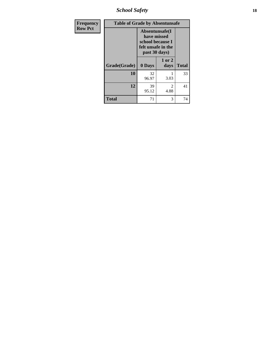*School Safety* **18**

| <b>Frequency</b> | <b>Table of Grade by Absentunsafe</b> |                                                                                           |                |              |
|------------------|---------------------------------------|-------------------------------------------------------------------------------------------|----------------|--------------|
| <b>Row Pct</b>   |                                       | Absentunsafe(I)<br>have missed<br>school because I<br>felt unsafe in the<br>past 30 days) |                |              |
|                  | Grade(Grade)                          | 0 Days                                                                                    | 1 or 2<br>days | <b>Total</b> |
|                  | 10                                    | 32<br>96.97                                                                               | 3.03           | 33           |
|                  | 12                                    | 39<br>95.12                                                                               | 2<br>4.88      | 41           |
|                  | <b>Total</b>                          | 71                                                                                        | 3              | 74           |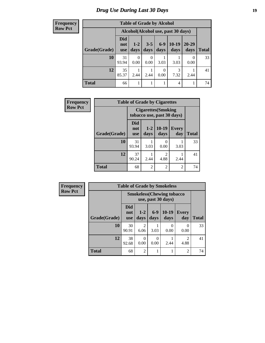# *Drug Use During Last 30 Days* **19**

**Frequency Row Pct**

| <b>Table of Grade by Alcohol</b> |                          |                                    |                  |               |                 |                   |              |  |  |
|----------------------------------|--------------------------|------------------------------------|------------------|---------------|-----------------|-------------------|--------------|--|--|
|                                  |                          | Alcohol(Alcohol use, past 30 days) |                  |               |                 |                   |              |  |  |
| Grade(Grade)                     | Did<br>not<br><b>use</b> | $1 - 2$<br>days                    | $3 - 5$<br>days  | $6-9$<br>days | $10-19$<br>days | $20 - 29$<br>days | <b>Total</b> |  |  |
| 10                               | 31<br>93.94              | 0<br>0.00                          | $\Omega$<br>0.00 | 3.03          | 3.03            | 0.00              | 33           |  |  |
| 12                               | 35<br>85.37              | 2.44                               | 2.44             | 0<br>0.00     | 3<br>7.32       | 2.44              | 41           |  |  |
| <b>Total</b>                     | 66                       |                                    |                  |               | 4               |                   | 74           |  |  |

| Frequency      | <b>Table of Grade by Cigarettes</b> |                          |                                                          |                        |                |              |  |  |
|----------------|-------------------------------------|--------------------------|----------------------------------------------------------|------------------------|----------------|--------------|--|--|
| <b>Row Pct</b> |                                     |                          | <b>Cigarettes</b> (Smoking<br>tobacco use, past 30 days) |                        |                |              |  |  |
|                | Grade(Grade)                        | Did<br>not<br><b>use</b> | $1 - 2$<br>days                                          | $10-19$<br>days        | Every<br>day   | <b>Total</b> |  |  |
|                | 10                                  | 31<br>93.94              | 3.03                                                     | $\Omega$<br>0.00       | 3.03           | 33           |  |  |
|                | 12                                  | 37<br>90.24              | 2.44                                                     | $\mathfrak{D}$<br>4.88 | 2.44           | 41           |  |  |
|                | <b>Total</b>                        | 68                       | $\overline{2}$                                           | $\overline{c}$         | $\overline{2}$ | 74           |  |  |

| Frequency      | <b>Table of Grade by Smokeless</b> |                                 |                  |               |                                                         |                        |              |  |
|----------------|------------------------------------|---------------------------------|------------------|---------------|---------------------------------------------------------|------------------------|--------------|--|
| <b>Row Pct</b> |                                    |                                 |                  |               | <b>Smokeless</b> (Chewing tobacco<br>use, past 30 days) |                        |              |  |
|                | Grade(Grade)                       | <b>Did</b><br>not<br><b>use</b> | $1 - 2$<br>days  | $6-9$<br>days | $10-19$<br>days                                         | <b>Every</b><br>day    | <b>Total</b> |  |
|                | 10                                 | 30<br>90.91                     | 2<br>6.06        | 3.03          | 0<br>0.00                                               | $\Omega$<br>0.00       | 33           |  |
|                | 12                                 | 38<br>92.68                     | $\Omega$<br>0.00 | 0<br>0.00     | 2.44                                                    | $\mathfrak{D}$<br>4.88 | 41           |  |
|                | <b>Total</b>                       | 68                              | $\overline{2}$   |               |                                                         | $\overline{c}$         | 74           |  |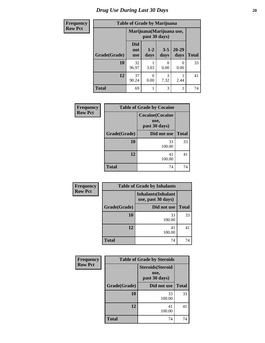# *Drug Use During Last 30 Days* 20

Г

| <b>Frequency</b> | <b>Table of Grade by Marijuana</b> |                          |                                            |                 |               |              |  |  |
|------------------|------------------------------------|--------------------------|--------------------------------------------|-----------------|---------------|--------------|--|--|
| <b>Row Pct</b>   |                                    |                          | Marijuana (Marijuana use,<br>past 30 days) |                 |               |              |  |  |
|                  | Grade(Grade)                       | Did<br>not<br><b>use</b> | $1 - 2$<br>days                            | $3 - 5$<br>days | 20-29<br>days | <b>Total</b> |  |  |
|                  | 10                                 | 32<br>96.97              | 3.03                                       | 0.00            | 0.00          | 33           |  |  |
|                  | 12                                 | 37<br>90.24              | $\Omega$<br>0.00                           | 3<br>7.32       | 2.44          | 41           |  |  |
|                  | <b>Total</b>                       | 69                       |                                            | 3               |               | 74           |  |  |

| Frequency      | <b>Table of Grade by Cocaine</b> |                                                 |              |  |  |  |
|----------------|----------------------------------|-------------------------------------------------|--------------|--|--|--|
| <b>Row Pct</b> |                                  | <b>Cocaine(Cocaine</b><br>use,<br>past 30 days) |              |  |  |  |
|                | Grade(Grade)                     | Did not use                                     | <b>Total</b> |  |  |  |
|                | 10                               | 33<br>100.00                                    | 33           |  |  |  |
|                | 12                               | 41<br>100.00                                    | 41           |  |  |  |
|                | <b>Total</b>                     | 74                                              | 74           |  |  |  |

| Frequency      |              | <b>Table of Grade by Inhalants</b>               |              |  |
|----------------|--------------|--------------------------------------------------|--------------|--|
| <b>Row Pct</b> |              | <b>Inhalants</b> (Inhalant<br>use, past 30 days) |              |  |
|                | Grade(Grade) | Did not use                                      | <b>Total</b> |  |
|                | 10           | 33<br>100.00                                     | 33           |  |
|                | 12           | 41<br>100.00                                     | 41           |  |
|                | <b>Total</b> | 74                                               | 74           |  |

| Frequency      | <b>Table of Grade by Steroids</b> |                                                   |              |  |
|----------------|-----------------------------------|---------------------------------------------------|--------------|--|
| <b>Row Pct</b> |                                   | <b>Steroids</b> (Steroid<br>use,<br>past 30 days) |              |  |
|                | Grade(Grade)                      | Did not use                                       | <b>Total</b> |  |
|                | 10                                | 33<br>100.00                                      | 33           |  |
|                | 12                                | 41<br>100.00                                      | 41           |  |
|                | <b>Total</b>                      | 74                                                | 74           |  |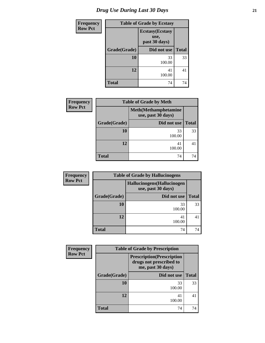| <b>Frequency</b> | <b>Table of Grade by Ecstasy</b> |                                                  |              |  |
|------------------|----------------------------------|--------------------------------------------------|--------------|--|
| <b>Row Pct</b>   |                                  | <b>Ecstasy</b> (Ecstasy<br>use,<br>past 30 days) |              |  |
|                  | Grade(Grade)                     | Did not use                                      | <b>Total</b> |  |
|                  | 10                               | 33<br>100.00                                     | 33           |  |
|                  | 12                               | 41<br>100.00                                     | 41           |  |
|                  | Total                            | 74                                               | 74           |  |

| <b>Frequency</b> | <b>Table of Grade by Meth</b> |                                                    |              |  |
|------------------|-------------------------------|----------------------------------------------------|--------------|--|
| <b>Row Pct</b>   |                               | <b>Meth</b> (Methamphetamine<br>use, past 30 days) |              |  |
| Grade(Grade)     |                               | Did not use                                        | <b>Total</b> |  |
|                  | 10                            | 33<br>100.00                                       | 33           |  |
|                  | 12                            | 41<br>100.00                                       | 41           |  |
|                  | <b>Total</b>                  | 74                                                 | 74           |  |

| <b>Frequency</b> | <b>Table of Grade by Hallucinogens</b> |                                                   |              |  |  |
|------------------|----------------------------------------|---------------------------------------------------|--------------|--|--|
| <b>Row Pct</b>   |                                        | Hallucinogens (Hallucinogen<br>use, past 30 days) |              |  |  |
|                  | Grade(Grade)<br>Did not use            |                                                   | <b>Total</b> |  |  |
|                  | <b>10</b>                              | 33<br>100.00                                      | 33           |  |  |
|                  | 12                                     | 41<br>100.00                                      | 41           |  |  |
|                  | <b>Total</b>                           | 74                                                | 74           |  |  |

| <b>Frequency</b> | <b>Table of Grade by Prescription</b> |                                                                                   |              |  |  |
|------------------|---------------------------------------|-----------------------------------------------------------------------------------|--------------|--|--|
| <b>Row Pct</b>   |                                       | <b>Prescription</b> (Prescription<br>drugs not prescribed to<br>me, past 30 days) |              |  |  |
|                  | Grade(Grade)                          | Did not use                                                                       | <b>Total</b> |  |  |
|                  | 10                                    | 33<br>100.00                                                                      | 33           |  |  |
|                  | 12                                    | 41<br>100.00                                                                      | 41           |  |  |
|                  | <b>Total</b>                          | 74                                                                                | 74           |  |  |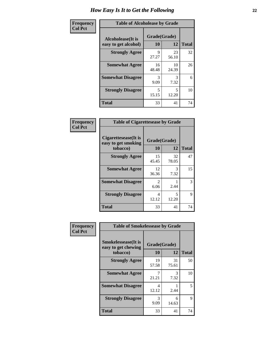| Frequency      | <b>Table of Alcoholease by Grade</b>              |                    |             |              |  |
|----------------|---------------------------------------------------|--------------------|-------------|--------------|--|
| <b>Col Pct</b> | <b>Alcoholease</b> (It is<br>easy to get alcohol) | Grade(Grade)<br>10 | 12          | <b>Total</b> |  |
|                | <b>Strongly Agree</b>                             | 9<br>27.27         | 23<br>56.10 | 32           |  |
|                | <b>Somewhat Agree</b>                             | 16<br>48.48        | 10<br>24.39 | 26           |  |
|                | <b>Somewhat Disagree</b>                          | 3<br>9.09          | 3<br>7.32   | 6            |  |
|                | <b>Strongly Disagree</b>                          | 5<br>15.15         | 5<br>12.20  | 10           |  |
|                | <b>Total</b>                                      | 33                 | 41          | 74           |  |

| Frequency<br>Col Pct |
|----------------------|

| <b>Table of Cigarettesease by Grade</b>                  |                        |             |              |  |
|----------------------------------------------------------|------------------------|-------------|--------------|--|
| Cigarettesease (It is<br>easy to get smoking<br>tobacco) | Grade(Grade)<br>10     | 12          | <b>Total</b> |  |
| <b>Strongly Agree</b>                                    | 15<br>45.45            | 32<br>78.05 | 47           |  |
| <b>Somewhat Agree</b>                                    | 12<br>36.36            | 3<br>7.32   | 15           |  |
| <b>Somewhat Disagree</b>                                 | $\mathfrak{D}$<br>6.06 | 2.44        | 3            |  |
| <b>Strongly Disagree</b>                                 | 4<br>12.12             | 5<br>12.20  | 9            |  |
| <b>Total</b>                                             | 33                     | 41          | 74           |  |

| Frequency      | <b>Table of Smokelessease by Grade</b>                         |                    |             |              |  |
|----------------|----------------------------------------------------------------|--------------------|-------------|--------------|--|
| <b>Col Pct</b> | <b>Smokelessease</b> (It is<br>easy to get chewing<br>tobacco) | Grade(Grade)<br>10 | 12          | <b>Total</b> |  |
|                | <b>Strongly Agree</b>                                          | 19<br>57.58        | 31<br>75.61 | 50           |  |
|                | <b>Somewhat Agree</b>                                          | 21.21              | 3<br>7.32   | 10           |  |
|                | <b>Somewhat Disagree</b>                                       | 4<br>12.12         | 2.44        | 5.           |  |
|                | <b>Strongly Disagree</b>                                       | 3<br>9.09          | 6<br>14.63  | 9            |  |
|                | <b>Total</b>                                                   | 33                 | 41          | 74           |  |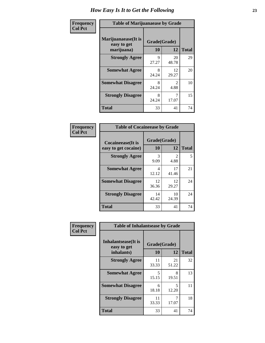| Frequency      | <b>Table of Marijuanaease by Grade</b>           |                    |                        |              |
|----------------|--------------------------------------------------|--------------------|------------------------|--------------|
| <b>Col Pct</b> | Marijuanaease(It is<br>easy to get<br>marijuana) | Grade(Grade)<br>10 | 12                     | <b>Total</b> |
|                | <b>Strongly Agree</b>                            | 9<br>27.27         | 20<br>48.78            | 29           |
|                | <b>Somewhat Agree</b>                            | 8<br>24.24         | 12<br>29.27            | 20           |
|                | <b>Somewhat Disagree</b>                         | 8<br>24.24         | $\mathfrak{D}$<br>4.88 | 10           |
|                | <b>Strongly Disagree</b>                         | 8<br>24.24         | 17.07                  | 15           |
|                | <b>Total</b>                                     | 33                 | 41                     | 74           |

| <b>Table of Cocaineease by Grade</b>              |                    |                        |              |  |  |
|---------------------------------------------------|--------------------|------------------------|--------------|--|--|
| <b>Cocaineease</b> (It is<br>easy to get cocaine) | Grade(Grade)<br>10 | 12                     | <b>Total</b> |  |  |
| <b>Strongly Agree</b>                             | 3<br>9.09          | $\mathfrak{D}$<br>4.88 | 5            |  |  |
| <b>Somewhat Agree</b>                             | 4<br>12.12         | 17<br>41.46            | 21           |  |  |
| <b>Somewhat Disagree</b>                          | 12<br>36.36        | 12<br>29.27            | 24           |  |  |
| <b>Strongly Disagree</b>                          | 14<br>42.42        | 10<br>24.39            | 24           |  |  |
| <b>Total</b>                                      | 33                 | 41                     | 74           |  |  |

| Frequency      | <b>Table of Inhalantsease by Grade</b>     |              |             |              |
|----------------|--------------------------------------------|--------------|-------------|--------------|
| <b>Col Pct</b> | <b>Inhalantsease</b> (It is<br>easy to get | Grade(Grade) |             |              |
|                | inhalants)                                 | 10           | 12          | <b>Total</b> |
|                | <b>Strongly Agree</b>                      | 11<br>33.33  | 21<br>51.22 | 32           |
|                | <b>Somewhat Agree</b>                      | 5<br>15.15   | 8<br>19.51  | 13           |
|                | <b>Somewhat Disagree</b>                   | 6<br>18.18   | 5<br>12.20  | 11           |
|                | <b>Strongly Disagree</b>                   | 11<br>33.33  | 7<br>17.07  | 18           |
|                | <b>Total</b>                               | 33           | 41          | 74           |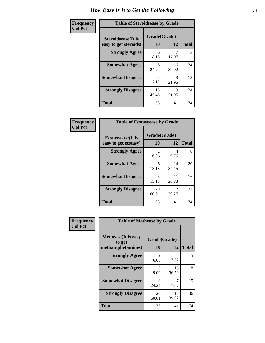| Frequency      | <b>Table of Steroidsease by Grade</b>               |                    |             |              |  |  |  |
|----------------|-----------------------------------------------------|--------------------|-------------|--------------|--|--|--|
| <b>Col Pct</b> | <b>Steroidsease</b> (It is<br>easy to get steroids) | Grade(Grade)<br>10 | 12          | <b>Total</b> |  |  |  |
|                | <b>Strongly Agree</b>                               | 6<br>18.18         | 17.07       | 13           |  |  |  |
|                | <b>Somewhat Agree</b>                               | 8<br>24.24         | 16<br>39.02 | 24           |  |  |  |
|                | <b>Somewhat Disagree</b>                            | 4<br>12.12         | Q<br>21.95  | 13           |  |  |  |
|                | <b>Strongly Disagree</b>                            | 15<br>45.45        | 9<br>21.95  | 24           |  |  |  |
|                | <b>Total</b>                                        | 33                 | 41          | 74           |  |  |  |

| Frequency      |                                                   | <b>Table of Ecstasyease by Grade</b> |             |              |  |  |  |
|----------------|---------------------------------------------------|--------------------------------------|-------------|--------------|--|--|--|
| <b>Col Pct</b> | <b>Ecstasyease</b> (It is<br>easy to get ecstasy) | Grade(Grade)<br>10                   | 12          | <b>Total</b> |  |  |  |
|                | <b>Strongly Agree</b>                             | 2<br>6.06                            | 4<br>9.76   | 6            |  |  |  |
|                | <b>Somewhat Agree</b>                             | 6<br>18.18                           | 14<br>34.15 | 20           |  |  |  |
|                | <b>Somewhat Disagree</b>                          | 5<br>15.15                           | 11<br>26.83 | 16           |  |  |  |
|                | <b>Strongly Disagree</b>                          | 20<br>60.61                          | 12<br>29.27 | 32           |  |  |  |
|                | <b>Total</b>                                      | 33                                   | 41          | 74           |  |  |  |

| Frequency      | <b>Table of Methease by Grade</b>     |                        |             |              |
|----------------|---------------------------------------|------------------------|-------------|--------------|
| <b>Col Pct</b> | <b>Methease</b> (It is easy<br>to get | Grade(Grade)           |             |              |
|                | methamphetamines)                     | 10                     | 12          | <b>Total</b> |
|                | <b>Strongly Agree</b>                 | $\mathfrak{D}$<br>6.06 | 3<br>7.32   | 5            |
|                | <b>Somewhat Agree</b>                 | 3<br>9.09              | 15<br>36.59 | 18           |
|                | <b>Somewhat Disagree</b>              | 8<br>24.24             | 7<br>17.07  | 15           |
|                | <b>Strongly Disagree</b>              | 20<br>60.61            | 16<br>39.02 | 36           |
|                | <b>Total</b>                          | 33                     | 41          | 74           |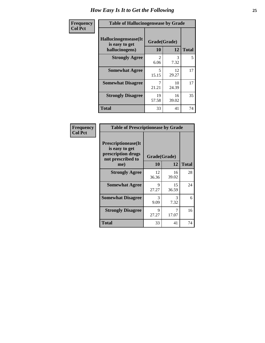| <b>Frequency</b> | <b>Table of Hallucinogensease by Grade</b>               |                                     |             |              |  |  |  |
|------------------|----------------------------------------------------------|-------------------------------------|-------------|--------------|--|--|--|
| <b>Col Pct</b>   | Hallucinogensease(It<br>is easy to get<br>hallucinogens) | Grade(Grade)<br>10                  | 12          | <b>Total</b> |  |  |  |
|                  | <b>Strongly Agree</b>                                    | $\mathcal{D}_{\mathcal{A}}$<br>6.06 | 3<br>7.32   | 5            |  |  |  |
|                  | <b>Somewhat Agree</b>                                    | 5<br>15.15                          | 12<br>29.27 | 17           |  |  |  |
|                  | <b>Somewhat Disagree</b>                                 | 7<br>21.21                          | 10<br>24.39 | 17           |  |  |  |
|                  | <b>Strongly Disagree</b>                                 | 19<br>57.58                         | 16<br>39.02 | 35           |  |  |  |
|                  | <b>Total</b>                                             | 33                                  | 41          | 74           |  |  |  |

| <b>Table of Prescriptionease by Grade</b>                                                |              |             |              |  |  |  |
|------------------------------------------------------------------------------------------|--------------|-------------|--------------|--|--|--|
| <b>Prescriptionease</b> (It<br>is easy to get<br>prescription drugs<br>not prescribed to | Grade(Grade) |             |              |  |  |  |
| me)                                                                                      | 10           | 12          | <b>Total</b> |  |  |  |
| <b>Strongly Agree</b>                                                                    | 12<br>36.36  | 16<br>39.02 | 28           |  |  |  |
| <b>Somewhat Agree</b>                                                                    | 9<br>27.27   | 15<br>36.59 | 24           |  |  |  |
| <b>Somewhat Disagree</b>                                                                 | 3<br>9.09    | 3<br>7.32   | 6            |  |  |  |
| <b>Strongly Disagree</b>                                                                 | Q<br>27.27   | 17.07       | 16           |  |  |  |
| <b>Total</b>                                                                             | 33           | 41          | 74           |  |  |  |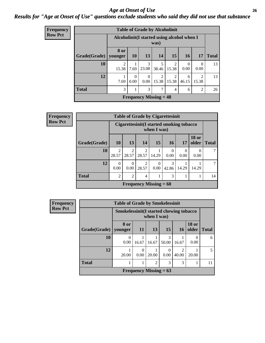### *Age at Onset of Use* **26** *Results for "Age at Onset of Use" questions exclude students who said they did not use that substance*

| Frequency      |              |                 |                                                     | <b>Table of Grade by Alcoholinit</b> |            |                         |                  |                  |              |
|----------------|--------------|-----------------|-----------------------------------------------------|--------------------------------------|------------|-------------------------|------------------|------------------|--------------|
| <b>Row Pct</b> |              |                 | Alcoholinit (I started using alcohol when I<br>was) |                                      |            |                         |                  |                  |              |
|                | Grade(Grade) | 8 or<br>younger | 10                                                  | 13                                   | 14         | 15 <sup>1</sup>         | <b>16</b>        | 17               | <b>Total</b> |
|                | 10           | 2<br>15.38      | 1<br>7.69                                           | 3<br>23.08                           | 5<br>38.46 | 2<br>15.38              | $\Omega$<br>0.00 | $\Omega$<br>0.00 | 13           |
|                | 12           | 7.69            | $\Omega$<br>0.00                                    | $\Omega$<br>0.00                     | 2<br>15.38 | $\mathfrak{D}$<br>15.38 | 6<br>46.15       | 2<br>15.38       | 13           |
|                | <b>Total</b> | 3               | 1                                                   | 3                                    | 7          | 4                       | 6                | $\mathfrak{D}$   | 26           |
|                |              |                 |                                                     | <b>Frequency Missing = 48</b>        |            |                         |                  |                  |              |

| <b>Frequency</b> |              |                                                         |                          |       |                 | <b>Table of Grade by Cigarettesinit</b> |       |                       |                |
|------------------|--------------|---------------------------------------------------------|--------------------------|-------|-----------------|-----------------------------------------|-------|-----------------------|----------------|
| <b>Row Pct</b>   |              | Cigarettesinit(I started smoking tobacco<br>when I was) |                          |       |                 |                                         |       |                       |                |
|                  | Grade(Grade) | 10 <sup>1</sup>                                         | 13                       | 14    | 15 <sup>1</sup> | 16 <sup>1</sup>                         | 17    | <b>18 or</b><br>older | <b>Total</b>   |
|                  | 10           | 28.57                                                   | 28.57                    | 28.57 | 14.29           | 0.00                                    | 0.00  | 0.00                  | $\overline{7}$ |
|                  | 12           | $\Omega$<br>0.00                                        | 0.00                     | 28.57 | 0.00            | 3<br>42.86                              | 14.29 | 14.29                 | 7              |
|                  | <b>Total</b> | $\overline{2}$                                          | 2                        | 4     |                 | 3                                       |       |                       | 14             |
|                  |              |                                                         | Frequency Missing $= 60$ |       |                 |                                         |       |                       |                |

| Frequency      | <b>Table of Grade by Smokelessinit</b> |                                         |           |                          |                 |                 |                       |              |
|----------------|----------------------------------------|-----------------------------------------|-----------|--------------------------|-----------------|-----------------|-----------------------|--------------|
| <b>Row Pct</b> |                                        | Smokelessinit(I started chewing tobacco |           | when $I$ was)            |                 |                 |                       |              |
|                | $Grade(Grade)$ younger                 | 8 or                                    | 11        | <b>13</b>                | 15 <sup>1</sup> | 16 <sup>1</sup> | <b>18 or</b><br>older | <b>Total</b> |
|                | 10                                     | 0.00                                    | 16.67     | 16.67                    | 3<br>50.00      | 16.67           | 0<br>0.00             | 6            |
|                | 12                                     | 20.00                                   | 0<br>0.00 | 20.00                    | 0.00            | ∍<br>40.00      | 20.00                 | 5            |
|                | <b>Total</b>                           |                                         |           | $\overline{c}$           | 3               | 3               |                       | 11           |
|                |                                        |                                         |           | Frequency Missing $= 63$ |                 |                 |                       |              |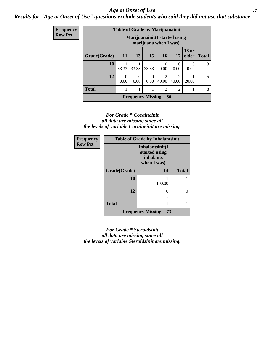### *Age at Onset of Use* **27**

*Results for "Age at Onset of Use" questions exclude students who said they did not use that substance*

| Frequency      |              | <b>Table of Grade by Marijuanainit</b> |                                                         |                          |                         |            |                       |              |  |
|----------------|--------------|----------------------------------------|---------------------------------------------------------|--------------------------|-------------------------|------------|-----------------------|--------------|--|
| <b>Row Pct</b> |              |                                        | Marijuanainit (I started using<br>marijuana when I was) |                          |                         |            |                       |              |  |
|                | Grade(Grade) | 11                                     | 13                                                      | 15                       | 16                      | 17         | <b>18 or</b><br>older | <b>Total</b> |  |
|                | 10           | 33.33                                  | 33.33                                                   | 33.33                    | $\Omega$<br>0.00        | 0<br>0.00  | 0.00                  | 3            |  |
|                | 12           | $\Omega$<br>0.00                       | $\Omega$<br>0.00                                        | $\Omega$<br>0.00         | $\mathfrak{D}$<br>40.00 | っ<br>40.00 | 20.00                 | .5           |  |
|                | <b>Total</b> |                                        | $\mathfrak{D}$<br>$\mathcal{D}$<br>1                    |                          |                         |            |                       |              |  |
|                |              |                                        |                                                         | Frequency Missing $= 66$ |                         |            |                       |              |  |

#### *For Grade \* Cocaineinit all data are missing since all the levels of variable Cocaineinit are missing.*

| <b>Frequency</b> | <b>Table of Grade by Inhalantsinit</b> |                                                                     |              |  |  |  |  |
|------------------|----------------------------------------|---------------------------------------------------------------------|--------------|--|--|--|--|
| <b>Row Pct</b>   |                                        | Inhalantsinit(I<br>started using<br><i>inhalants</i><br>when I was) |              |  |  |  |  |
|                  | Grade(Grade)                           | 14                                                                  | <b>Total</b> |  |  |  |  |
|                  | 10                                     | 100.00                                                              |              |  |  |  |  |
|                  | 12                                     | $\mathbf{\Omega}$                                                   |              |  |  |  |  |
|                  | <b>Total</b>                           |                                                                     |              |  |  |  |  |
|                  |                                        | <b>Frequency Missing = 73</b>                                       |              |  |  |  |  |

*For Grade \* Steroidsinit all data are missing since all the levels of variable Steroidsinit are missing.*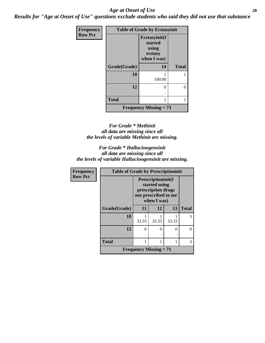### *Age at Onset of Use* **28**

*Results for "Age at Onset of Use" questions exclude students who said they did not use that substance*

| <b>Frequency</b> |              | <b>Table of Grade by Ecstasyinit</b>                        |              |
|------------------|--------------|-------------------------------------------------------------|--------------|
| <b>Row Pct</b>   |              | Ecstasyinit(I<br>started<br>using<br>ecstasy<br>when I was) |              |
|                  | Grade(Grade) | 14                                                          | <b>Total</b> |
|                  | 10           | 100.00                                                      |              |
|                  | 12           | 0                                                           | 0            |
|                  | <b>Total</b> |                                                             | 1            |
|                  |              | <b>Frequency Missing = 73</b>                               |              |

#### *For Grade \* Methinit all data are missing since all the levels of variable Methinit are missing.*

#### *For Grade \* Hallucinogensinit all data are missing since all the levels of variable Hallucinogensinit are missing.*

| Frequency      | <b>Table of Grade by Prescriptioninit</b> |                                                                                                          |       |       |              |
|----------------|-------------------------------------------|----------------------------------------------------------------------------------------------------------|-------|-------|--------------|
| <b>Row Pct</b> |                                           | <b>Prescriptioninit(I)</b><br>started using<br>prescription drugs<br>not prescribed to me<br>when I was) |       |       |              |
|                | Grade(Grade)                              | 11                                                                                                       | 12    | 13    | <b>Total</b> |
|                | 10                                        | 33.33                                                                                                    | 33.33 | 33.33 | 3            |
|                | 12                                        | 0                                                                                                        | 0     | 0     |              |
|                | <b>Total</b>                              |                                                                                                          | 1     |       | 3            |
|                |                                           | <b>Frequency Missing <math>= 71</math></b>                                                               |       |       |              |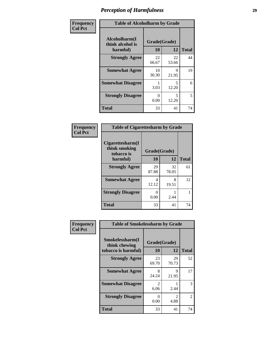| Frequency      | <b>Table of Alcoholharm by Grade</b>          |                           |                                   |              |
|----------------|-----------------------------------------------|---------------------------|-----------------------------------|--------------|
| <b>Col Pct</b> | Alcoholharm(I<br>think alcohol is<br>harmful) | Grade(Grade)<br><b>10</b> | 12                                | <b>Total</b> |
|                | <b>Strongly Agree</b>                         | 22<br>66.67               | 22<br>53.66                       | 44           |
|                | <b>Somewhat Agree</b>                         | 10<br>30.30               | 9<br>21.95                        | 19           |
|                | <b>Somewhat Disagree</b>                      | 3.03                      | $\overline{\phantom{0}}$<br>12.20 | 6            |
|                | <b>Strongly Disagree</b>                      | 0<br>0.00                 | $\overline{\phantom{0}}$<br>12.20 | 5            |
|                | <b>Total</b>                                  | 33                        | 41                                | 74           |

| <b>Table of Cigarettesharm by Grade</b>         |              |             |              |  |  |
|-------------------------------------------------|--------------|-------------|--------------|--|--|
| Cigarettesharm(I<br>think smoking<br>tobacco is | Grade(Grade) |             |              |  |  |
| harmful)                                        | 10           | 12          | <b>Total</b> |  |  |
| <b>Strongly Agree</b>                           | 29<br>87.88  | 32<br>78.05 | 61           |  |  |
| <b>Somewhat Agree</b>                           | 4<br>12.12   | 8<br>19.51  | 12           |  |  |
| <b>Strongly Disagree</b>                        | 0<br>0.00    | 2.44        |              |  |  |
| <b>Total</b>                                    | 33           | 41          | 74           |  |  |

| Frequency      | <b>Table of Smokelessharm by Grade</b> |                           |             |              |  |
|----------------|----------------------------------------|---------------------------|-------------|--------------|--|
| <b>Col Pct</b> | Smokelessharm(I<br>think chewing       | Grade(Grade)              |             |              |  |
|                | tobacco is harmful)                    | 10                        | 12          | <b>Total</b> |  |
|                | <b>Strongly Agree</b>                  | 23<br>69.70               | 29<br>70.73 | 52           |  |
|                | <b>Somewhat Agree</b>                  | 8<br>24.24                | 9<br>21.95  | 17           |  |
|                | <b>Somewhat Disagree</b>               | $\mathfrak{D}$<br>6.06    | 2.44        | 3            |  |
|                | <b>Strongly Disagree</b>               | $\mathbf{\Omega}$<br>0.00 | 2<br>4.88   | 2            |  |
|                | <b>Total</b>                           | 33                        | 41          | 74           |  |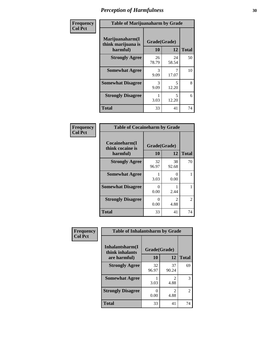| Frequency      | <b>Table of Marijuanaharm by Grade</b>            |                    |             |              |
|----------------|---------------------------------------------------|--------------------|-------------|--------------|
| <b>Col Pct</b> | Marijuanaharm(I<br>think marijuana is<br>harmful) | Grade(Grade)<br>10 | 12          | <b>Total</b> |
|                | <b>Strongly Agree</b>                             | 26<br>78.79        | 24<br>58.54 | 50           |
|                | <b>Somewhat Agree</b>                             | 3<br>9.09          | 17.07       | 10           |
|                | <b>Somewhat Disagree</b>                          | 3<br>9.09          | 5<br>12.20  | 8            |
|                | <b>Strongly Disagree</b>                          | 3.03               | 5<br>12.20  | 6            |
|                | Total                                             | 33                 | 41          | 74           |

| <b>Table of Cocaineharm by Grade</b>          |                    |                        |              |  |  |
|-----------------------------------------------|--------------------|------------------------|--------------|--|--|
| Cocaineharm(I<br>think cocaine is<br>harmful) | Grade(Grade)<br>10 | 12                     | <b>Total</b> |  |  |
| <b>Strongly Agree</b>                         | 32<br>96.97        | 38<br>92.68            | 70           |  |  |
| <b>Somewhat Agree</b>                         | 1<br>3.03          | 0<br>0.00              |              |  |  |
| <b>Somewhat Disagree</b>                      | 0<br>0.00          | 2.44                   |              |  |  |
| <b>Strongly Disagree</b>                      | 0<br>0.00          | $\mathfrak{D}$<br>4.88 | 2            |  |  |
| <b>Total</b>                                  | 33                 | 41                     | 74           |  |  |

| Frequency      | <b>Table of Inhalantsharm by Grade</b> |              |             |                |
|----------------|----------------------------------------|--------------|-------------|----------------|
| <b>Col Pct</b> | Inhalantsharm(I<br>think inhalants     | Grade(Grade) |             |                |
|                | are harmful)                           | 10           | 12          | <b>Total</b>   |
|                | <b>Strongly Agree</b>                  | 32<br>96.97  | 37<br>90.24 | 69             |
|                | <b>Somewhat Agree</b>                  | 3.03         | 2<br>4.88   | 3              |
|                | <b>Strongly Disagree</b>               | O<br>0.00    | 2<br>4.88   | $\mathfrak{D}$ |
|                | <b>Total</b>                           | 33           | 41          | 74             |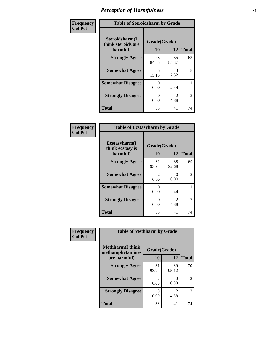| Frequency      | <b>Table of Steroidsharm by Grade</b>            |                    |                                     |              |
|----------------|--------------------------------------------------|--------------------|-------------------------------------|--------------|
| <b>Col Pct</b> | Steroidsharm(I<br>think steroids are<br>harmful) | Grade(Grade)<br>10 | 12                                  | <b>Total</b> |
|                | <b>Strongly Agree</b>                            | 28<br>84.85        | 35<br>85.37                         | 63           |
|                | <b>Somewhat Agree</b>                            | 5<br>15.15         | 3<br>7.32                           | 8            |
|                | <b>Somewhat Disagree</b>                         | 0<br>0.00          | 2.44                                |              |
|                | <b>Strongly Disagree</b>                         | 0<br>0.00          | $\mathcal{D}_{\mathcal{L}}$<br>4.88 | 2            |
|                | <b>Total</b>                                     | 33                 | 41                                  | 74           |

| <b>Table of Ecstasyharm by Grade</b>          |                    |                        |    |  |  |
|-----------------------------------------------|--------------------|------------------------|----|--|--|
| Ecstasyharm(I<br>think ecstasy is<br>harmful) | Grade(Grade)<br>10 | <b>Total</b>           |    |  |  |
| <b>Strongly Agree</b>                         | 31<br>93.94        | 38<br>92.68            | 69 |  |  |
| <b>Somewhat Agree</b>                         | 2<br>6.06          | 0<br>0.00              | 2  |  |  |
| <b>Somewhat Disagree</b>                      | 0<br>0.00          | 2.44                   | 1  |  |  |
| <b>Strongly Disagree</b>                      | 0<br>0.00          | $\mathfrak{D}$<br>4.88 | 2  |  |  |
| <b>Total</b>                                  | 33                 | 41                     | 74 |  |  |

| Frequency      | <b>Table of Methharm by Grade</b>            |                        |                                  |                |
|----------------|----------------------------------------------|------------------------|----------------------------------|----------------|
| <b>Col Pct</b> | <b>Methharm</b> (I think<br>methamphetamines | Grade(Grade)           |                                  |                |
|                | are harmful)                                 | 10                     | 12                               | <b>Total</b>   |
|                | <b>Strongly Agree</b>                        | 31<br>93.94            | 39<br>95.12                      | 70             |
|                | <b>Somewhat Agree</b>                        | $\mathfrak{D}$<br>6.06 | $\mathcal{O}$<br>0.00            | $\mathcal{L}$  |
|                | <b>Strongly Disagree</b>                     | 0.00                   | $\overline{\mathcal{L}}$<br>4.88 | $\mathfrak{D}$ |
|                | <b>Total</b>                                 | 33                     | 41                               | 74             |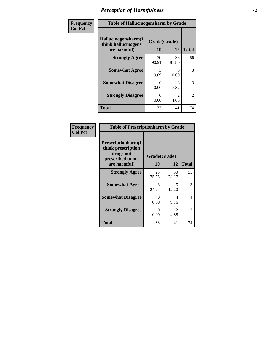| Frequency      | <b>Table of Hallucinogensharm by Grade</b>                 |                    |                       |                |
|----------------|------------------------------------------------------------|--------------------|-----------------------|----------------|
| <b>Col Pct</b> | Hallucinogensharm(I<br>think hallucinogens<br>are harmful) | Grade(Grade)<br>10 | 12                    | <b>Total</b>   |
|                | <b>Strongly Agree</b>                                      | 30<br>90.91        | 36<br>87.80           | 66             |
|                | <b>Somewhat Agree</b>                                      | 3<br>9.09          | 0<br>0.00             | 3              |
|                | <b>Somewhat Disagree</b>                                   | 0<br>0.00          | 3<br>7.32             | 3              |
|                | <b>Strongly Disagree</b>                                   | 0<br>0.00          | $\mathcal{L}$<br>4.88 | $\overline{c}$ |
|                | <b>Total</b>                                               | 33                 | 41                    | 74             |

| <b>Table of Prescriptionharm by Grade</b>                                 |              |                       |                |  |
|---------------------------------------------------------------------------|--------------|-----------------------|----------------|--|
| Prescriptionharm(I<br>think prescription<br>drugs not<br>prescribed to me | Grade(Grade) |                       |                |  |
| are harmful)                                                              | 10           | 12                    | <b>Total</b>   |  |
| <b>Strongly Agree</b>                                                     | 25<br>75.76  | 30<br>73.17           | 55             |  |
| <b>Somewhat Agree</b>                                                     | 8<br>24.24   | 5<br>12.20            | 13             |  |
| <b>Somewhat Disagree</b>                                                  | 0<br>0.00    | Δ<br>9.76             | 4              |  |
| <b>Strongly Disagree</b>                                                  | 0<br>0.00    | $\mathcal{L}$<br>4.88 | $\mathfrak{D}$ |  |
| Total                                                                     | 33           | 41                    | 74             |  |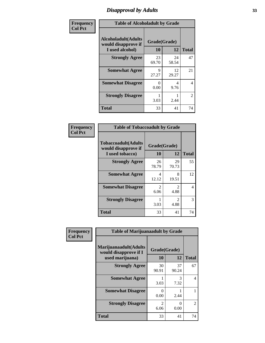# *Disapproval by Adults* **33**

| Frequency      | <b>Table of Alcoholadult by Grade</b>                                 |                    |             |                |
|----------------|-----------------------------------------------------------------------|--------------------|-------------|----------------|
| <b>Col Pct</b> | <b>Alcoholadult</b> (Adults<br>would disapprove if<br>I used alcohol) | Grade(Grade)<br>10 | 12          | <b>Total</b>   |
|                | <b>Strongly Agree</b>                                                 | 23<br>69.70        | 24<br>58.54 | 47             |
|                | <b>Somewhat Agree</b>                                                 | 9<br>27.27         | 12<br>29.27 | 21             |
|                | <b>Somewhat Disagree</b>                                              | 0<br>0.00          | 4<br>9.76   | 4              |
|                | <b>Strongly Disagree</b>                                              | 1<br>3.03          | 2.44        | $\overline{2}$ |
|                | <b>Total</b>                                                          | 33                 | 41          | 74             |

| <b>Table of Tobaccoadult by Grade</b>                                 |                       |                                     |    |  |  |
|-----------------------------------------------------------------------|-----------------------|-------------------------------------|----|--|--|
| <b>Tobaccoadult</b> (Adults<br>would disapprove if<br>I used tobacco) | Grade(Grade)<br>10    | <b>Total</b>                        |    |  |  |
| <b>Strongly Agree</b>                                                 | 26<br>78.79           | 29<br>70.73                         | 55 |  |  |
| <b>Somewhat Agree</b>                                                 | 4<br>12.12            | 8<br>19.51                          | 12 |  |  |
| <b>Somewhat Disagree</b>                                              | $\mathcal{L}$<br>6.06 | $\mathcal{L}$<br>4.88               | 4  |  |  |
| <b>Strongly Disagree</b>                                              | 3.03                  | $\mathcal{D}_{\mathcal{L}}$<br>4.88 | 3  |  |  |
| <b>Total</b>                                                          | 33                    | 41                                  | 74 |  |  |

| Frequency      | <b>Table of Marijuanaadult by Grade</b>                           |                    |                  |                |
|----------------|-------------------------------------------------------------------|--------------------|------------------|----------------|
| <b>Col Pct</b> | Marijuanaadult(Adults<br>would disapprove if I<br>used marijuana) | Grade(Grade)<br>10 | 12               | <b>Total</b>   |
|                | <b>Strongly Agree</b>                                             | 30<br>90.91        | 37<br>90.24      | 67             |
|                | <b>Somewhat Agree</b>                                             | 3.03               | 3<br>7.32        | $\overline{4}$ |
|                | <b>Somewhat Disagree</b>                                          | 0<br>0.00          | 2.44             |                |
|                | <b>Strongly Disagree</b>                                          | 2<br>6.06          | $\theta$<br>0.00 | $\overline{2}$ |
|                | <b>Total</b>                                                      | 33                 | 41               | 74             |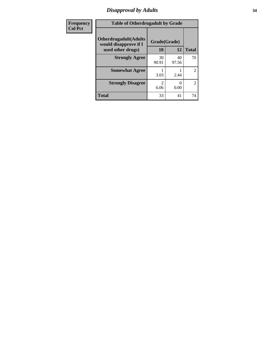# *Disapproval by Adults* **34**

| Frequency      | <b>Table of Otherdrugadult by Grade</b>                                     |                           |                           |                |
|----------------|-----------------------------------------------------------------------------|---------------------------|---------------------------|----------------|
| <b>Col Pct</b> | <b>Otherdrugadult</b> (Adults<br>would disapprove if I<br>used other drugs) | Grade(Grade)<br><b>10</b> | 12                        | <b>Total</b>   |
|                | <b>Strongly Agree</b>                                                       | 30<br>90.91               | 40<br>97.56               | 70             |
|                | <b>Somewhat Agree</b>                                                       | 3.03                      | 2.44                      | $\overline{2}$ |
|                | <b>Strongly Disagree</b>                                                    | $\mathcal{D}$<br>6.06     | $\mathbf{\Omega}$<br>0.00 | $\overline{2}$ |
|                | <b>Total</b>                                                                | 33                        | 41                        | 74             |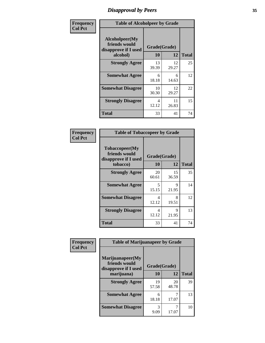# *Disapproval by Peers* **35**

| Frequency      | <b>Table of Alcoholpeer by Grade</b>                    |              |             |              |
|----------------|---------------------------------------------------------|--------------|-------------|--------------|
| <b>Col Pct</b> | Alcoholpeer(My<br>friends would<br>disapprove if I used | Grade(Grade) |             |              |
|                | alcohol)                                                | 10           | 12          | <b>Total</b> |
|                | <b>Strongly Agree</b>                                   | 13<br>39.39  | 12<br>29.27 | 25           |
|                | <b>Somewhat Agree</b>                                   | 6<br>18.18   | 6<br>14.63  | 12           |
|                | <b>Somewhat Disagree</b>                                | 10<br>30.30  | 12<br>29.27 | 22           |
|                | <b>Strongly Disagree</b>                                | 4<br>12.12   | 11<br>26.83 | 15           |
|                | Total                                                   | 33           | 41          | 74           |

| Frequency      | <b>Table of Tobaccopeer by Grade</b>                                |                    |             |              |
|----------------|---------------------------------------------------------------------|--------------------|-------------|--------------|
| <b>Col Pct</b> | Tobaccopeer(My<br>friends would<br>disapprove if I used<br>tobacco) | Grade(Grade)<br>10 | 12          | <b>Total</b> |
|                |                                                                     |                    |             |              |
|                | <b>Strongly Agree</b>                                               | 20<br>60.61        | 15<br>36.59 | 35           |
|                | <b>Somewhat Agree</b>                                               | 5<br>15.15         | 9<br>21.95  | 14           |
|                | <b>Somewhat Disagree</b>                                            | 4<br>12.12         | 8<br>19.51  | 12           |
|                | <b>Strongly Disagree</b>                                            | 4<br>12.12         | 9<br>21.95  | 13           |
|                | Total                                                               | 33                 | 41          | 74           |

| Frequency      | <b>Table of Marijuanapeer by Grade</b>                    |              |             |              |
|----------------|-----------------------------------------------------------|--------------|-------------|--------------|
| <b>Col Pct</b> | Marijuanapeer(My<br>friends would<br>disapprove if I used | Grade(Grade) |             |              |
|                | marijuana)                                                | 10           | 12          | <b>Total</b> |
|                | <b>Strongly Agree</b>                                     | 19<br>57.58  | 20<br>48.78 | 39           |
|                | <b>Somewhat Agree</b>                                     | 6<br>18.18   | 17.07       | 13           |
|                | <b>Somewhat Disagree</b>                                  | 3<br>9.09    | 17.07       | 10           |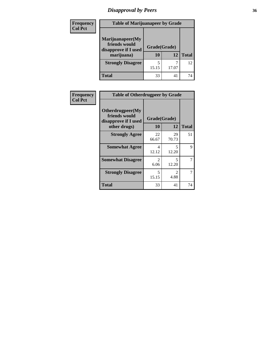# *Disapproval by Peers* **36**

| <b>Frequency</b><br><b>Col Pct</b> | <b>Table of Marijuanapeer by Grade</b>                                  |                    |       |              |
|------------------------------------|-------------------------------------------------------------------------|--------------------|-------|--------------|
|                                    | Marijuanapeer(My<br>friends would<br>disapprove if I used<br>marijuana) | Grade(Grade)<br>10 | 12    | <b>Total</b> |
|                                    | <b>Strongly Disagree</b>                                                | 15.15              | 17.07 | 12           |
|                                    | Total                                                                   | 33                 | 41    | 74           |

| Frequency      | <b>Table of Otherdrugpeer by Grade</b>                                    |                        |                        |              |
|----------------|---------------------------------------------------------------------------|------------------------|------------------------|--------------|
| <b>Col Pct</b> | Otherdrugpeer(My<br>friends would<br>disapprove if I used<br>other drugs) | Grade(Grade)<br>10     | 12                     | <b>Total</b> |
|                | <b>Strongly Agree</b>                                                     | 22<br>66.67            | 29<br>70.73            | 51           |
|                | <b>Somewhat Agree</b>                                                     | 4<br>12.12             | 5<br>12.20             | 9            |
|                | <b>Somewhat Disagree</b>                                                  | $\overline{2}$<br>6.06 | 5<br>12.20             |              |
|                | <b>Strongly Disagree</b>                                                  | 5<br>15.15             | $\mathfrak{D}$<br>4.88 |              |
|                | <b>Total</b>                                                              | 33                     | 41                     | 74           |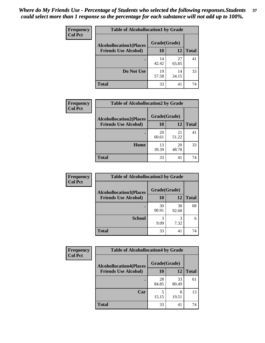| Frequency      | <b>Table of Alcohollocation1 by Grade</b> |              |             |              |
|----------------|-------------------------------------------|--------------|-------------|--------------|
| <b>Col Pct</b> | <b>Alcohollocation1(Places</b>            | Grade(Grade) |             |              |
|                | <b>Friends Use Alcohol)</b>               | 10           | 12          | <b>Total</b> |
|                |                                           | 14<br>42.42  | 27<br>65.85 | 41           |
|                | Do Not Use                                | 19<br>57.58  | 14<br>34.15 | 33           |
|                | <b>Total</b>                              | 33           | 41          | 74           |

| Frequency      | <b>Table of Alcohollocation2 by Grade</b>                     |                    |             |              |
|----------------|---------------------------------------------------------------|--------------------|-------------|--------------|
| <b>Col Pct</b> | <b>Alcohollocation2(Places</b><br><b>Friends Use Alcohol)</b> | Grade(Grade)<br>10 | 12          | <b>Total</b> |
|                |                                                               | 20<br>60.61        | 21<br>51.22 | 41           |
|                | Home                                                          | 13<br>39.39        | 20<br>48.78 | 33           |
|                | <b>Total</b>                                                  | 33                 | 41          | 74           |

| Frequency<br><b>Col Pct</b> | <b>Table of Alcohollocation 3 by Grade</b>                    |                    |             |              |
|-----------------------------|---------------------------------------------------------------|--------------------|-------------|--------------|
|                             | <b>Alcohollocation3(Places</b><br><b>Friends Use Alcohol)</b> | Grade(Grade)<br>10 | 12          | <b>Total</b> |
|                             |                                                               | 30<br>90.91        | 38<br>92.68 | 68           |
|                             | <b>School</b>                                                 | 9.09               | 3<br>7.32   | 6            |
|                             | <b>Total</b>                                                  | 33                 | 41          | 74           |

| <b>Frequency</b> | <b>Table of Alcohollocation4 by Grade</b> |             |              |              |  |
|------------------|-------------------------------------------|-------------|--------------|--------------|--|
| <b>Col Pct</b>   | <b>Alcohollocation4(Places</b>            |             | Grade(Grade) |              |  |
|                  | <b>Friends Use Alcohol)</b>               | 10          | 12           | <b>Total</b> |  |
|                  |                                           | 28<br>84.85 | 33<br>80.49  | 61           |  |
|                  | Car                                       | 5<br>15.15  | 8<br>19.51   | 13           |  |
|                  | <b>Total</b>                              | 33          | 41           | 74           |  |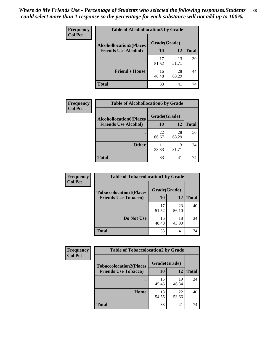| Frequency<br><b>Col Pct</b> | <b>Table of Alcohollocation5 by Grade</b>      |             |             |              |  |
|-----------------------------|------------------------------------------------|-------------|-------------|--------------|--|
|                             | Grade(Grade)<br><b>Alcohollocation5(Places</b> |             |             |              |  |
|                             | <b>Friends Use Alcohol)</b>                    | 10          | 12          | <b>Total</b> |  |
|                             |                                                | 17<br>51.52 | 13<br>31.71 | 30           |  |
|                             | <b>Friend's House</b>                          | 16<br>48.48 | 28<br>68.29 | 44           |  |
|                             | Total                                          | 33          | 41          | 74           |  |

| <b>Frequency</b> | <b>Table of Alcohollocation6 by Grade</b>                     |                           |             |              |
|------------------|---------------------------------------------------------------|---------------------------|-------------|--------------|
| <b>Col Pct</b>   | <b>Alcohollocation6(Places</b><br><b>Friends Use Alcohol)</b> | Grade(Grade)<br><b>10</b> | 12          | <b>Total</b> |
|                  |                                                               | 22<br>66.67               | 28<br>68.29 | 50           |
|                  | <b>Other</b>                                                  | 11<br>33.33               | 13<br>31.71 | 24           |
|                  | <b>Total</b>                                                  | 33                        | 41          | 74           |

| <b>Frequency</b> | <b>Table of Tobaccolocation1 by Grade</b> |              |             |              |
|------------------|-------------------------------------------|--------------|-------------|--------------|
| <b>Col Pct</b>   | <b>Tobaccolocation1(Places</b>            | Grade(Grade) |             |              |
|                  | <b>Friends Use Tobacco)</b>               | 10           | 12          | <b>Total</b> |
|                  |                                           | 17<br>51.52  | 23<br>56.10 | 40           |
|                  | Do Not Use                                | 16<br>48.48  | 18<br>43.90 | 34           |
|                  | <b>Total</b>                              | 33           | 41          | 74           |

| <b>Frequency</b> | <b>Table of Tobaccolocation2 by Grade</b> |              |             |              |  |
|------------------|-------------------------------------------|--------------|-------------|--------------|--|
| <b>Col Pct</b>   | <b>Tobaccolocation2(Places</b>            | Grade(Grade) |             |              |  |
|                  | <b>Friends Use Tobacco)</b>               | 10           | <b>12</b>   | <b>Total</b> |  |
|                  |                                           | 15<br>45.45  | 19<br>46.34 | 34           |  |
|                  | Home                                      | 18<br>54.55  | 22<br>53.66 | 40           |  |
|                  | <b>Total</b>                              | 33           | 41          | 74           |  |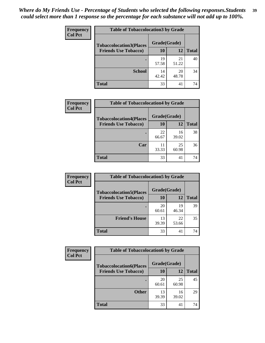| Frequency      | <b>Table of Tobaccolocation3 by Grade</b> |              |             |              |
|----------------|-------------------------------------------|--------------|-------------|--------------|
| <b>Col Pct</b> | <b>Tobaccolocation3(Places</b>            | Grade(Grade) |             |              |
|                | <b>Friends Use Tobacco)</b>               | <b>10</b>    | <b>12</b>   | <b>Total</b> |
|                |                                           | 19<br>57.58  | 21<br>51.22 | 40           |
|                | <b>School</b>                             | 14<br>42.42  | 20<br>48.78 | 34           |
|                | <b>Total</b>                              | 33           | 41          | 74           |

| <b>Frequency</b> | <b>Table of Tobaccolocation4 by Grade</b> |              |             |              |
|------------------|-------------------------------------------|--------------|-------------|--------------|
| <b>Col Pct</b>   | <b>Tobaccolocation4(Places</b>            | Grade(Grade) |             |              |
|                  | <b>Friends Use Tobacco)</b>               | 10           | 12          | <b>Total</b> |
|                  |                                           | 22<br>66.67  | 16<br>39.02 | 38           |
|                  | Car                                       | 11<br>33.33  | 25<br>60.98 | 36           |
|                  | <b>Total</b>                              | 33           | 41          | 74           |

| Frequency      | <b>Table of Tobaccolocation5 by Grade</b> |              |             |              |
|----------------|-------------------------------------------|--------------|-------------|--------------|
| <b>Col Pct</b> | <b>Tobaccolocation5(Places</b>            | Grade(Grade) |             |              |
|                | <b>Friends Use Tobacco)</b>               | 10           | <b>12</b>   | <b>Total</b> |
|                |                                           | 20<br>60.61  | 19<br>46.34 | 39           |
|                | <b>Friend's House</b>                     | 13<br>39.39  | 22<br>53.66 | 35           |
|                | <b>Total</b>                              | 33           | 41          | 74           |

| <b>Frequency</b> | <b>Table of Tobaccolocation6 by Grade</b> |              |             |              |  |
|------------------|-------------------------------------------|--------------|-------------|--------------|--|
| <b>Col Pct</b>   | <b>Tobaccolocation6(Places</b>            | Grade(Grade) |             |              |  |
|                  | <b>Friends Use Tobacco)</b>               | 10           | 12          | <b>Total</b> |  |
|                  |                                           | 20<br>60.61  | 25<br>60.98 | 45           |  |
|                  | <b>Other</b>                              | 13<br>39.39  | 16<br>39.02 | 29           |  |
|                  | <b>Total</b>                              | 33           | 41          | 74           |  |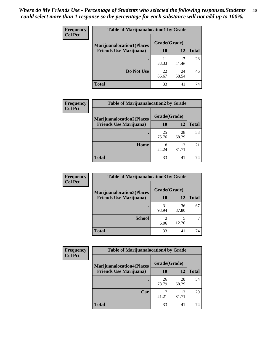| <b>Frequency</b> | <b>Table of Marijuanalocation1 by Grade</b> |              |             |              |
|------------------|---------------------------------------------|--------------|-------------|--------------|
| <b>Col Pct</b>   | <b>Marijuanalocation1(Places</b>            | Grade(Grade) |             |              |
|                  | <b>Friends Use Marijuana</b> )              | 10           | 12          | <b>Total</b> |
|                  |                                             | 11<br>33.33  | 17<br>41.46 | 28           |
|                  | Do Not Use                                  | 22<br>66.67  | 24<br>58.54 | 46           |
|                  | Total                                       | 33           | 41          | 74           |

| <b>Frequency</b> | <b>Table of Marijuanalocation2 by Grade</b>                        |                    |             |              |
|------------------|--------------------------------------------------------------------|--------------------|-------------|--------------|
| <b>Col Pct</b>   | <b>Marijuanalocation2(Places</b><br><b>Friends Use Marijuana</b> ) | Grade(Grade)<br>10 | 12          | <b>Total</b> |
|                  |                                                                    | 25<br>75.76        | 28<br>68.29 | 53           |
|                  | Home                                                               | 8<br>24.24         | 13<br>31.71 | 21           |
|                  | <b>Total</b>                                                       | 33                 | 41          | 74           |

| <b>Frequency</b><br><b>Col Pct</b> | <b>Table of Marijuanalocation3 by Grade</b> |              |             |              |
|------------------------------------|---------------------------------------------|--------------|-------------|--------------|
|                                    | <b>Marijuanalocation3(Places</b>            | Grade(Grade) |             |              |
|                                    | <b>Friends Use Marijuana</b> )              | 10           | 12          | <b>Total</b> |
|                                    |                                             | 31<br>93.94  | 36<br>87.80 | 67           |
|                                    | <b>School</b>                               | 6.06         | 12.20       |              |
|                                    | <b>Total</b>                                | 33           | 41          | 74           |

| <b>Frequency</b> | <b>Table of Marijuanalocation4 by Grade</b> |              |             |              |  |
|------------------|---------------------------------------------|--------------|-------------|--------------|--|
| <b>Col Pct</b>   | <b>Marijuanalocation4(Places</b>            | Grade(Grade) |             |              |  |
|                  | <b>Friends Use Marijuana</b> )              | 10           | 12          | <b>Total</b> |  |
|                  |                                             | 26<br>78.79  | 28<br>68.29 | 54           |  |
|                  | Car                                         | 21.21        | 13<br>31.71 | 20           |  |
|                  | <b>Total</b>                                | 33           | 41          | 74           |  |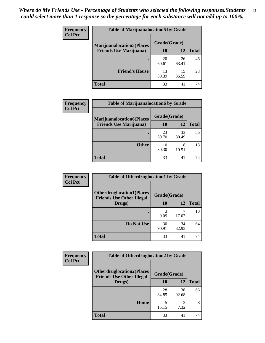| <b>Frequency</b> | <b>Table of Marijuanalocation5 by Grade</b>                         |              |             |              |
|------------------|---------------------------------------------------------------------|--------------|-------------|--------------|
| <b>Col Pct</b>   | <b>Marijuanalocation5(Places)</b><br><b>Friends Use Marijuana</b> ) | Grade(Grade) |             |              |
|                  |                                                                     | 10           | 12          | <b>Total</b> |
|                  |                                                                     | 20<br>60.61  | 26<br>63.41 | 46           |
|                  | <b>Friend's House</b>                                               | 13<br>39.39  | 15<br>36.59 | 28           |
|                  | <b>Total</b>                                                        | 33           | 41          | 74           |

| <b>Frequency</b> | <b>Table of Marijuanalocation6 by Grade</b>                        |                    |             |              |
|------------------|--------------------------------------------------------------------|--------------------|-------------|--------------|
| <b>Col Pct</b>   | <b>Marijuanalocation6(Places</b><br><b>Friends Use Marijuana</b> ) | Grade(Grade)<br>10 | 12          | <b>Total</b> |
|                  |                                                                    | 23<br>69.70        | 33<br>80.49 | 56           |
|                  | <b>Other</b>                                                       | 10<br>30.30        | 8<br>19.51  | 18           |
|                  | <b>Total</b>                                                       | 33                 | 41          | 74           |

| <b>Frequency</b> | <b>Table of Otherdruglocation1 by Grade</b>                          |              |             |              |
|------------------|----------------------------------------------------------------------|--------------|-------------|--------------|
| <b>Col Pct</b>   | <b>Otherdruglocation1(Places</b><br><b>Friends Use Other Illegal</b> | Grade(Grade) |             |              |
|                  | Drugs)                                                               | <b>10</b>    | 12          | <b>Total</b> |
|                  |                                                                      | 3<br>9.09    | 17.07       | 10           |
|                  | Do Not Use                                                           | 30<br>90.91  | 34<br>82.93 | 64           |
|                  | <b>Total</b>                                                         | 33           | 41          | 74           |

| <b>Frequency</b> | <b>Table of Otherdruglocation2 by Grade</b>                          |              |             |              |
|------------------|----------------------------------------------------------------------|--------------|-------------|--------------|
| <b>Col Pct</b>   | <b>Otherdruglocation2(Places</b><br><b>Friends Use Other Illegal</b> | Grade(Grade) |             |              |
|                  | Drugs)                                                               | <b>10</b>    | 12          | <b>Total</b> |
|                  |                                                                      | 28<br>84.85  | 38<br>92.68 | 66           |
|                  | <b>Home</b>                                                          | 15.15        | 3<br>7.32   | 8            |
|                  | <b>Total</b>                                                         | 33           | 41          | 74           |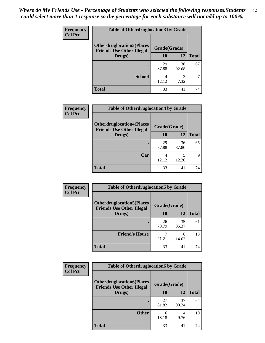| <b>Frequency</b> | <b>Table of Otherdruglocation 3 by Grade</b>                         |              |             |              |
|------------------|----------------------------------------------------------------------|--------------|-------------|--------------|
| <b>Col Pct</b>   | <b>Otherdruglocation3(Places</b><br><b>Friends Use Other Illegal</b> | Grade(Grade) |             |              |
|                  | Drugs)                                                               | 10           | 12          | <b>Total</b> |
|                  |                                                                      | 29<br>87.88  | 38<br>92.68 | 67           |
|                  | <b>School</b>                                                        | 4<br>12.12   | 3<br>7.32   |              |
|                  | <b>Total</b>                                                         | 33           | 41          | 74           |

| <b>Frequency</b> | <b>Table of Otherdruglocation4 by Grade</b>                          |              |             |              |
|------------------|----------------------------------------------------------------------|--------------|-------------|--------------|
| <b>Col Pct</b>   | <b>Otherdruglocation4(Places</b><br><b>Friends Use Other Illegal</b> | Grade(Grade) |             |              |
|                  | Drugs)                                                               | 10           | 12          | <b>Total</b> |
|                  |                                                                      | 29<br>87.88  | 36<br>87.80 | 65           |
|                  | Car                                                                  | 12.12        | 12.20       | Q            |
|                  | <b>Total</b>                                                         | 33           | 41          | 74           |

| <b>Frequency</b> | <b>Table of Otherdruglocation5 by Grade</b>                          |              |             |              |
|------------------|----------------------------------------------------------------------|--------------|-------------|--------------|
| <b>Col Pct</b>   | <b>Otherdruglocation5(Places</b><br><b>Friends Use Other Illegal</b> | Grade(Grade) |             |              |
|                  | Drugs)                                                               | 10           | 12          | <b>Total</b> |
|                  |                                                                      | 26<br>78.79  | 35<br>85.37 | 61           |
|                  | <b>Friend's House</b>                                                | 21.21        | 6<br>14.63  | 13           |
|                  | <b>Total</b>                                                         | 33           | 41          | 74           |

| <b>Frequency</b> | <b>Table of Otherdruglocation6 by Grade</b>                          |              |             |              |
|------------------|----------------------------------------------------------------------|--------------|-------------|--------------|
| <b>Col Pct</b>   | <b>Otherdruglocation6(Places</b><br><b>Friends Use Other Illegal</b> | Grade(Grade) |             |              |
|                  | Drugs)                                                               | <b>10</b>    | 12          | <b>Total</b> |
|                  |                                                                      | 27<br>81.82  | 37<br>90.24 | 64           |
|                  | <b>Other</b>                                                         | 6<br>18.18   | 4<br>9.76   | 10           |
|                  | <b>Total</b>                                                         | 33           | 41          | 74           |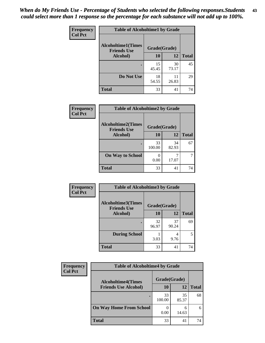| <b>Frequency</b> | <b>Table of Alcoholtime1 by Grade</b>           |              |             |              |
|------------------|-------------------------------------------------|--------------|-------------|--------------|
| <b>Col Pct</b>   | <b>Alcoholtime1(Times</b><br><b>Friends Use</b> | Grade(Grade) |             |              |
|                  | Alcohol)                                        | 10           | 12          | <b>Total</b> |
|                  |                                                 | 15<br>45.45  | 30<br>73.17 | 45           |
|                  | Do Not Use                                      | 18<br>54.55  | 11<br>26.83 | 29           |
|                  | <b>Total</b>                                    | 33           | 41          | 74           |

| Frequency | <b>Table of Alcoholtime2 by Grade</b>           |              |             |              |
|-----------|-------------------------------------------------|--------------|-------------|--------------|
| Col Pct   | <b>Alcoholtime2(Times</b><br><b>Friends Use</b> | Grade(Grade) |             |              |
|           | Alcohol)                                        | 10           | <b>12</b>   | <b>Total</b> |
|           |                                                 | 33<br>100.00 | 34<br>82.93 | 67           |
|           | <b>On Way to School</b>                         | 0.00         | 17.07       |              |
|           | <b>Total</b>                                    | 33           | 41          | 74           |

| Frequency      | <b>Table of Alcoholtime3 by Grade</b>           |              |             |              |
|----------------|-------------------------------------------------|--------------|-------------|--------------|
| <b>Col Pct</b> | <b>Alcoholtime3(Times</b><br><b>Friends Use</b> | Grade(Grade) |             |              |
|                | Alcohol)                                        | <b>10</b>    | 12          | <b>Total</b> |
|                |                                                 | 32<br>96.97  | 37<br>90.24 | 69           |
|                | <b>During School</b>                            | 3.03         | 4<br>9.76   | 5            |
|                | <b>Total</b>                                    | 33           | 41          | 74           |

| <b>Frequency</b> | <b>Table of Alcoholtime4 by Grade</b> |              |             |              |  |
|------------------|---------------------------------------|--------------|-------------|--------------|--|
| <b>Col Pct</b>   | <b>Alcoholtime4(Times</b>             | Grade(Grade) |             |              |  |
|                  | <b>Friends Use Alcohol)</b>           | 10           | 12          | <b>Total</b> |  |
|                  | ٠                                     | 33<br>100.00 | 35<br>85.37 | 68           |  |
|                  | <b>On Way Home From School</b>        | 0.00         | 6<br>14.63  | 6            |  |
|                  | <b>Total</b>                          | 33           | 41          | 74           |  |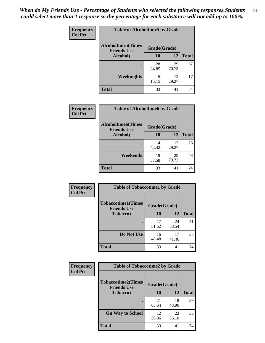*When do My Friends Use - Percentage of Students who selected the following responses.Students could select more than 1 response so the percentage for each substance will not add up to 100%.* **44**

| Frequency      | <b>Table of Alcoholtime5 by Grade</b>           |              |             |              |
|----------------|-------------------------------------------------|--------------|-------------|--------------|
| <b>Col Pct</b> | <b>Alcoholtime5(Times</b><br><b>Friends Use</b> | Grade(Grade) |             |              |
|                | Alcohol)                                        | 10           | <b>12</b>   | <b>Total</b> |
|                |                                                 | 28<br>84.85  | 29<br>70.73 | 57           |
|                | <b>Weeknights</b>                               | 15.15        | 12<br>29.27 | 17           |
|                | <b>Total</b>                                    | 33           | 41          | 74           |

| Frequency      | <b>Table of Alcoholtime6 by Grade</b>           |              |             |              |
|----------------|-------------------------------------------------|--------------|-------------|--------------|
| <b>Col Pct</b> | <b>Alcoholtime6(Times</b><br><b>Friends Use</b> | Grade(Grade) |             |              |
|                | Alcohol)                                        | 10           | 12          | <b>Total</b> |
|                |                                                 | 14<br>42.42  | 12<br>29.27 | 26           |
|                | Weekends                                        | 19<br>57.58  | 29<br>70.73 | 48           |
|                | <b>Total</b>                                    | 33           | 41          | 74           |

| <b>Frequency</b> | <b>Table of Tobaccotime1 by Grade</b>           |              |             |              |
|------------------|-------------------------------------------------|--------------|-------------|--------------|
| <b>Col Pct</b>   | <b>Tobaccotime1(Times</b><br><b>Friends Use</b> | Grade(Grade) |             |              |
|                  | <b>Tobacco</b> )                                | 10           | <b>12</b>   | <b>Total</b> |
|                  | ٠                                               | 17<br>51.52  | 24<br>58.54 | 41           |
|                  | Do Not Use                                      | 16<br>48.48  | 17<br>41.46 | 33           |
|                  | <b>Total</b>                                    | 33           | 41          | 74           |

| <b>Frequency</b> | <b>Table of Tobaccotime2 by Grade</b>           |              |             |              |
|------------------|-------------------------------------------------|--------------|-------------|--------------|
| <b>Col Pct</b>   | <b>Tobaccotime2(Times</b><br><b>Friends Use</b> | Grade(Grade) |             |              |
|                  | <b>Tobacco</b> )                                | 10           | 12          | <b>Total</b> |
|                  |                                                 | 21<br>63.64  | 18<br>43.90 | 39           |
|                  | <b>On Way to School</b>                         | 12<br>36.36  | 23<br>56.10 | 35           |
|                  | <b>Total</b>                                    | 33           | 41          | 74           |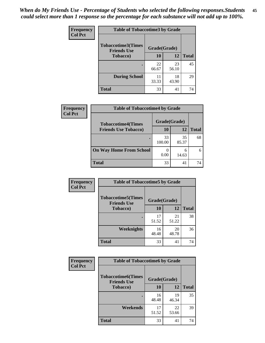| <b>Frequency</b> | <b>Table of Tobaccotime3 by Grade</b>           |              |             |              |
|------------------|-------------------------------------------------|--------------|-------------|--------------|
| <b>Col Pct</b>   | <b>Tobaccotime3(Times</b><br><b>Friends Use</b> | Grade(Grade) |             |              |
|                  | <b>Tobacco</b> )                                | 10           | 12          | <b>Total</b> |
|                  |                                                 | 22<br>66.67  | 23<br>56.10 | 45           |
|                  | <b>During School</b>                            | 11<br>33.33  | 18<br>43.90 | 29           |
|                  | <b>Total</b>                                    | 33           | 41          | 74           |

| <b>Frequency</b><br><b>Col Pct</b> | <b>Table of Tobaccotime4 by Grade</b> |              |             |              |
|------------------------------------|---------------------------------------|--------------|-------------|--------------|
|                                    | <b>Tobaccotime4(Times</b>             | Grade(Grade) |             |              |
|                                    | <b>Friends Use Tobacco)</b>           | 10           | 12          | <b>Total</b> |
|                                    |                                       | 33<br>100.00 | 35<br>85.37 | 68           |
|                                    | <b>On Way Home From School</b>        | 0.00         | 6<br>14.63  | 6            |
|                                    | <b>Total</b>                          | 33           | 41          | 74           |

| <b>Frequency</b> | <b>Table of Tobaccotime5 by Grade</b>            |              |             |              |
|------------------|--------------------------------------------------|--------------|-------------|--------------|
| <b>Col Pct</b>   | <b>Tobaccotime5</b> (Times<br><b>Friends Use</b> | Grade(Grade) |             |              |
|                  | <b>Tobacco</b> )                                 | 10           | 12          | <b>Total</b> |
|                  |                                                  | 17<br>51.52  | 21<br>51.22 | 38           |
|                  | Weeknights                                       | 16<br>48.48  | 20<br>48.78 | 36           |
|                  | <b>Total</b>                                     | 33           | 41          | 74           |

| Frequency      | <b>Table of Tobaccotime6 by Grade</b>                           |             |             |              |
|----------------|-----------------------------------------------------------------|-------------|-------------|--------------|
| <b>Col Pct</b> | <b>Tobaccotime6(Times</b><br>Grade(Grade)<br><b>Friends Use</b> |             |             |              |
|                | <b>Tobacco</b> )                                                | 10          | 12          | <b>Total</b> |
|                | ٠                                                               | 16<br>48.48 | 19<br>46.34 | 35           |
|                | Weekends                                                        | 17<br>51.52 | 22<br>53.66 | 39           |
|                | <b>Total</b>                                                    | 33          | 41          | 74           |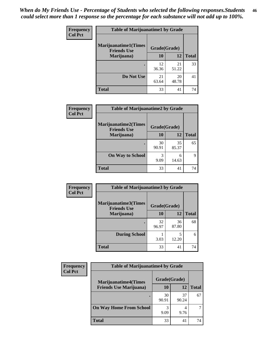| Frequency      | <b>Table of Marijuanatime1 by Grade</b>           |              |             |              |
|----------------|---------------------------------------------------|--------------|-------------|--------------|
| <b>Col Pct</b> | <b>Marijuanatime1(Times</b><br><b>Friends Use</b> | Grade(Grade) |             |              |
|                | Marijuana)                                        | 10           | 12          | <b>Total</b> |
|                |                                                   | 12<br>36.36  | 21<br>51.22 | 33           |
|                | Do Not Use                                        | 21<br>63.64  | 20<br>48.78 | 41           |
|                | <b>Total</b>                                      | 33           | 41          | 74           |

| <b>Frequency</b> | <b>Table of Marijuanatime2 by Grade</b>           |              |             |              |
|------------------|---------------------------------------------------|--------------|-------------|--------------|
| <b>Col Pct</b>   | <b>Marijuanatime2(Times</b><br><b>Friends Use</b> | Grade(Grade) |             |              |
|                  | Marijuana)                                        | 10           | 12          | <b>Total</b> |
|                  |                                                   | 30<br>90.91  | 35<br>85.37 | 65           |
|                  | <b>On Way to School</b>                           | 3<br>9.09    | 6<br>14.63  | 9            |
|                  | <b>Total</b>                                      | 33           | 41          | 74           |

| Frequency      | <b>Table of Marijuanatime3 by Grade</b>    |              |             |              |
|----------------|--------------------------------------------|--------------|-------------|--------------|
| <b>Col Pct</b> | Marijuanatime3(Times<br><b>Friends Use</b> | Grade(Grade) |             |              |
|                | Marijuana)                                 | 10           | 12          | <b>Total</b> |
|                |                                            | 32<br>96.97  | 36<br>87.80 | 68           |
|                | <b>During School</b>                       | 3.03         | 5<br>12.20  | 6            |
|                | <b>Total</b>                               | 33           | 41          | 74           |

| <b>Frequency</b> | <b>Table of Marijuanatime4 by Grade</b> |              |             |              |
|------------------|-----------------------------------------|--------------|-------------|--------------|
| <b>Col Pct</b>   | <b>Marijuanatime4(Times</b>             | Grade(Grade) |             |              |
|                  | <b>Friends Use Marijuana</b> )          | 10           | 12          | <b>Total</b> |
|                  |                                         | 30<br>90.91  | 37<br>90.24 | 67           |
|                  | <b>On Way Home From School</b>          | 3<br>9.09    | 9.76        |              |
|                  | <b>Total</b>                            | 33           | 41          | 74           |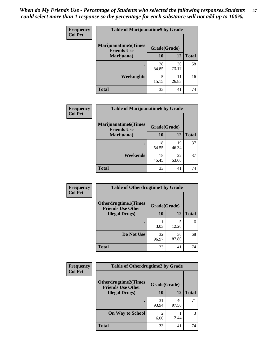| <b>Frequency</b> | <b>Table of Marijuanatime5 by Grade</b>            |              |             |              |
|------------------|----------------------------------------------------|--------------|-------------|--------------|
| <b>Col Pct</b>   | <b>Marijuanatime5</b> (Times<br><b>Friends Use</b> | Grade(Grade) |             |              |
|                  | Marijuana)                                         | 10           | 12          | <b>Total</b> |
|                  |                                                    | 28<br>84.85  | 30<br>73.17 | 58           |
|                  | Weeknights                                         | 5<br>15.15   | 11<br>26.83 | 16           |
|                  | <b>Total</b>                                       | 33           | 41          | 74           |

| Frequency      | <b>Table of Marijuanatime6 by Grade</b>           |              |             |              |
|----------------|---------------------------------------------------|--------------|-------------|--------------|
| <b>Col Pct</b> | <b>Marijuanatime6(Times</b><br><b>Friends Use</b> | Grade(Grade) |             |              |
|                | Marijuana)                                        | 10           | 12          | <b>Total</b> |
|                |                                                   | 18<br>54.55  | 19<br>46.34 | 37           |
|                | Weekends                                          | 15<br>45.45  | 22<br>53.66 | 37           |
|                | <b>Total</b>                                      | 33           | 41          | 74           |

| Frequency      | <b>Table of Otherdrugtime1 by Grade</b>                  |              |             |              |
|----------------|----------------------------------------------------------|--------------|-------------|--------------|
| <b>Col Pct</b> | <b>Otherdrugtime1</b> (Times<br><b>Friends Use Other</b> | Grade(Grade) |             |              |
|                | <b>Illegal Drugs</b> )                                   | 10           | 12          | <b>Total</b> |
|                |                                                          | 3.03         | 5<br>12.20  | 6            |
|                | Do Not Use                                               | 32<br>96.97  | 36<br>87.80 | 68           |
|                | <b>Total</b>                                             | 33           | 41          | 74           |

| <b>Frequency</b><br><b>Col Pct</b> | <b>Table of Otherdrugtime2 by Grade</b>                 |                                  |             |              |
|------------------------------------|---------------------------------------------------------|----------------------------------|-------------|--------------|
|                                    | <b>Otherdrugtime2(Times</b><br><b>Friends Use Other</b> | Grade(Grade)                     |             |              |
|                                    | <b>Illegal Drugs</b> )                                  | 10                               | 12          | <b>Total</b> |
|                                    |                                                         | 31<br>93.94                      | 40<br>97.56 | 71           |
|                                    | <b>On Way to School</b>                                 | $\overline{\mathcal{L}}$<br>6.06 | 2.44        | 3            |
|                                    | <b>Total</b>                                            | 33                               | 41          | 74           |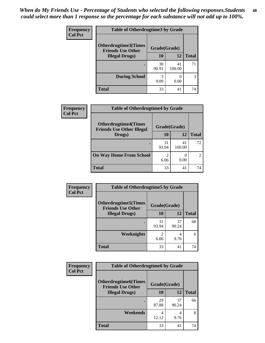| <b>Frequency</b> | <b>Table of Otherdrugtime3 by Grade</b>          |              |              |              |
|------------------|--------------------------------------------------|--------------|--------------|--------------|
| <b>Col Pct</b>   | Otherdrugtime3(Times<br><b>Friends Use Other</b> | Grade(Grade) |              |              |
|                  | <b>Illegal Drugs</b> )                           | 10           | 12           | <b>Total</b> |
|                  |                                                  | 30<br>90.91  | 41<br>100.00 | 71           |
|                  | <b>During School</b>                             | 3<br>9.09    | 0<br>0.00    | 3            |
|                  | Total                                            | 33           | 41           | 74           |

| Frequency      | <b>Table of Otherdrugtime4 by Grade</b>                         |              |              |              |
|----------------|-----------------------------------------------------------------|--------------|--------------|--------------|
| <b>Col Pct</b> | <b>Otherdrugtime4(Times</b><br><b>Friends Use Other Illegal</b> | Grade(Grade) |              |              |
|                | Drugs)                                                          | 10           | 12           | <b>Total</b> |
|                | ٠                                                               | 31<br>93.94  | 41<br>100.00 | 72           |
|                | <b>On Way Home From School</b>                                  | 2<br>6.06    | 0.00         | 2            |
|                | Total                                                           | 33           | 41           | 74           |

| <b>Frequency</b> | <b>Table of Otherdrugtime5 by Grade</b>                  |                        |             |              |
|------------------|----------------------------------------------------------|------------------------|-------------|--------------|
| <b>Col Pct</b>   | <b>Otherdrugtime5</b> (Times<br><b>Friends Use Other</b> | Grade(Grade)           |             |              |
|                  | <b>Illegal Drugs</b> )                                   | 10                     | 12          | <b>Total</b> |
|                  |                                                          | 31<br>93.94            | 37<br>90.24 | 68           |
|                  | Weeknights                                               | $\mathfrak{D}$<br>6.06 | 4<br>9.76   | 6            |
|                  | <b>Total</b>                                             | 33                     | 41          | 74           |

| <b>Frequency</b><br><b>Col Pct</b> | <b>Table of Otherdrugtime6 by Grade</b>                 |              |             |              |
|------------------------------------|---------------------------------------------------------|--------------|-------------|--------------|
|                                    | <b>Otherdrugtime6(Times</b><br><b>Friends Use Other</b> | Grade(Grade) |             |              |
|                                    | <b>Illegal Drugs</b> )                                  | 10           | 12          | <b>Total</b> |
|                                    |                                                         | 29<br>87.88  | 37<br>90.24 | 66           |
|                                    | Weekends                                                | 4<br>12.12   | 4<br>9.76   | 8            |
|                                    | Total                                                   | 33           | 41          | 74           |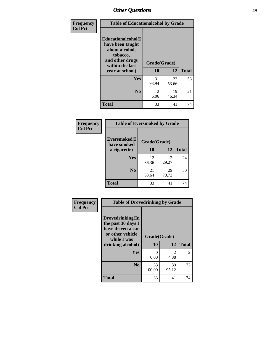| Frequency      | <b>Table of Educationalcohol by Grade</b>                                                                  |              |             |              |  |  |  |
|----------------|------------------------------------------------------------------------------------------------------------|--------------|-------------|--------------|--|--|--|
| <b>Col Pct</b> | Educationalcohol(I<br>have been taught<br>about alcohol,<br>tobacco,<br>and other drugs<br>within the last | Grade(Grade) |             |              |  |  |  |
|                | year at school)                                                                                            | 10           | 12          | <b>Total</b> |  |  |  |
|                | Yes                                                                                                        | 31<br>93.94  | 22<br>53.66 | 53           |  |  |  |
|                | N <sub>0</sub>                                                                                             | 2<br>6.06    | 19<br>46.34 | 21           |  |  |  |
|                | <b>Total</b>                                                                                               | 33           | 41          | 74           |  |  |  |

| Frequency      | <b>Table of Eversmoked by Grade</b> |              |             |              |  |  |  |
|----------------|-------------------------------------|--------------|-------------|--------------|--|--|--|
| <b>Col Pct</b> | Eversmoked(I<br>have smoked         | Grade(Grade) |             |              |  |  |  |
|                | a cigarette)                        | <b>10</b>    | 12          | <b>Total</b> |  |  |  |
|                | <b>Yes</b>                          | 12<br>36.36  | 12<br>29.27 | 24           |  |  |  |
|                | N <sub>0</sub>                      | 21<br>63.64  | 29<br>70.73 | 50           |  |  |  |
|                | Total                               | 33           | 41          | 74           |  |  |  |

| Frequency      | <b>Table of Drovedrinking by Grade</b>                                                                              |                      |                        |              |  |  |
|----------------|---------------------------------------------------------------------------------------------------------------------|----------------------|------------------------|--------------|--|--|
| <b>Col Pct</b> | Drovedrinking(In<br>the past 30 days I<br>have driven a car<br>or other vehicle<br>while I was<br>drinking alcohol) | Grade(Grade)<br>10   | 12                     | <b>Total</b> |  |  |
|                | <b>Yes</b>                                                                                                          | $\mathbf{0}$<br>0.00 | $\mathfrak{D}$<br>4.88 | 2            |  |  |
|                | N <sub>0</sub>                                                                                                      | 33<br>100.00         | 39<br>95.12            | 72           |  |  |
|                | <b>Total</b>                                                                                                        | 33                   | 41                     | 74           |  |  |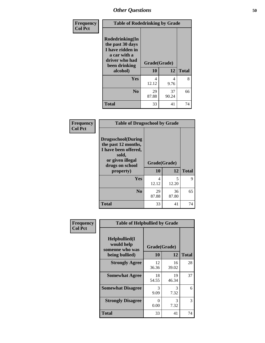| Frequency<br><b>Col Pct</b> | <b>Table of Rodedrinking by Grade</b>                                                                      |              |             |              |  |  |  |
|-----------------------------|------------------------------------------------------------------------------------------------------------|--------------|-------------|--------------|--|--|--|
|                             | Rodedrinking(In<br>the past 30 days<br>I have ridden in<br>a car with a<br>driver who had<br>been drinking | Grade(Grade) |             |              |  |  |  |
|                             | alcohol)                                                                                                   | 10           | 12          | <b>Total</b> |  |  |  |
|                             | <b>Yes</b>                                                                                                 | 4<br>12.12   | 4<br>9.76   | 8            |  |  |  |
|                             | N <sub>0</sub>                                                                                             | 29<br>87.88  | 37<br>90.24 | 66           |  |  |  |
|                             | <b>Total</b>                                                                                               | 33           | 41          | 74           |  |  |  |

### **Frequency Col Pct**

| <b>Table of Drugsschool by Grade</b>                                                                                      |             |              |              |  |  |  |
|---------------------------------------------------------------------------------------------------------------------------|-------------|--------------|--------------|--|--|--|
| <b>Drugsschool</b> (During<br>the past 12 months,<br>I have been offered,<br>sold,<br>or given illegal<br>drugs on school |             | Grade(Grade) |              |  |  |  |
| property)                                                                                                                 | 10          | 12           | <b>Total</b> |  |  |  |
| Yes                                                                                                                       | 4<br>12.12  | 5<br>12.20   | Q            |  |  |  |
| N <sub>0</sub>                                                                                                            | 29<br>87.88 | 36<br>87.80  | 65           |  |  |  |
| <b>Total</b>                                                                                                              | 33          | 41           | 74           |  |  |  |

| Frequency      | <b>Table of Helpbullied by Grade</b>           |                           |             |              |  |  |  |
|----------------|------------------------------------------------|---------------------------|-------------|--------------|--|--|--|
| <b>Col Pct</b> | Helpbullied(I<br>would help<br>someone who was | Grade(Grade)              |             |              |  |  |  |
|                | being bullied)                                 | <b>10</b>                 | 12          | <b>Total</b> |  |  |  |
|                | <b>Strongly Agree</b>                          | 12<br>36.36               | 16<br>39.02 | 28           |  |  |  |
|                | <b>Somewhat Agree</b>                          | 18<br>54.55               | 19<br>46.34 | 37           |  |  |  |
|                | <b>Somewhat Disagree</b>                       | 3<br>9.09                 | 3<br>7.32   | 6            |  |  |  |
|                | <b>Strongly Disagree</b>                       | $\mathbf{\Omega}$<br>0.00 | 3<br>7.32   | 3            |  |  |  |
|                | <b>Total</b>                                   | 33                        | 41          | 74           |  |  |  |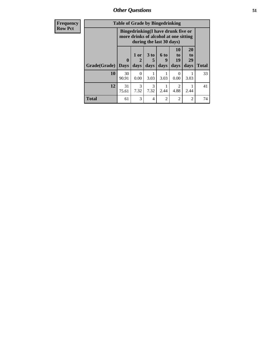*Other Questions* **51**

| <b>Frequency</b> | <b>Table of Grade by Bingedrinking</b> |                         |                |                     |                                                                                                         |                          |                        |              |
|------------------|----------------------------------------|-------------------------|----------------|---------------------|---------------------------------------------------------------------------------------------------------|--------------------------|------------------------|--------------|
| <b>Row Pct</b>   |                                        |                         |                |                     | Bingedrinking(I have drunk five or<br>more drinks of alcohol at one sitting<br>during the last 30 days) |                          |                        |              |
|                  | Grade(Grade)                           | $\bf{0}$<br><b>Days</b> | $1$ or<br>days | $3$ to<br>5<br>days | $6$ to<br>9<br>days                                                                                     | 10<br>to  <br>19<br>days | 20<br>to<br>29<br>days | <b>Total</b> |
|                  | 10                                     | 30<br>90.91             | 0.00           | 3.03                | 3.03                                                                                                    | $\Omega$<br>0.00         | 3.03                   | 33           |
|                  | 12                                     | 31<br>75.61             | 3<br>7.32      | 3<br>7.32           | 2.44                                                                                                    | $\mathcal{D}$<br>4.88    | 2.44                   | 41           |
|                  | <b>Total</b>                           | 61                      | 3              | 4                   | $\mathfrak{D}$                                                                                          | 2                        | 2                      | 74           |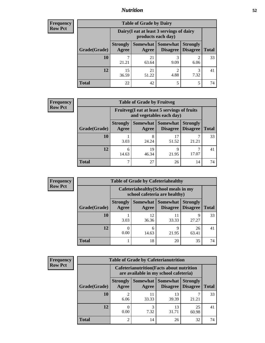## *Nutrition* **52**

| Frequency      |
|----------------|
| <b>Row Pct</b> |

| <b>Table of Grade by Dairy</b> |                                                                                                                                             |                                                                 |                        |                        |    |  |  |
|--------------------------------|---------------------------------------------------------------------------------------------------------------------------------------------|-----------------------------------------------------------------|------------------------|------------------------|----|--|--|
|                                |                                                                                                                                             | Dairy (I eat at least 3 servings of dairy<br>products each day) |                        |                        |    |  |  |
| Grade(Grade)                   | <b>Somewhat</b><br>Somewhat  <br><b>Strongly</b><br><b>Strongly</b><br><b>Disagree</b><br><b>Total</b><br>Agree<br><b>Disagree</b><br>Agree |                                                                 |                        |                        |    |  |  |
| 10                             | 7<br>21.21                                                                                                                                  | 21<br>63.64                                                     | 3<br>9.09              | $\mathfrak{D}$<br>6.06 | 33 |  |  |
| 12                             | 15<br>36.59                                                                                                                                 | 21<br>51.22                                                     | $\overline{2}$<br>4.88 | 3<br>7.32              | 41 |  |  |
| <b>Total</b>                   | 22                                                                                                                                          | 42                                                              | 5                      | 5                      | 74 |  |  |

| <b>Frequency</b> |  |
|------------------|--|
| <b>Row Pct</b>   |  |

| $\mathbf{y}$ | <b>Table of Grade by Fruitveg</b> |                                                                          |                     |                                    |                                    |              |  |  |
|--------------|-----------------------------------|--------------------------------------------------------------------------|---------------------|------------------------------------|------------------------------------|--------------|--|--|
|              |                                   | Fruitveg(I eat at least 5 servings of fruits<br>and vegetables each day) |                     |                                    |                                    |              |  |  |
|              | Grade(Grade)                      | <b>Strongly</b><br>Agree                                                 | Somewhat  <br>Agree | <b>Somewhat</b><br><b>Disagree</b> | <b>Strongly</b><br><b>Disagree</b> | <b>Total</b> |  |  |
|              | 10                                | 3.03                                                                     | 8<br>24.24          | 17<br>51.52                        | 21.21                              | 33           |  |  |
|              | 12                                | 6<br>14.63                                                               | 19<br>46.34         | Q<br>21.95                         | 17.07                              | 41           |  |  |
|              | Total                             | ┑                                                                        | 27                  | 26                                 | 14                                 | 74           |  |  |

| Frequency      | <b>Table of Grade by Cafeteriahealthy</b> |                                                                       |                     |                                    |                                    |              |  |  |
|----------------|-------------------------------------------|-----------------------------------------------------------------------|---------------------|------------------------------------|------------------------------------|--------------|--|--|
| <b>Row Pct</b> |                                           | Cafeteriahealthy (School meals in my<br>school cafeteria are healthy) |                     |                                    |                                    |              |  |  |
|                | <b>Grade</b> (Grade)                      | <b>Strongly</b><br>Agree                                              | Somewhat  <br>Agree | <b>Somewhat</b><br><b>Disagree</b> | <b>Strongly</b><br><b>Disagree</b> | <b>Total</b> |  |  |
|                | 10                                        | 3.03                                                                  | 12<br>36.36         | 11<br>33.33                        | 9<br>27.27                         | 33           |  |  |
|                | 12                                        | 0.00                                                                  | 6<br>14.63          | 9<br>21.95                         | 26<br>63.41                        | 41           |  |  |
|                | Total                                     |                                                                       | 18                  | 20                                 | 35                                 | 74           |  |  |

| Frequency      | <b>Table of Grade by Cafeterianutrition</b> |                          |                                                                                           |                                      |                                    |              |  |
|----------------|---------------------------------------------|--------------------------|-------------------------------------------------------------------------------------------|--------------------------------------|------------------------------------|--------------|--|
| <b>Row Pct</b> |                                             |                          | <b>Cafeterianutrition</b> (Facts about nutrition<br>are available in my school cafeteria) |                                      |                                    |              |  |
|                | Grade(Grade)                                | <b>Strongly</b><br>Agree | Agree                                                                                     | Somewhat Somewhat<br><b>Disagree</b> | <b>Strongly</b><br><b>Disagree</b> | <b>Total</b> |  |
|                | 10                                          | 2<br>6.06                | 11<br>33.33                                                                               | 13<br>39.39                          | 21.21                              | 33           |  |
|                | 12                                          | 0.00                     | 3<br>7.32                                                                                 | 13<br>31.71                          | 25<br>60.98                        | 41           |  |
|                | <b>Total</b>                                | $\overline{2}$           | 14                                                                                        | 26                                   | 32                                 | 74           |  |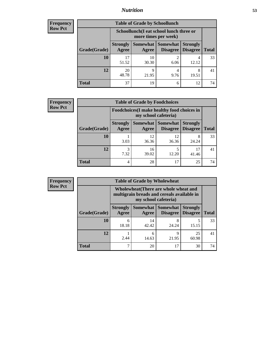## *Nutrition* **53**

| Frequency |
|-----------|
| Row Pct   |

| <b>Table of Grade by Schoollunch</b> |             |                                                                                                                                                                                                         |           |            |    |  |
|--------------------------------------|-------------|---------------------------------------------------------------------------------------------------------------------------------------------------------------------------------------------------------|-----------|------------|----|--|
|                                      |             | Schoollunch(I eat school lunch three or<br>more times per week)<br>Somewhat  <br><b>Somewhat</b><br><b>Strongly</b><br><b>Strongly</b><br><b>Disagree</b><br>Agree<br><b>Total</b><br>Disagree<br>Agree |           |            |    |  |
| Grade(Grade)                         |             |                                                                                                                                                                                                         |           |            |    |  |
| 10                                   | 17<br>51.52 | 10<br>30.30                                                                                                                                                                                             | 2<br>6.06 | 4<br>12.12 | 33 |  |
| 12                                   | 20<br>48.78 | Q<br>21.95                                                                                                                                                                                              | 4<br>9.76 | 8<br>19.51 | 41 |  |
| <b>Total</b>                         | 37          | 19                                                                                                                                                                                                      | 6         | 12         | 74 |  |

| Frequency<br>Row Pct |
|----------------------|

| $\mathbf{c}\mathbf{v}$ | <b>Table of Grade by Foodchoices</b> |                          |                                                                     |                               |                                    |              |  |  |
|------------------------|--------------------------------------|--------------------------|---------------------------------------------------------------------|-------------------------------|------------------------------------|--------------|--|--|
|                        |                                      |                          | Foodchoices (I make healthy food choices in<br>my school cafeteria) |                               |                                    |              |  |  |
|                        | Grade(Grade)                         | <b>Strongly</b><br>Agree | Agree                                                               | Somewhat Somewhat<br>Disagree | <b>Strongly</b><br><b>Disagree</b> | <b>Total</b> |  |  |
|                        | 10                                   | 3.03                     | 12<br>36.36                                                         | 12<br>36.36                   | 8<br>24.24                         | 33           |  |  |
|                        | 12                                   | 3<br>7.32                | 16<br>39.02                                                         | 12.20                         | 17<br>41.46                        | 41           |  |  |
|                        | <b>Total</b>                         | 4                        | 28                                                                  | 17                            | 25                                 | 74           |  |  |

| Frequency      | <b>Table of Grade by Wholewheat</b> |                          |                                                                                                             |                                        |                                    |              |  |
|----------------|-------------------------------------|--------------------------|-------------------------------------------------------------------------------------------------------------|----------------------------------------|------------------------------------|--------------|--|
| <b>Row Pct</b> |                                     |                          | Wholewheat (There are whole wheat and<br>multigrain breads and cereals available in<br>my school cafeteria) |                                        |                                    |              |  |
|                | Grade(Grade)                        | <b>Strongly</b><br>Agree | Agree                                                                                                       | Somewhat   Somewhat<br><b>Disagree</b> | <b>Strongly</b><br><b>Disagree</b> | <b>Total</b> |  |
|                | 10                                  | 6<br>18.18               | 14<br>42.42                                                                                                 | 8<br>24.24                             | 15.15                              | 33           |  |
|                | 12                                  | 2.44                     | 6<br>14.63                                                                                                  | Q<br>21.95                             | 25<br>60.98                        | 41           |  |
|                | <b>Total</b>                        | $\mathbf{r}$             | 20                                                                                                          | 17                                     | 30                                 | 74           |  |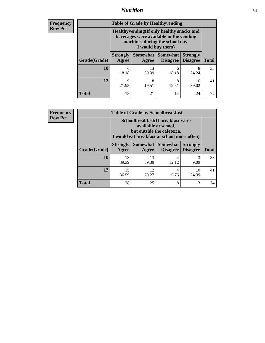## *Nutrition* **54**

**Frequency Row Pct**

| <b>Table of Grade by Healthyvending</b> |                                                                                                                                               |             |                                        |                                    |              |  |
|-----------------------------------------|-----------------------------------------------------------------------------------------------------------------------------------------------|-------------|----------------------------------------|------------------------------------|--------------|--|
|                                         | Healthyvending (If only healthy snacks and<br>beverages were available in the vending<br>machines during the school day,<br>I would buy them) |             |                                        |                                    |              |  |
| Grade(Grade)                            | <b>Strongly</b><br>Agree                                                                                                                      | Agree       | Somewhat   Somewhat<br><b>Disagree</b> | <b>Strongly</b><br><b>Disagree</b> | <b>Total</b> |  |
| 10                                      | 6<br>18.18                                                                                                                                    | 13<br>39.39 | 6<br>18.18                             | 8<br>24.24                         | 33           |  |
| 12                                      | 9<br>21.95                                                                                                                                    | 8<br>19.51  | 8<br>19.51                             | 16<br>39.02                        | 41           |  |
| <b>Total</b>                            | 15                                                                                                                                            | 21          | 14                                     | 24                                 | 74           |  |

**Frequency Row Pct**

| <b>Table of Grade by Schoolbreakfast</b> |                                                                                                                                         |             |                                            |                 |              |  |
|------------------------------------------|-----------------------------------------------------------------------------------------------------------------------------------------|-------------|--------------------------------------------|-----------------|--------------|--|
|                                          | Schoolbreakfast (If breakfast were<br>available at school,<br>but outside the cafeteria,<br>I would eat breakfast at school more often) |             |                                            |                 |              |  |
| Grade(Grade)                             | <b>Strongly</b><br><b>Agree</b>                                                                                                         | Agree       | Somewhat   Somewhat<br>Disagree   Disagree | <b>Strongly</b> | <b>Total</b> |  |
| <b>10</b>                                | 13<br>39.39                                                                                                                             | 13<br>39.39 | 4<br>12.12                                 | 3<br>9.09       | 33           |  |
| 12                                       | 15<br>36.59                                                                                                                             | 12<br>29.27 | 4<br>9.76                                  | 10<br>24.39     | 41           |  |
| <b>Total</b>                             | 28                                                                                                                                      | 25          | 8                                          | 13              | 74           |  |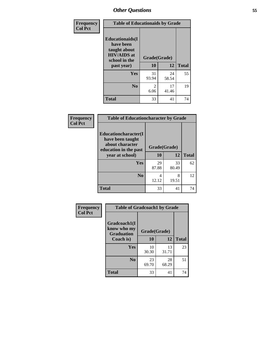| Frequency<br><b>Col Pct</b> | <b>Table of Educationaids by Grade</b>                                                                    |                        |             |              |  |
|-----------------------------|-----------------------------------------------------------------------------------------------------------|------------------------|-------------|--------------|--|
|                             | <b>Educationaids</b> (I<br>have been<br>taught about<br><b>HIV/AIDS</b> at<br>school in the<br>past year) | Grade(Grade)<br>10     | 12          | <b>Total</b> |  |
|                             | <b>Yes</b>                                                                                                | 31<br>93.94            | 24<br>58.54 | 55           |  |
|                             | N <sub>0</sub>                                                                                            | $\mathfrak{D}$<br>6.06 | 17<br>41.46 | 19           |  |
|                             | <b>Total</b>                                                                                              | 33                     | 41          | 74           |  |

| Frequency                                | <b>Table of Educationcharacter by Grade</b>                         |              |              |    |  |  |
|------------------------------------------|---------------------------------------------------------------------|--------------|--------------|----|--|--|
| <b>Col Pct</b>                           | <b>Educationcharacter(I)</b><br>have been taught<br>about character | Grade(Grade) |              |    |  |  |
| education in the past<br>year at school) | 10                                                                  | <b>12</b>    | <b>Total</b> |    |  |  |
|                                          | Yes                                                                 | 29<br>87.88  | 33<br>80.49  | 62 |  |  |
|                                          | N <sub>0</sub>                                                      | 4<br>12.12   | 8<br>19.51   | 12 |  |  |
|                                          | <b>Total</b>                                                        | 33           | 41           | 74 |  |  |

| Frequency      | <b>Table of Gradcoach1 by Grade</b>              |              |             |              |  |
|----------------|--------------------------------------------------|--------------|-------------|--------------|--|
| <b>Col Pct</b> | Gradcoach1(I<br>know who my<br><b>Graduation</b> | Grade(Grade) |             |              |  |
|                | Coach is)                                        | 10           | 12          | <b>Total</b> |  |
|                | Yes                                              | 10<br>30.30  | 13<br>31.71 | 23           |  |
|                | N <sub>0</sub>                                   | 23<br>69.70  | 28<br>68.29 | 51           |  |
|                | <b>Total</b>                                     | 33           | 41          | 74           |  |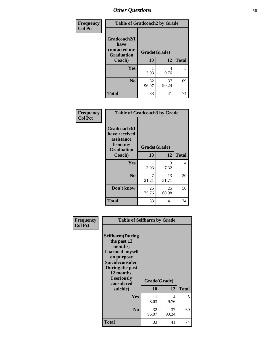| Frequency      | <b>Table of Gradcoach2 by Grade</b>       |              |             |              |
|----------------|-------------------------------------------|--------------|-------------|--------------|
| <b>Col Pct</b> |                                           |              |             |              |
|                | Gradcoach2(I                              |              |             |              |
|                | have<br>contacted my<br><b>Graduation</b> | Grade(Grade) |             |              |
|                | Coach)                                    | 10           | 12          | <b>Total</b> |
|                | Yes                                       | 3.03         | 4<br>9.76   | 5            |
|                | N <sub>0</sub>                            | 32<br>96.97  | 37<br>90.24 | 69           |
|                | <b>Total</b>                              | 33           | 41          | 74           |

| <b>Frequency</b><br><b>Col Pct</b> | <b>Table of Gradcoach3 by Grade</b>                                         |              |             |              |
|------------------------------------|-----------------------------------------------------------------------------|--------------|-------------|--------------|
|                                    | Gradcoach3(I<br>have received<br>assistance<br>from my<br><b>Graduation</b> | Grade(Grade) |             |              |
|                                    | Coach)                                                                      | 10           | 12          | <b>Total</b> |
|                                    | Yes                                                                         | 3.03         | 3<br>7.32   | 4            |
|                                    | N <sub>0</sub>                                                              | 7<br>21.21   | 13<br>31.71 | 20           |
|                                    | Don't know                                                                  | 25<br>75.76  | 25<br>60.98 | 50           |
|                                    | <b>Total</b>                                                                | 33           | 41          | 74           |

| Frequency<br><b>Col Pct</b> | <b>Table of Selfharm by Grade</b>                                                                                                                                               |                    |             |              |  |  |
|-----------------------------|---------------------------------------------------------------------------------------------------------------------------------------------------------------------------------|--------------------|-------------|--------------|--|--|
|                             | <b>Selfharm</b> (During<br>the past 12<br>months,<br>I harmed myself<br>on purpose<br>Suicideconsider<br>During the past<br>12 months,<br>I seriously<br>considered<br>suicide) | Grade(Grade)<br>10 | 12          | <b>Total</b> |  |  |
|                             | Yes                                                                                                                                                                             |                    | 4           | 5            |  |  |
|                             |                                                                                                                                                                                 | 3.03               | 9.76        |              |  |  |
|                             | N <sub>0</sub>                                                                                                                                                                  | 32<br>96.97        | 37<br>90.24 | 69           |  |  |
|                             | Total                                                                                                                                                                           | 33                 | 41          | 74           |  |  |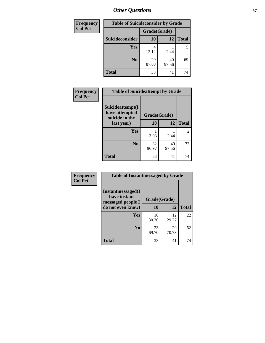| <b>Frequency</b> | <b>Table of Suicideconsider by Grade</b> |              |             |              |  |  |
|------------------|------------------------------------------|--------------|-------------|--------------|--|--|
| <b>Col Pct</b>   |                                          | Grade(Grade) |             |              |  |  |
|                  | Suicideconsider                          | <b>10</b>    | 12          | <b>Total</b> |  |  |
|                  | <b>Yes</b>                               | 12.12        | 2.44        | 5            |  |  |
|                  | N <sub>0</sub>                           | 29<br>87.88  | 40<br>97.56 | 69           |  |  |
|                  | <b>Total</b>                             | 33           | 41          | 74           |  |  |

| Frequency      | <b>Table of Suicideattempt by Grade</b>              |              |             |              |
|----------------|------------------------------------------------------|--------------|-------------|--------------|
| <b>Col Pct</b> | Suicideattempt(I<br>have attempted<br>suicide in the | Grade(Grade) |             |              |
|                | last year)                                           | 10           | 12          | <b>Total</b> |
|                | Yes                                                  | 3.03         | 2.44        | 2            |
|                | No.                                                  | 32<br>96.97  | 40<br>97.56 | 72           |
|                | <b>Total</b>                                         | 33           | 41          | 74           |

| Frequency      | <b>Table of Instantmessaged by Grade</b>               |              |             |              |  |  |  |
|----------------|--------------------------------------------------------|--------------|-------------|--------------|--|--|--|
| <b>Col Pct</b> | Instantmessaged(I<br>have instant<br>messaged people I | Grade(Grade) |             |              |  |  |  |
|                | do not even know)                                      | 10           | 12          | <b>Total</b> |  |  |  |
|                | Yes                                                    | 10<br>30.30  | 12<br>29.27 | 22           |  |  |  |
|                | N <sub>0</sub>                                         | 23<br>69.70  | 29<br>70.73 | 52           |  |  |  |
|                | <b>Total</b>                                           | 33           | 41          | 74           |  |  |  |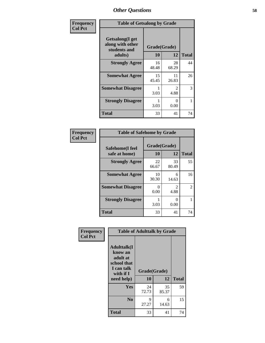| Frequency      | <b>Table of Getsalong by Grade</b>                          |              |             |              |  |  |  |
|----------------|-------------------------------------------------------------|--------------|-------------|--------------|--|--|--|
| <b>Col Pct</b> | <b>Getsalong</b> (I get<br>along with other<br>students and | Grade(Grade) |             |              |  |  |  |
|                | adults)                                                     | 10           | 12          | <b>Total</b> |  |  |  |
|                | <b>Strongly Agree</b>                                       | 16<br>48.48  | 28<br>68.29 | 44           |  |  |  |
|                | <b>Somewhat Agree</b>                                       | 15<br>45.45  | 11<br>26.83 | 26           |  |  |  |
|                | <b>Somewhat Disagree</b>                                    | 3.03         | 2<br>4.88   | 3            |  |  |  |
|                | <b>Strongly Disagree</b>                                    | 3.03         | 0<br>0.00   |              |  |  |  |
|                | <b>Total</b>                                                | 33           | 41          | 74           |  |  |  |

| Frequency      | <b>Table of Safehome by Grade</b> |                      |                                     |    |  |  |  |  |
|----------------|-----------------------------------|----------------------|-------------------------------------|----|--|--|--|--|
| <b>Col Pct</b> | Safehome(I feel<br>safe at home)  | Grade(Grade)<br>10   | <b>Total</b>                        |    |  |  |  |  |
|                | <b>Strongly Agree</b>             | 22<br>66.67          | 33<br>80.49                         | 55 |  |  |  |  |
|                | <b>Somewhat Agree</b>             | 10<br>30.30          | 6<br>14.63                          | 16 |  |  |  |  |
|                | <b>Somewhat Disagree</b>          | $\mathbf{0}$<br>0.00 | $\mathcal{D}_{\mathcal{L}}$<br>4.88 | 2  |  |  |  |  |
|                | <b>Strongly Disagree</b>          | 3.03                 | 0<br>0.00                           |    |  |  |  |  |
|                | <b>Total</b>                      | 33                   | 41                                  | 74 |  |  |  |  |

| Frequency      | <b>Table of Adulttalk by Grade</b>                                                  |              |             |              |  |  |
|----------------|-------------------------------------------------------------------------------------|--------------|-------------|--------------|--|--|
| <b>Col Pct</b> | <b>Adulttalk(I</b><br>know an<br>adult at<br>school that<br>I can talk<br>with if I | Grade(Grade) |             |              |  |  |
|                | need help)                                                                          | 10           | 12          | <b>Total</b> |  |  |
|                | <b>Yes</b>                                                                          | 24<br>72.73  | 35<br>85.37 | 59           |  |  |
|                | N <sub>0</sub>                                                                      | 9<br>27.27   | 6<br>14.63  | 15           |  |  |
|                | <b>Total</b>                                                                        | 33           | 41          | 74           |  |  |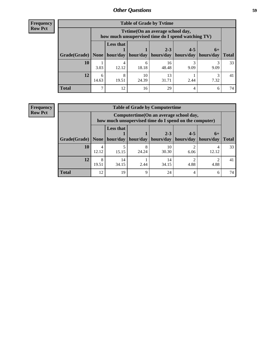**Frequency Row Pct**

| <b>Table of Grade by Tvtime</b> |            |                                                                                         |                     |                                   |      |      |              |  |
|---------------------------------|------------|-----------------------------------------------------------------------------------------|---------------------|-----------------------------------|------|------|--------------|--|
|                                 |            | Tvtime (On an average school day,<br>how much unsupervised time do I spend watching TV) |                     |                                   |      |      |              |  |
|                                 |            | <b>Less that</b><br>$2 - 3$<br>$4 - 5$<br>$6+$                                          |                     |                                   |      |      |              |  |
| Grade(Grade)   None             |            |                                                                                         | hour/day   hour/day | hours/day   hours/day   hours/day |      |      | <b>Total</b> |  |
| 10                              | 3.03       | 4<br>12.12                                                                              | 6<br>18.18          | 16<br>48.48                       | 9.09 | 9.09 | 33           |  |
| 12                              | 6<br>14.63 | 8<br>19.51                                                                              | 10<br>24.39         | 13<br>31.71                       | 2.44 | 7.32 | 41           |  |
| <b>Total</b>                    | ⇁          | 12                                                                                      | 16                  | 29                                | 4    | 6    | 74           |  |

## **Frequency Row Pct**

| <b>Table of Grade by Computertime</b> |                                                                                                                              |                                                                                                   |             |             |      |       |              |  |
|---------------------------------------|------------------------------------------------------------------------------------------------------------------------------|---------------------------------------------------------------------------------------------------|-------------|-------------|------|-------|--------------|--|
|                                       |                                                                                                                              | Computertime (On an average school day,<br>how much unsupervised time do I spend on the computer) |             |             |      |       |              |  |
| Grade(Grade)                          | <b>Less that</b><br>$4 - 5$<br>$2 - 3$<br>$6+$<br>hour/day<br>hour/day<br>hours/day<br>hours/day<br>hours/day<br><b>None</b> |                                                                                                   |             |             |      |       | <b>Total</b> |  |
| 10                                    | 4<br>12.12                                                                                                                   | 5<br>15.15                                                                                        | 24.24       | 10<br>30.30 | 6.06 | 12.12 | 33           |  |
| 12                                    | 8<br>19.51                                                                                                                   | 14<br>34.15                                                                                       | 2.44        | 14<br>34.15 | 4.88 | 4.88  | 41           |  |
| <b>Total</b>                          | 12                                                                                                                           | 19                                                                                                | $\mathbf Q$ | 24          | 4    | 6     | 74           |  |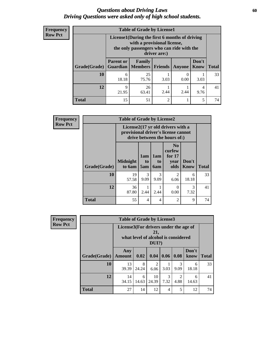## *Questions about Driving Laws* **60** *Driving Questions were asked only of high school students.*

| <b>Frequency</b> |
|------------------|
| <b>Row Pct</b>   |

| <b>Table of Grade by License1</b> |                                                                                                                                           |                          |                |               |               |              |  |
|-----------------------------------|-------------------------------------------------------------------------------------------------------------------------------------------|--------------------------|----------------|---------------|---------------|--------------|--|
|                                   | License1(During the first 6 months of driving<br>with a provisional license,<br>the only passengers who can ride with the<br>driver are:) |                          |                |               |               |              |  |
| Grade(Grade)                      | <b>Parent or</b><br><b>Guardian</b>                                                                                                       | Family<br><b>Members</b> | Friends        | <b>Anyone</b> | Don't<br>Know | <b>Total</b> |  |
| 10                                | 6<br>18.18                                                                                                                                | 25<br>75.76              | 3.03           | 0.00          | 3.03          | 33           |  |
| 12                                | 9<br>21.95                                                                                                                                | 26<br>63.41              | 2.44           | 2.44          | 4<br>9.76     | 41           |  |
| <b>Total</b>                      | 15                                                                                                                                        | 51                       | $\overline{c}$ |               | 5             | 74           |  |

| <b>Frequency</b> | <b>Table of Grade by License2</b> |                                                                                                          |                              |                              |                                                      |                      |              |
|------------------|-----------------------------------|----------------------------------------------------------------------------------------------------------|------------------------------|------------------------------|------------------------------------------------------|----------------------|--------------|
| <b>Row Pct</b>   |                                   | License2(17 yr old drivers with a<br>provisional driver's license cannot<br>drive between the hours of:) |                              |                              |                                                      |                      |              |
|                  | Grade(Grade)                      | <b>Midnight</b><br>to 6am                                                                                | 1am<br>t <sub>0</sub><br>5am | 1am<br>t <sub>0</sub><br>6am | N <sub>0</sub><br>curfew<br>for $17$<br>year<br>olds | Don't<br><b>Know</b> | <b>Total</b> |
|                  | 10                                | 19<br>57.58                                                                                              | 3<br>9.09                    | 3<br>9.09                    | 2<br>6.06                                            | 6<br>18.18           | 33           |
|                  | 12                                | 36<br>87.80                                                                                              | 2.44                         | 2.44                         | $\Omega$<br>0.00                                     | 3<br>7.32            | 41           |
|                  | <b>Total</b>                      | 55                                                                                                       | $\overline{4}$               | 4                            | 2                                                    | 9                    | 74           |

| Frequency                                                                                                         |              | <b>Table of Grade by License3</b> |            |             |           |                        |               |              |
|-------------------------------------------------------------------------------------------------------------------|--------------|-----------------------------------|------------|-------------|-----------|------------------------|---------------|--------------|
| <b>Row Pct</b><br>License3(For drivers under the age of<br>21,<br>what level of alcohol is considered<br>$DUI$ ?) |              |                                   |            |             |           |                        |               |              |
|                                                                                                                   | Grade(Grade) | Any<br><b>Amount</b>              | 0.02       | 0.04        | 0.06      | 0.08                   | Don't<br>know | <b>Total</b> |
|                                                                                                                   | 10           | 13<br>39.39                       | 8<br>24.24 | 2<br>6.06   | 3.03      | $\mathcal{R}$<br>9.09  | 6<br>18.18    | 33           |
|                                                                                                                   | 12           | 14<br>34.15                       | 6<br>14.63 | 10<br>24.39 | 3<br>7.32 | $\mathfrak{D}$<br>4.88 | 6<br>14.63    | 41           |
|                                                                                                                   | <b>Total</b> | 27                                | 14         | 12          | 4         | 5                      | 12            | 74           |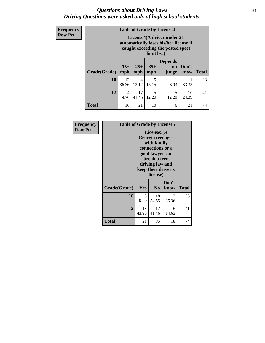## *Questions about Driving Laws* **61** *Driving Questions were asked only of high school students.*

| <b>Frequency</b> | <b>Table of Grade by License4</b> |                                                                                                                         |              |              |                                      |               |              |
|------------------|-----------------------------------|-------------------------------------------------------------------------------------------------------------------------|--------------|--------------|--------------------------------------|---------------|--------------|
| <b>Row Pct</b>   |                                   | License4(A driver under 21<br>automatically loses his/her license if<br>caught exceeding the posted speet<br>limit by:) |              |              |                                      |               |              |
|                  | Grade(Grade)                      | $15+$<br>mph                                                                                                            | $25+$<br>mph | $35+$<br>mph | <b>Depends</b><br><b>on</b><br>judge | Don't<br>know | <b>Total</b> |
|                  | 10                                | 12<br>36.36                                                                                                             | 4<br>12.12   | 5<br>15.15   | 3.03                                 | 11<br>33.33   | 33           |
|                  | 12                                | $\overline{4}$<br>9.76                                                                                                  | 17<br>41.46  | 5<br>12.20   | 5<br>12.20                           | 10<br>24.39   | 41           |
|                  | <b>Total</b>                      | 16                                                                                                                      | 21           | 10           | 6                                    | 21            | 74           |

| Frequency      | <b>Table of Grade by License5</b> |             |                                                                                                                                                             |               |              |
|----------------|-----------------------------------|-------------|-------------------------------------------------------------------------------------------------------------------------------------------------------------|---------------|--------------|
| <b>Row Pct</b> |                                   |             | License5(A)<br>Georgia teenager<br>with family<br>connections or a<br>good lawyer can<br>break a teen<br>driving law and<br>keep their driver's<br>license) |               |              |
|                | Grade(Grade)                      | Yes         | N <sub>0</sub>                                                                                                                                              | Don't<br>know | <b>Total</b> |
|                | 10                                | 3<br>9.09   | 18<br>54.55                                                                                                                                                 | 12<br>36.36   | 33           |
|                | 12                                | 18<br>43.90 | 17<br>41.46                                                                                                                                                 | 6<br>14.63    | 41           |
|                | Total                             | 21          | 35                                                                                                                                                          | 18            | 74           |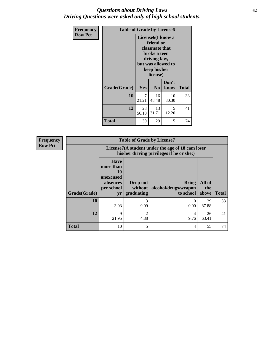## *Questions about Driving Laws* **62** *Driving Questions were asked only of high school students.*

| <b>Frequency</b> | <b>Table of Grade by License6</b> |             |                                                                                                                                                 |               |              |
|------------------|-----------------------------------|-------------|-------------------------------------------------------------------------------------------------------------------------------------------------|---------------|--------------|
| <b>Row Pct</b>   |                                   |             | License <sub>6</sub> (I know a<br>friend or<br>classmate that<br>broke a teen<br>driving law,<br>but was allowed to<br>keep his/her<br>license) |               |              |
|                  | Grade(Grade)                      | Yes         | N <sub>0</sub>                                                                                                                                  | Don't<br>know | <b>Total</b> |
|                  | 10                                | 7<br>21.21  | 16<br>48.48                                                                                                                                     | 10<br>30.30   | 33           |
|                  | 12                                | 23<br>56.10 | 13<br>31.71                                                                                                                                     | 5<br>12.20    | 41           |
|                  | <b>Total</b>                      | 30          | 29                                                                                                                                              | 15            | 74           |

| <b>Frequency</b> | <b>Table of Grade by License7</b> |                                                                             |                                                                                               |                                            |                        |              |  |  |  |
|------------------|-----------------------------------|-----------------------------------------------------------------------------|-----------------------------------------------------------------------------------------------|--------------------------------------------|------------------------|--------------|--|--|--|
| <b>Row Pct</b>   |                                   |                                                                             | License7(A student under the age of 18 cam loser<br>his/her driving privileges if he or she:) |                                            |                        |              |  |  |  |
|                  | Grade(Grade)                      | <b>Have</b><br>more than<br>10<br>unexcused<br>absences<br>per school<br>yr | Drop out<br>without  <br>graduating                                                           | Bring<br>alcohol/drugs/weapon<br>to school | All of<br>the<br>above | <b>Total</b> |  |  |  |
|                  | 10                                | 3.03                                                                        | 3<br>9.09                                                                                     | 0.00                                       | 29<br>87.88            | 33           |  |  |  |
|                  | 12                                | 9<br>21.95                                                                  | $\overline{2}$<br>4.88                                                                        | 4<br>9.76                                  | 26<br>63.41            | 41           |  |  |  |
|                  | <b>Total</b>                      | 10                                                                          | 5                                                                                             | 4                                          | 55                     | 74           |  |  |  |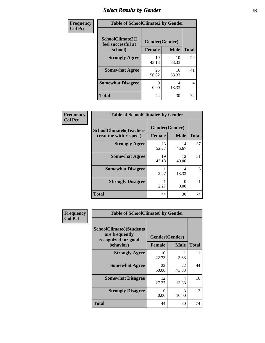# *Select Results by Gender* **63**

| Frequency      | <b>Table of SchoolClimate2 by Gender</b> |                |             |                |  |  |
|----------------|------------------------------------------|----------------|-------------|----------------|--|--|
| <b>Col Pct</b> | SchoolClimate2(I<br>feel successful at   | Gender(Gender) |             |                |  |  |
|                | school)                                  | <b>Female</b>  | <b>Male</b> | <b>Total</b>   |  |  |
|                | <b>Strongly Agree</b>                    | 19<br>43.18    | 10<br>33.33 | 29             |  |  |
|                | <b>Somewhat Agree</b>                    | 25<br>56.82    | 16<br>53.33 | 41             |  |  |
|                | <b>Somewhat Disagree</b>                 | 0.00           | 4<br>13.33  | $\overline{4}$ |  |  |
|                | <b>Total</b>                             | 44             | 30          | 74             |  |  |

| <b>Frequency</b> | <b>Table of SchoolClimate6 by Gender</b>                 |                                 |             |              |  |  |
|------------------|----------------------------------------------------------|---------------------------------|-------------|--------------|--|--|
| <b>Col Pct</b>   | <b>SchoolClimate6(Teachers</b><br>treat me with respect) | Gender(Gender)<br><b>Female</b> | <b>Male</b> | <b>Total</b> |  |  |
|                  | <b>Strongly Agree</b>                                    | 23<br>52.27                     | 14<br>46.67 | 37           |  |  |
|                  | <b>Somewhat Agree</b>                                    | 19<br>43.18                     | 12<br>40.00 | 31           |  |  |
|                  | <b>Somewhat Disagree</b>                                 | 2.27                            | 4<br>13.33  | 5            |  |  |
|                  | <b>Strongly Disagree</b>                                 | 2.27                            | 0<br>0.00   | 1            |  |  |
|                  | <b>Total</b>                                             | 44                              | 30          | 74           |  |  |

| Frequency      | <b>Table of SchoolClimate8 by Gender</b>                                             |                                 |                        |              |  |
|----------------|--------------------------------------------------------------------------------------|---------------------------------|------------------------|--------------|--|
| <b>Col Pct</b> | <b>SchoolClimate8(Students</b><br>are frequently<br>recognized for good<br>behavior) | Gender(Gender)<br><b>Female</b> | <b>Male</b>            | <b>Total</b> |  |
|                | <b>Strongly Agree</b>                                                                | 10<br>22.73                     | 3.33                   | 11           |  |
|                | <b>Somewhat Agree</b>                                                                | 22<br>50.00                     | 22<br>73.33            | 44           |  |
|                | <b>Somewhat Disagree</b>                                                             | 12<br>27.27                     | 4<br>13.33             | 16           |  |
|                | <b>Strongly Disagree</b>                                                             | 0<br>0.00                       | $\mathcal{R}$<br>10.00 | 3            |  |
|                | Total                                                                                | 44                              | 30                     | 74           |  |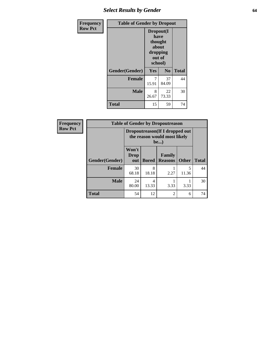# *Select Results by Gender* **64**

| Frequency      | <b>Table of Gender by Dropout</b> |                                                                        |                |              |
|----------------|-----------------------------------|------------------------------------------------------------------------|----------------|--------------|
| <b>Row Pct</b> |                                   | Dropout(I<br>have<br>thought<br>about<br>dropping<br>out of<br>school) |                |              |
|                | Gender(Gender)                    | Yes                                                                    | N <sub>0</sub> | <b>Total</b> |
|                | <b>Female</b>                     | 7<br>15.91                                                             | 37<br>84.09    | 44           |
|                | <b>Male</b>                       | 8<br>26.67                                                             | 22<br>73.33    | 30           |
|                | <b>Total</b>                      | 15                                                                     | 59             | 74           |

| Frequency      |                |                                                                 |              | <b>Table of Gender by Dropoutreason</b> |              |              |
|----------------|----------------|-----------------------------------------------------------------|--------------|-----------------------------------------|--------------|--------------|
| <b>Row Pct</b> |                | Dropoutreason (If I dropped out<br>the reason would most likely |              |                                         |              |              |
|                | Gender(Gender) | Won't<br><b>Drop</b><br>out                                     | <b>Bored</b> | Family<br><b>Reasons</b>                | <b>Other</b> | <b>Total</b> |
|                | <b>Female</b>  | 30<br>68.18                                                     | 8<br>18.18   | 2.27                                    | 5<br>11.36   | 44           |
|                | <b>Male</b>    | 24<br>80.00                                                     | 4<br>13.33   | 3.33                                    | 3.33         | 30           |
|                | <b>Total</b>   | 54                                                              | 12           | $\overline{2}$                          | 6            | 74           |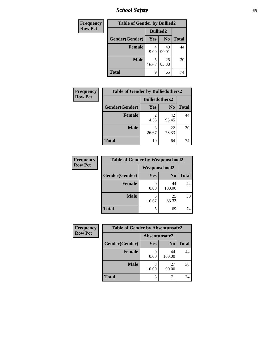*School Safety* **65**

| Frequency      |                |                          | <b>Table of Gender by Bullied2</b> |              |  |  |
|----------------|----------------|--------------------------|------------------------------------|--------------|--|--|
| <b>Row Pct</b> |                | <b>Bullied2</b>          |                                    |              |  |  |
|                | Gender(Gender) | N <sub>0</sub><br>Yes    |                                    | <b>Total</b> |  |  |
|                | <b>Female</b>  | 40<br>4<br>90.91<br>9.09 |                                    | 44           |  |  |
|                | <b>Male</b>    | 16.67                    | 25<br>83.33                        | 30           |  |  |
|                | <b>Total</b>   | 9                        | 65                                 | 74           |  |  |

| Frequency      | <b>Table of Gender by Bulliedothers2</b> |                       |                |              |
|----------------|------------------------------------------|-----------------------|----------------|--------------|
| <b>Row Pct</b> |                                          | <b>Bulliedothers2</b> |                |              |
|                | Gender(Gender)                           | <b>Yes</b>            | N <sub>0</sub> | <b>Total</b> |
|                | <b>Female</b>                            | 4.55                  | 42<br>95.45    | 44           |
|                | <b>Male</b>                              | 8<br>26.67            | 22<br>73.33    | 30           |
|                | <b>Total</b>                             | 10                    | 64             | 74           |

| Frequency      | <b>Table of Gender by Weaponschool2</b> |                      |                |              |
|----------------|-----------------------------------------|----------------------|----------------|--------------|
| <b>Row Pct</b> |                                         | <b>Weaponschool2</b> |                |              |
|                | Gender(Gender)                          | <b>Yes</b>           | N <sub>0</sub> | <b>Total</b> |
|                | <b>Female</b>                           | 0.00                 | 44<br>100.00   | 44           |
|                | <b>Male</b>                             | 5<br>16.67           | 25<br>83.33    | 30           |
|                | <b>Total</b>                            | 5                    | 69             | 74           |

| Frequency      | <b>Table of Gender by Absentunsafe2</b> |               |                |              |
|----------------|-----------------------------------------|---------------|----------------|--------------|
| <b>Row Pct</b> |                                         | Absentunsafe2 |                |              |
|                | Gender(Gender)                          | Yes           | N <sub>0</sub> | <b>Total</b> |
|                | <b>Female</b>                           | 0.00          | 44<br>100.00   | 44           |
|                | <b>Male</b>                             | 10.00         | 27<br>90.00    | 30           |
|                | <b>Total</b>                            | 3             | 71             | 74           |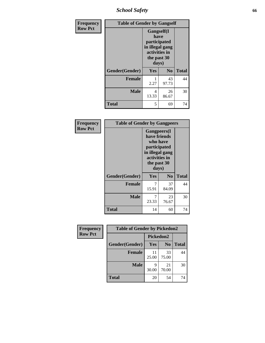*School Safety* **66**

| Frequency      | <b>Table of Gender by Gangself</b> |                                                                                                |                |              |
|----------------|------------------------------------|------------------------------------------------------------------------------------------------|----------------|--------------|
| <b>Row Pct</b> |                                    | Gangself(I<br>have<br>participated<br>in illegal gang<br>activities in<br>the past 30<br>days) |                |              |
|                | Gender(Gender)                     | Yes                                                                                            | N <sub>0</sub> | <b>Total</b> |
|                | <b>Female</b>                      | 2.27                                                                                           | 43<br>97.73    | 44           |
|                | <b>Male</b>                        | 4<br>13.33                                                                                     | 26<br>86.67    | 30           |
|                | <b>Total</b>                       | 5                                                                                              | 69             | 74           |

| Frequency      | <b>Table of Gender by Gangpeers</b> |                                                                                                                             |                |              |
|----------------|-------------------------------------|-----------------------------------------------------------------------------------------------------------------------------|----------------|--------------|
| <b>Row Pct</b> |                                     | <b>Gangpeers</b> (I<br>have friends<br>who have<br>participated<br>in illegal gang<br>activities in<br>the past 30<br>days) |                |              |
|                | Gender(Gender)                      | <b>Yes</b>                                                                                                                  | N <sub>0</sub> | <b>Total</b> |
|                | <b>Female</b>                       | 7<br>15.91                                                                                                                  | 37<br>84.09    | 44           |
|                | <b>Male</b>                         | 7<br>23.33                                                                                                                  | 23<br>76.67    | 30           |
|                | <b>Total</b>                        | 14                                                                                                                          | 60             | 74           |

| Frequency      | <b>Table of Gender by Pickedon2</b> |             |                |              |
|----------------|-------------------------------------|-------------|----------------|--------------|
| <b>Row Pct</b> |                                     | Pickedon2   |                |              |
|                | Gender(Gender)                      | <b>Yes</b>  | N <sub>0</sub> | <b>Total</b> |
|                | <b>Female</b>                       | 11<br>25.00 | 33<br>75.00    | 44           |
|                | <b>Male</b>                         | 9<br>30.00  | 21<br>70.00    | 30           |
|                | <b>Total</b>                        | 20          | 54             | 74           |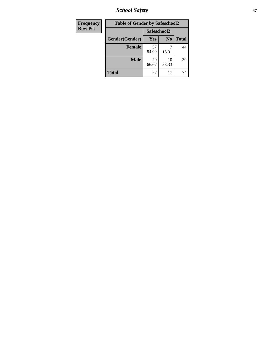*School Safety* **67**

| <b>Frequency</b> | <b>Table of Gender by Safeschool2</b> |             |                |              |
|------------------|---------------------------------------|-------------|----------------|--------------|
| <b>Row Pct</b>   |                                       |             | Safeschool2    |              |
|                  | Gender(Gender)                        | Yes         | N <sub>0</sub> | <b>Total</b> |
|                  | <b>Female</b>                         | 37<br>84.09 | 15.91          | 44           |
|                  | <b>Male</b>                           | 20<br>66.67 | 10<br>33.33    | 30           |
|                  | <b>Total</b>                          | 57          | 17             | 74           |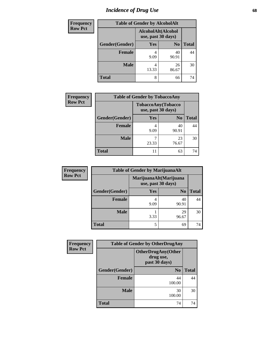# *Incidence of Drug Use* 68

| <b>Frequency</b> |                | <b>Table of Gender by AlcoholAlt</b>     |                |              |
|------------------|----------------|------------------------------------------|----------------|--------------|
| <b>Row Pct</b>   |                | AlcoholAlt(Alcohol<br>use, past 30 days) |                |              |
|                  | Gender(Gender) | Yes                                      | N <sub>0</sub> | <b>Total</b> |
|                  | <b>Female</b>  | 4<br>9.09                                | 40<br>90.91    | 44           |
|                  | <b>Male</b>    | 4<br>13.33                               | 26<br>86.67    | 30           |
|                  | <b>Total</b>   | 8                                        | 66             | 74           |

| <b>Frequency</b> | <b>Table of Gender by TobaccoAny</b> |                                          |                |              |
|------------------|--------------------------------------|------------------------------------------|----------------|--------------|
| <b>Row Pct</b>   |                                      | TobaccoAny(Tobacco<br>use, past 30 days) |                |              |
|                  | Gender(Gender)                       | Yes                                      | N <sub>0</sub> | <b>Total</b> |
|                  | <b>Female</b>                        | 4<br>9.09                                | 40<br>90.91    | 44           |
|                  | <b>Male</b>                          | 23.33                                    | 23<br>76.67    | 30           |
|                  | <b>Total</b>                         | 11                                       | 63             | 74           |

| <b>Frequency</b> | <b>Table of Gender by MarijuanaAlt</b> |           |                                              |       |
|------------------|----------------------------------------|-----------|----------------------------------------------|-------|
| <b>Row Pct</b>   |                                        |           | MarijuanaAlt(Marijuana<br>use, past 30 days) |       |
|                  | Gender(Gender)                         | Yes       | N <sub>0</sub>                               | Total |
|                  | Female                                 | 4<br>9.09 | 40<br>90.91                                  | 44    |
|                  | <b>Male</b>                            | 3.33      | 29<br>96.67                                  | 30    |
|                  | <b>Total</b>                           | 5         | 69                                           | 74    |

| <b>Frequency</b> | <b>Table of Gender by OtherDrugAny</b> |                                                         |              |  |
|------------------|----------------------------------------|---------------------------------------------------------|--------------|--|
| <b>Row Pct</b>   |                                        | <b>OtherDrugAny(Other</b><br>drug use,<br>past 30 days) |              |  |
|                  | Gender(Gender)                         | N <sub>0</sub>                                          | <b>Total</b> |  |
|                  | <b>Female</b>                          | 44<br>100.00                                            | 44           |  |
|                  | <b>Male</b>                            | 30<br>100.00                                            | 30           |  |
|                  | <b>Total</b>                           | 74                                                      | 74           |  |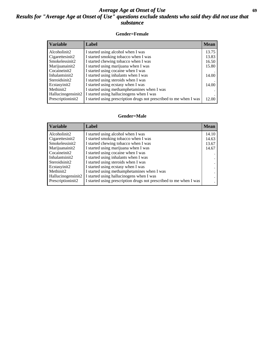## *Average Age at Onset of Use* **69** *Results for "Average Age at Onset of Use" questions exclude students who said they did not use that substance*

### **Gender=Female**

| <b>Variable</b>    | <b>Label</b>                                                       | <b>Mean</b> |
|--------------------|--------------------------------------------------------------------|-------------|
| Alcoholinit2       | I started using alcohol when I was                                 | 13.75       |
| Cigarettesinit2    | I started smoking tobacco when I was                               | 13.83       |
| Smokelessinit2     | I started chewing tobacco when I was                               | 16.50       |
| Marijuanainit2     | I started using marijuana when I was                               | 15.80       |
| Cocaineinit2       | I started using cocaine when I was                                 |             |
| Inhalantsinit2     | I started using inhalants when I was                               | 14.00       |
| Steroidsinit2      | I started using steroids when I was                                |             |
| Ecstasyinit2       | I started using ecstasy when I was                                 | 14.00       |
| Methinit2          | I started using methamphetamines when I was                        |             |
| Hallucinogensinit2 | I started using hallucinogens when I was                           |             |
| Prescription in t2 | I started using prescription drugs not prescribed to me when I was | 12.00       |

### **Gender=Male**

| <b>Variable</b>                 | Label                                                              | <b>Mean</b> |
|---------------------------------|--------------------------------------------------------------------|-------------|
| Alcoholinit2                    | I started using alcohol when I was                                 | 14.10       |
| Cigarettesinit2                 | I started smoking tobacco when I was                               | 14.63       |
| Smokelessinit2                  | I started chewing tobacco when I was                               | 13.67       |
| Marijuanainit2                  | I started using marijuana when I was                               | 14.67       |
| Cocaineinit2                    | I started using cocaine when I was                                 |             |
| Inhalantsinit2                  | I started using inhalants when I was                               |             |
| Steroidsinit2                   | I started using steroids when I was                                |             |
| Ecstasyinit2                    | I started using ecstasy when I was                                 |             |
| Methinit2                       | I started using methamphetamines when I was                        |             |
| Hallucinogensinit2              | I started using hallucinogens when I was                           |             |
| Prescription in it <sub>2</sub> | I started using prescription drugs not prescribed to me when I was |             |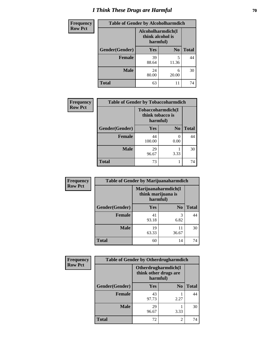# *I Think These Drugs are Harmful* **70**

| <b>Frequency</b> | <b>Table of Gender by Alcoholharmdich</b> |                                                   |                |              |
|------------------|-------------------------------------------|---------------------------------------------------|----------------|--------------|
| <b>Row Pct</b>   |                                           | Alcoholharmdich(I<br>think alcohol is<br>harmful) |                |              |
|                  | Gender(Gender)                            | <b>Yes</b>                                        | N <sub>0</sub> | <b>Total</b> |
|                  | <b>Female</b>                             | 39<br>88.64                                       | 5<br>11.36     | 44           |
|                  | <b>Male</b>                               | 24<br>80.00                                       | 6<br>20.00     | 30           |
|                  | <b>Total</b>                              | 63                                                | 11             | 74           |

| Frequency      | <b>Table of Gender by Tobaccoharmdich</b> |                                                   |                |              |
|----------------|-------------------------------------------|---------------------------------------------------|----------------|--------------|
| <b>Row Pct</b> |                                           | Tobaccoharmdich(I<br>think tobacco is<br>harmful) |                |              |
|                | Gender(Gender)                            | Yes                                               | N <sub>0</sub> | <b>Total</b> |
|                | <b>Female</b>                             | 44<br>100.00                                      | 0<br>0.00      | 44           |
|                | <b>Male</b>                               | 29<br>96.67                                       | 3.33           | 30           |
|                | <b>Total</b>                              | 73                                                |                | 74           |

| Frequency      | <b>Table of Gender by Marijuanaharmdich</b> |                                |                     |              |
|----------------|---------------------------------------------|--------------------------------|---------------------|--------------|
| <b>Row Pct</b> |                                             | think marijuana is<br>harmful) | Marijuanaharmdich(I |              |
|                | Gender(Gender)                              | <b>Yes</b>                     | N <sub>0</sub>      | <b>Total</b> |
|                | <b>Female</b>                               | 41<br>93.18                    | 3<br>6.82           | 44           |
|                | <b>Male</b>                                 | 19<br>63.33                    | 11<br>36.67         | 30           |
|                | <b>Total</b>                                | 60                             | 14                  | 74           |

| Frequency      | <b>Table of Gender by Otherdrugharmdich</b> |                                                          |                |              |
|----------------|---------------------------------------------|----------------------------------------------------------|----------------|--------------|
| <b>Row Pct</b> |                                             | Otherdrugharmdich(I<br>think other drugs are<br>harmful) |                |              |
|                | Gender(Gender)                              | <b>Yes</b>                                               | N <sub>0</sub> | <b>Total</b> |
|                | <b>Female</b>                               | 43<br>97.73                                              | 2.27           | 44           |
|                | <b>Male</b>                                 | 29<br>96.67                                              | 3.33           | 30           |
|                | <b>Total</b>                                | 72                                                       | $\overline{2}$ | 74           |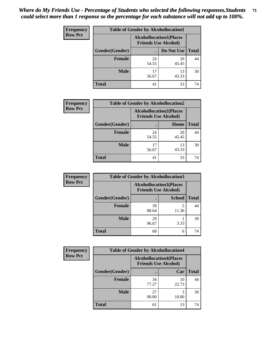| <b>Frequency</b> | <b>Table of Gender by Alcohollocation1</b> |                                                               |             |              |
|------------------|--------------------------------------------|---------------------------------------------------------------|-------------|--------------|
| <b>Row Pct</b>   |                                            | <b>Alcohollocation1(Places</b><br><b>Friends Use Alcohol)</b> |             |              |
|                  | Gender(Gender)                             |                                                               | Do Not Use  | <b>Total</b> |
|                  | <b>Female</b>                              | 24<br>54.55                                                   | 20<br>45.45 | 44           |
|                  | <b>Male</b>                                | 17<br>56.67                                                   | 13<br>43.33 | 30           |
|                  | <b>Total</b>                               | 41                                                            | 33          | 74           |

| <b>Frequency</b> | <b>Table of Gender by Alcohollocation2</b> |                                                               |             |              |
|------------------|--------------------------------------------|---------------------------------------------------------------|-------------|--------------|
| <b>Row Pct</b>   |                                            | <b>Alcohollocation2(Places</b><br><b>Friends Use Alcohol)</b> |             |              |
|                  | Gender(Gender)                             |                                                               | Home        | <b>Total</b> |
|                  | <b>Female</b>                              | 24<br>54.55                                                   | 20<br>45.45 | 44           |
|                  | <b>Male</b>                                | 17<br>56.67                                                   | 13<br>43.33 | 30           |
|                  | <b>Total</b>                               | 41                                                            | 33          | 74           |

| Frequency      | <b>Table of Gender by Alcohollocation3</b> |                                                               |               |              |
|----------------|--------------------------------------------|---------------------------------------------------------------|---------------|--------------|
| <b>Row Pct</b> |                                            | <b>Alcohollocation3(Places</b><br><b>Friends Use Alcohol)</b> |               |              |
|                | Gender(Gender)                             |                                                               | <b>School</b> | <b>Total</b> |
|                | <b>Female</b>                              | 39<br>88.64                                                   | 11.36         | 44           |
|                | <b>Male</b>                                | 29<br>96.67                                                   | 3.33          | 30           |
|                | <b>Total</b>                               | 68                                                            | 6             | 74           |

| <b>Frequency</b> | <b>Table of Gender by Alcohollocation4</b> |                                                               |             |              |
|------------------|--------------------------------------------|---------------------------------------------------------------|-------------|--------------|
| <b>Row Pct</b>   |                                            | <b>Alcohollocation4(Places</b><br><b>Friends Use Alcohol)</b> |             |              |
|                  | Gender(Gender)                             |                                                               | Car         | <b>Total</b> |
|                  | <b>Female</b>                              | 34<br>77.27                                                   | 10<br>22.73 | 44           |
|                  | <b>Male</b>                                | 27<br>90.00                                                   | 3<br>10.00  | 30           |
|                  | <b>Total</b>                               | 61                                                            | 13          | 74           |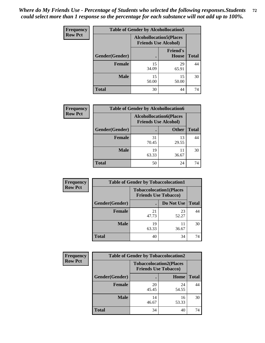| <b>Frequency</b> | <b>Table of Gender by Alcohollocation5</b> |                                                               |                          |              |
|------------------|--------------------------------------------|---------------------------------------------------------------|--------------------------|--------------|
| <b>Row Pct</b>   |                                            | <b>Alcohollocation5(Places</b><br><b>Friends Use Alcohol)</b> |                          |              |
|                  | Gender(Gender)                             |                                                               | <b>Friend's</b><br>House | <b>Total</b> |
|                  | <b>Female</b>                              | 15<br>34.09                                                   | 29<br>65.91              | 44           |
|                  | <b>Male</b>                                | 15<br>50.00                                                   | 15<br>50.00              | 30           |
|                  | <b>Total</b>                               | 30                                                            | 44                       | 74           |

| <b>Frequency</b> | <b>Table of Gender by Alcohollocation6</b> |                                                               |              |              |
|------------------|--------------------------------------------|---------------------------------------------------------------|--------------|--------------|
| <b>Row Pct</b>   |                                            | <b>Alcohollocation6(Places</b><br><b>Friends Use Alcohol)</b> |              |              |
|                  | Gender(Gender)                             |                                                               | <b>Other</b> | <b>Total</b> |
|                  | <b>Female</b>                              | 31<br>70.45                                                   | 13<br>29.55  | 44           |
|                  | <b>Male</b>                                | 19<br>63.33                                                   | 11<br>36.67  | 30           |
|                  | <b>Total</b>                               | 50                                                            | 24           | 74           |

| Frequency      | <b>Table of Gender by Tobaccolocation1</b> |                                                               |             |              |
|----------------|--------------------------------------------|---------------------------------------------------------------|-------------|--------------|
| <b>Row Pct</b> |                                            | <b>Tobaccolocation1(Places</b><br><b>Friends Use Tobacco)</b> |             |              |
|                | Gender(Gender)                             |                                                               | Do Not Use  | <b>Total</b> |
|                | Female                                     | 21<br>47.73                                                   | 23<br>52.27 | 44           |
|                | <b>Male</b>                                | 19<br>63.33                                                   | 11<br>36.67 | 30           |
|                | <b>Total</b>                               | 40                                                            | 34          | 74           |

| <b>Frequency</b> | <b>Table of Gender by Tobaccolocation2</b> |                                                               |             |              |
|------------------|--------------------------------------------|---------------------------------------------------------------|-------------|--------------|
| <b>Row Pct</b>   |                                            | <b>Tobaccolocation2(Places</b><br><b>Friends Use Tobacco)</b> |             |              |
|                  | Gender(Gender)                             |                                                               | Home        | <b>Total</b> |
|                  | Female                                     | 20<br>45.45                                                   | 24<br>54.55 | 44           |
|                  | <b>Male</b>                                | 14<br>46.67                                                   | 16<br>53.33 | 30           |
|                  | <b>Total</b>                               | 34                                                            | 40          | 74           |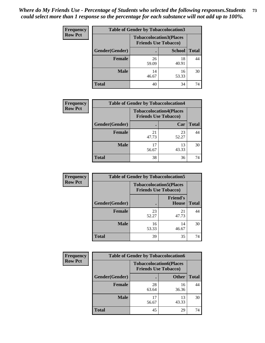| <b>Frequency</b> | <b>Table of Gender by Tobaccolocation3</b> |                                                               |               |              |  |
|------------------|--------------------------------------------|---------------------------------------------------------------|---------------|--------------|--|
| <b>Row Pct</b>   |                                            | <b>Tobaccolocation3(Places</b><br><b>Friends Use Tobacco)</b> |               |              |  |
|                  | Gender(Gender)                             |                                                               | <b>School</b> | <b>Total</b> |  |
|                  | Female                                     | 26<br>59.09                                                   | 18<br>40.91   | 44           |  |
|                  | <b>Male</b>                                | 14<br>46.67                                                   | 16<br>53.33   | 30           |  |
|                  | <b>Total</b>                               | 40                                                            | 34            | 74           |  |

| <b>Frequency</b> | <b>Table of Gender by Tobaccolocation4</b> |                                                               |             |              |
|------------------|--------------------------------------------|---------------------------------------------------------------|-------------|--------------|
| <b>Row Pct</b>   |                                            | <b>Tobaccolocation4(Places</b><br><b>Friends Use Tobacco)</b> |             |              |
|                  | Gender(Gender)                             |                                                               | Car         | <b>Total</b> |
|                  | Female                                     | 21<br>47.73                                                   | 23<br>52.27 | 44           |
|                  | <b>Male</b>                                | 56.67                                                         | 13<br>43.33 | 30           |
|                  | <b>Total</b>                               | 38                                                            | 36          | 74           |

| <b>Frequency</b> | <b>Table of Gender by Tobaccolocation5</b> |                                                               |                                 |              |
|------------------|--------------------------------------------|---------------------------------------------------------------|---------------------------------|--------------|
| <b>Row Pct</b>   |                                            | <b>Tobaccolocation5(Places</b><br><b>Friends Use Tobacco)</b> |                                 |              |
|                  | Gender(Gender)                             |                                                               | <b>Friend's</b><br><b>House</b> | <b>Total</b> |
|                  | Female                                     | 23<br>52.27                                                   | 21<br>47.73                     | 44           |
|                  | <b>Male</b>                                | 16<br>53.33                                                   | 14<br>46.67                     | 30           |
|                  | <b>Total</b>                               | 39                                                            | 35                              | 74           |

| <b>Frequency</b> | <b>Table of Gender by Tobaccolocation6</b> |                                                               |              |              |
|------------------|--------------------------------------------|---------------------------------------------------------------|--------------|--------------|
| <b>Row Pct</b>   |                                            | <b>Tobaccolocation6(Places</b><br><b>Friends Use Tobacco)</b> |              |              |
|                  | Gender(Gender)                             |                                                               | <b>Other</b> | <b>Total</b> |
|                  | Female                                     | 28<br>63.64                                                   | 16<br>36.36  | 44           |
|                  | <b>Male</b>                                | 17<br>56.67                                                   | 13<br>43.33  | 30           |
|                  | <b>Total</b>                               | 45                                                            | 29           | 74           |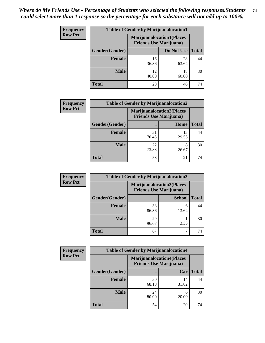| <b>Frequency</b> | <b>Table of Gender by Marijuanalocation1</b> |                                                                    |             |              |  |
|------------------|----------------------------------------------|--------------------------------------------------------------------|-------------|--------------|--|
| <b>Row Pct</b>   |                                              | <b>Marijuanalocation1(Places</b><br><b>Friends Use Marijuana</b> ) |             |              |  |
|                  | Gender(Gender)                               |                                                                    | Do Not Use  | <b>Total</b> |  |
|                  | <b>Female</b>                                | 16<br>36.36                                                        | 28<br>63.64 | 44           |  |
|                  | <b>Male</b>                                  | 12<br>40.00                                                        | 18<br>60.00 | 30           |  |
|                  | Total                                        | 28                                                                 | 46          | 74           |  |

| <b>Frequency</b> |                | <b>Table of Gender by Marijuanalocation2</b>                       |             |              |
|------------------|----------------|--------------------------------------------------------------------|-------------|--------------|
| <b>Row Pct</b>   |                | <b>Marijuanalocation2(Places</b><br><b>Friends Use Marijuana</b> ) |             |              |
|                  | Gender(Gender) |                                                                    | Home        | <b>Total</b> |
|                  | <b>Female</b>  | 31<br>70.45                                                        | 13<br>29.55 | 44           |
|                  | <b>Male</b>    | 22<br>73.33                                                        | 26.67       | 30           |
|                  | <b>Total</b>   | 53                                                                 | 21          | 74           |

| Frequency      | <b>Table of Gender by Marijuanalocation3</b> |                                                                    |               |              |
|----------------|----------------------------------------------|--------------------------------------------------------------------|---------------|--------------|
| <b>Row Pct</b> |                                              | <b>Marijuanalocation3(Places</b><br><b>Friends Use Marijuana</b> ) |               |              |
|                | Gender(Gender)                               |                                                                    | <b>School</b> | <b>Total</b> |
|                | Female                                       | 38<br>86.36                                                        | 6<br>13.64    | 44           |
|                | <b>Male</b>                                  | 29<br>96.67                                                        | 3.33          | 30           |
|                | <b>Total</b>                                 | 67                                                                 |               | 74           |

| <b>Frequency</b> | <b>Table of Gender by Marijuanalocation4</b> |             |                                                                    |              |  |
|------------------|----------------------------------------------|-------------|--------------------------------------------------------------------|--------------|--|
| <b>Row Pct</b>   |                                              |             | <b>Marijuanalocation4(Places</b><br><b>Friends Use Marijuana</b> ) |              |  |
|                  | Gender(Gender)                               |             | Car                                                                | <b>Total</b> |  |
|                  | <b>Female</b>                                | 30<br>68.18 | 14<br>31.82                                                        | 44           |  |
|                  | <b>Male</b>                                  | 24<br>80.00 | 20.00                                                              | 30           |  |
|                  | <b>Total</b>                                 | 54          | 20                                                                 | 74           |  |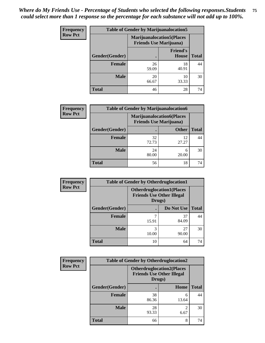| <b>Frequency</b> | <b>Table of Gender by Marijuanalocation5</b> |                                                                     |                          |              |
|------------------|----------------------------------------------|---------------------------------------------------------------------|--------------------------|--------------|
| <b>Row Pct</b>   |                                              | <b>Marijuanalocation5</b> (Places<br><b>Friends Use Marijuana</b> ) |                          |              |
|                  | Gender(Gender)                               |                                                                     | <b>Friend's</b><br>House | <b>Total</b> |
|                  | <b>Female</b>                                | 26<br>59.09                                                         | 18<br>40.91              | 44           |
|                  | <b>Male</b>                                  | 20<br>66.67                                                         | 10<br>33.33              | 30           |
|                  | <b>Total</b>                                 | 46                                                                  | 28                       | 74           |

| <b>Frequency</b> | <b>Table of Gender by Marijuanalocation6</b> |                                                                    |              |              |
|------------------|----------------------------------------------|--------------------------------------------------------------------|--------------|--------------|
| <b>Row Pct</b>   |                                              | <b>Marijuanalocation6(Places</b><br><b>Friends Use Marijuana</b> ) |              |              |
|                  | Gender(Gender)                               |                                                                    | <b>Other</b> | <b>Total</b> |
|                  | <b>Female</b>                                | 32<br>72.73                                                        | 12<br>27.27  | 44           |
|                  | <b>Male</b>                                  | 24<br>80.00                                                        | 6<br>20.00   | 30           |
|                  | <b>Total</b>                                 | 56                                                                 | 18           |              |

| Frequency      | <b>Table of Gender by Otherdruglocation1</b> |                                                                                |             |              |
|----------------|----------------------------------------------|--------------------------------------------------------------------------------|-------------|--------------|
| <b>Row Pct</b> |                                              | <b>Otherdruglocation1(Places</b><br><b>Friends Use Other Illegal</b><br>Drugs) |             |              |
|                | Gender(Gender)                               |                                                                                | Do Not Use  | <b>Total</b> |
|                | <b>Female</b>                                | 15.91                                                                          | 37<br>84.09 | 44           |
|                | <b>Male</b>                                  | 3<br>10.00                                                                     | 27<br>90.00 | 30           |
|                | <b>Total</b>                                 | 10                                                                             | 64          | 74           |

| <b>Frequency</b> | <b>Table of Gender by Otherdruglocation2</b>                                   |             |            |              |
|------------------|--------------------------------------------------------------------------------|-------------|------------|--------------|
| <b>Row Pct</b>   | <b>Otherdruglocation2(Places</b><br><b>Friends Use Other Illegal</b><br>Drugs) |             |            |              |
|                  | Gender(Gender)                                                                 |             | Home       | <b>Total</b> |
|                  | Female                                                                         | 38<br>86.36 | 6<br>13.64 | 44           |
|                  | <b>Male</b>                                                                    | 28<br>93.33 | 6.67       | 30           |
|                  | <b>Total</b>                                                                   | 66          | 8          | 74           |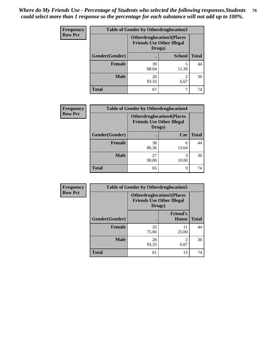| Frequency      | <b>Table of Gender by Otherdruglocation3</b> |                                                                                |               |              |
|----------------|----------------------------------------------|--------------------------------------------------------------------------------|---------------|--------------|
| <b>Row Pct</b> |                                              | <b>Otherdruglocation3(Places</b><br><b>Friends Use Other Illegal</b><br>Drugs) |               |              |
|                | Gender(Gender)                               |                                                                                | <b>School</b> | <b>Total</b> |
|                | Female                                       | 39<br>88.64                                                                    | 11.36         | 44           |
|                | <b>Male</b>                                  | 28<br>93.33                                                                    | ∍<br>6.67     | 30           |
|                | <b>Total</b>                                 | 67                                                                             |               | 74           |

| Frequency      | <b>Table of Gender by Otherdruglocation4</b> |                                                                                |            |              |
|----------------|----------------------------------------------|--------------------------------------------------------------------------------|------------|--------------|
| <b>Row Pct</b> |                                              | <b>Otherdruglocation4(Places</b><br><b>Friends Use Other Illegal</b><br>Drugs) |            |              |
|                | Gender(Gender)                               |                                                                                | Car        | <b>Total</b> |
|                | <b>Female</b>                                | 38<br>86.36                                                                    | 6<br>13.64 | 44           |
|                | <b>Male</b>                                  | 27<br>90.00                                                                    | 3<br>10.00 | 30           |
|                | <b>Total</b>                                 | 65                                                                             | 9          | 74           |

| <b>Frequency</b> | <b>Table of Gender by Otherdruglocation5</b> |                                            |                                  |              |
|------------------|----------------------------------------------|--------------------------------------------|----------------------------------|--------------|
| <b>Row Pct</b>   |                                              | <b>Otherdruglocation5(Places</b><br>Drugs) | <b>Friends Use Other Illegal</b> |              |
|                  | Gender(Gender)                               |                                            | <b>Friend's</b><br><b>House</b>  | <b>Total</b> |
|                  | <b>Female</b>                                | 33<br>75.00                                | 11<br>25.00                      | 44           |
|                  | <b>Male</b>                                  | 28<br>93.33                                | ◠<br>6.67                        | 30           |
|                  | <b>Total</b>                                 | 61                                         | 13                               | 74           |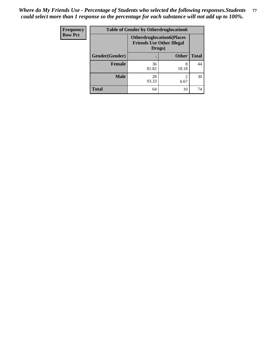| <b>Frequency</b> | <b>Table of Gender by Otherdruglocation6</b> |                                            |                                  |              |
|------------------|----------------------------------------------|--------------------------------------------|----------------------------------|--------------|
| <b>Row Pct</b>   |                                              | <b>Friends Use Other Illegal</b><br>Drugs) | <b>Otherdruglocation6(Places</b> |              |
|                  | Gender(Gender)                               |                                            | <b>Other</b>                     | <b>Total</b> |
|                  | Female                                       | 36<br>81.82                                | 8<br>18.18                       | 44           |
|                  | <b>Male</b>                                  | 28<br>93.33                                | 6.67                             | 30           |
|                  | <b>Total</b>                                 | 64                                         | 10                               | 74           |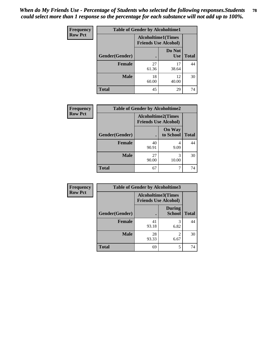| Frequency      | <b>Table of Gender by Alcoholtime1</b> |                                                          |                      |              |
|----------------|----------------------------------------|----------------------------------------------------------|----------------------|--------------|
| <b>Row Pct</b> |                                        | <b>Alcoholtime1(Times</b><br><b>Friends Use Alcohol)</b> |                      |              |
|                | Gender(Gender)                         | $\bullet$                                                | Do Not<br><b>Use</b> | <b>Total</b> |
|                | <b>Female</b>                          | 27<br>61.36                                              | 17<br>38.64          | 44           |
|                | <b>Male</b>                            | 18<br>60.00                                              | 12<br>40.00          | 30           |
|                | <b>Total</b>                           | 45                                                       | 29                   | 74           |

| <b>Frequency</b> | <b>Table of Gender by Alcoholtime2</b> |                                                          |                            |              |
|------------------|----------------------------------------|----------------------------------------------------------|----------------------------|--------------|
| <b>Row Pct</b>   |                                        | <b>Alcoholtime2(Times</b><br><b>Friends Use Alcohol)</b> |                            |              |
|                  | Gender(Gender)                         |                                                          | <b>On Way</b><br>to School | <b>Total</b> |
|                  | <b>Female</b>                          | 40<br>90.91                                              | 4<br>9.09                  | 44           |
|                  | <b>Male</b>                            | 27<br>90.00                                              | 3<br>10.00                 | 30           |
|                  | Total                                  | 67                                                       |                            | 74           |

| <b>Frequency</b> | <b>Table of Gender by Alcoholtime3</b> |                                                          |                                |              |
|------------------|----------------------------------------|----------------------------------------------------------|--------------------------------|--------------|
| <b>Row Pct</b>   |                                        | <b>Alcoholtime3(Times</b><br><b>Friends Use Alcohol)</b> |                                |              |
|                  | Gender(Gender)                         |                                                          | <b>During</b><br><b>School</b> | <b>Total</b> |
|                  | Female                                 | 41<br>93.18                                              | 3<br>6.82                      | 44           |
|                  | <b>Male</b>                            | 28<br>93.33                                              | $\mathfrak{D}$<br>6.67         | 30           |
|                  | <b>Total</b>                           | 69                                                       | 5                              | 74           |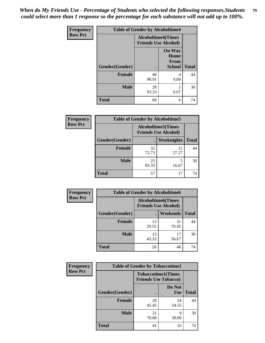*When do My Friends Use - Percentage of Students who selected the following responses.Students could select more than 1 response so the percentage for each substance will not add up to 100%.* **79**

| <b>Frequency</b> | <b>Table of Gender by Alcoholtime4</b> |                                                          |                                                       |              |
|------------------|----------------------------------------|----------------------------------------------------------|-------------------------------------------------------|--------------|
| <b>Row Pct</b>   |                                        | <b>Alcoholtime4(Times</b><br><b>Friends Use Alcohol)</b> |                                                       |              |
|                  | Gender(Gender)                         | $\bullet$                                                | <b>On Way</b><br>Home<br><b>From</b><br><b>School</b> | <b>Total</b> |
|                  | <b>Female</b>                          | 40<br>90.91                                              | 4<br>9.09                                             | 44           |
|                  | <b>Male</b>                            | 28<br>93.33                                              | 2<br>6.67                                             | 30           |
|                  | <b>Total</b>                           | 68                                                       | 6                                                     | 74           |

| <b>Frequency</b> | <b>Table of Gender by Alcoholtime5</b> |                                                   |                   |              |
|------------------|----------------------------------------|---------------------------------------------------|-------------------|--------------|
| <b>Row Pct</b>   |                                        | Alcoholtime5(Times<br><b>Friends Use Alcohol)</b> |                   |              |
|                  | Gender(Gender)                         |                                                   | <b>Weeknights</b> | <b>Total</b> |
|                  | <b>Female</b>                          | 32<br>72.73                                       | 12<br>27.27       | 44           |
|                  | <b>Male</b>                            | 25<br>83.33                                       | 5<br>16.67        | 30           |
|                  | <b>Total</b>                           | 57                                                | 17                | 74           |

| <b>Frequency</b> |                | <b>Table of Gender by Alcoholtime6</b>                    |             |              |
|------------------|----------------|-----------------------------------------------------------|-------------|--------------|
| <b>Row Pct</b>   |                | <b>Alcoholtime6</b> (Times<br><b>Friends Use Alcohol)</b> |             |              |
|                  | Gender(Gender) |                                                           | Weekends    | <b>Total</b> |
|                  | Female         | 13<br>29.55                                               | 31<br>70.45 | 44           |
|                  | <b>Male</b>    | 13<br>43.33                                               | 17<br>56.67 | 30           |
|                  | <b>Total</b>   | 26                                                        | 48          | 74           |

| Frequency      | <b>Table of Gender by Tobaccotime1</b> |                                                          |                      |              |
|----------------|----------------------------------------|----------------------------------------------------------|----------------------|--------------|
| <b>Row Pct</b> |                                        | <b>Tobaccotime1(Times</b><br><b>Friends Use Tobacco)</b> |                      |              |
|                | Gender(Gender)                         |                                                          | Do Not<br><b>Use</b> | <b>Total</b> |
|                | Female                                 | 20<br>45.45                                              | 24<br>54.55          | 44           |
|                | <b>Male</b>                            | 21<br>70.00                                              | 9<br>30.00           | 30           |
|                | <b>Total</b>                           | 41                                                       | 33                   | 74           |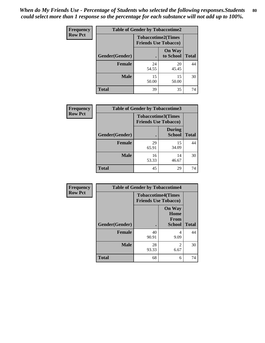| <b>Frequency</b> |                | <b>Table of Gender by Tobaccotime2</b> |                                                          |              |
|------------------|----------------|----------------------------------------|----------------------------------------------------------|--------------|
| <b>Row Pct</b>   |                |                                        | <b>Tobaccotime2(Times</b><br><b>Friends Use Tobacco)</b> |              |
|                  | Gender(Gender) |                                        | <b>On Way</b><br>to School                               | <b>Total</b> |
|                  | <b>Female</b>  | 24<br>54.55                            | 20<br>45.45                                              | 44           |
|                  | <b>Male</b>    | 15<br>50.00                            | 15<br>50.00                                              | 30           |
|                  | <b>Total</b>   | 39                                     | 35                                                       | 74           |

| Frequency      | <b>Table of Gender by Tobaccotime3</b> |                                                          |                                |              |
|----------------|----------------------------------------|----------------------------------------------------------|--------------------------------|--------------|
| <b>Row Pct</b> |                                        | <b>Tobaccotime3(Times</b><br><b>Friends Use Tobacco)</b> |                                |              |
|                | Gender(Gender)                         |                                                          | <b>During</b><br><b>School</b> | <b>Total</b> |
|                | <b>Female</b>                          | 29<br>65.91                                              | 15<br>34.09                    | 44           |
|                | <b>Male</b>                            | 16<br>53.33                                              | 14<br>46.67                    | 30           |
|                | <b>Total</b>                           | 45                                                       | 29                             | 74           |

| Frequency      | <b>Table of Gender by Tobaccotime4</b> |                                                          |                                         |              |
|----------------|----------------------------------------|----------------------------------------------------------|-----------------------------------------|--------------|
| <b>Row Pct</b> |                                        | <b>Tobaccotime4(Times</b><br><b>Friends Use Tobacco)</b> |                                         |              |
|                | Gender(Gender)                         |                                                          | <b>On Way</b><br>Home<br>From<br>School | <b>Total</b> |
|                | <b>Female</b>                          | 40<br>90.91                                              | 4<br>9.09                               | 44           |
|                | <b>Male</b>                            | 28<br>93.33                                              | $\mathfrak{D}$<br>6.67                  | 30           |
|                | <b>Total</b>                           | 68                                                       | 6                                       | 74           |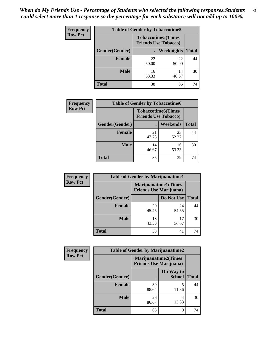| <b>Frequency</b> | <b>Table of Gender by Tobaccotime5</b> |                                                           |                   |              |
|------------------|----------------------------------------|-----------------------------------------------------------|-------------------|--------------|
| <b>Row Pct</b>   |                                        | <b>Tobaccotime5</b> (Times<br><b>Friends Use Tobacco)</b> |                   |              |
|                  | Gender(Gender)                         |                                                           | <b>Weeknights</b> | <b>Total</b> |
|                  | <b>Female</b>                          | 22<br>50.00                                               | 22<br>50.00       | 44           |
|                  | <b>Male</b>                            | 16<br>53.33                                               | 14<br>46.67       | 30           |
|                  | Total                                  | 38                                                        | 36                | 74           |

| <b>Frequency</b> | <b>Table of Gender by Tobaccotime6</b> |                                                          |                 |              |
|------------------|----------------------------------------|----------------------------------------------------------|-----------------|--------------|
| <b>Row Pct</b>   |                                        | <b>Tobaccotime6(Times</b><br><b>Friends Use Tobacco)</b> |                 |              |
|                  | Gender(Gender)                         |                                                          | <b>Weekends</b> | <b>Total</b> |
|                  | Female                                 | 21<br>47.73                                              | 23<br>52.27     | 44           |
|                  | <b>Male</b>                            | 14<br>46.67                                              | 16<br>53.33     | 30           |
|                  | <b>Total</b>                           | 35                                                       | 39              | 74           |

| <b>Frequency</b> | <b>Table of Gender by Marijuanatime1</b> |                                |                             |              |
|------------------|------------------------------------------|--------------------------------|-----------------------------|--------------|
| <b>Row Pct</b>   |                                          | <b>Friends Use Marijuana</b> ) | <b>Marijuanatime1(Times</b> |              |
|                  | Gender(Gender)                           |                                | Do Not Use                  | <b>Total</b> |
|                  | <b>Female</b>                            | 20<br>45.45                    | 24<br>54.55                 | 44           |
|                  | <b>Male</b>                              | 13<br>43.33                    | 17<br>56.67                 | 30           |
|                  | <b>Total</b>                             | 33                             | 41                          | 74           |

| <b>Frequency</b> | <b>Table of Gender by Marijuanatime2</b> |                                                               |                            |              |
|------------------|------------------------------------------|---------------------------------------------------------------|----------------------------|--------------|
| <b>Row Pct</b>   |                                          | <b>Marijuanatime2(Times</b><br><b>Friends Use Marijuana</b> ) |                            |              |
|                  | Gender(Gender)                           |                                                               | On Way to<br><b>School</b> | <b>Total</b> |
|                  | <b>Female</b>                            | 39<br>88.64                                                   | 5<br>11.36                 | 44           |
|                  | <b>Male</b>                              | 26<br>86.67                                                   | 4<br>13.33                 | 30           |
|                  | <b>Total</b>                             | 65                                                            | 9                          | 74           |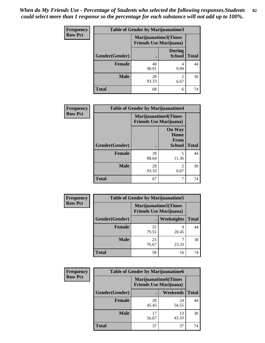| <b>Frequency</b> | <b>Table of Gender by Marijuanatime3</b> |                                |                                |              |
|------------------|------------------------------------------|--------------------------------|--------------------------------|--------------|
| <b>Row Pct</b>   |                                          | <b>Friends Use Marijuana</b> ) | Marijuanatime3(Times           |              |
|                  | <b>Gender</b> (Gender)                   |                                | <b>During</b><br><b>School</b> | <b>Total</b> |
|                  | <b>Female</b>                            | 40<br>90.91                    | 9.09                           | 44           |
|                  | <b>Male</b>                              | 28<br>93.33                    | $\mathfrak{D}$<br>6.67         | 30           |
|                  | <b>Total</b>                             | 68                             | 6                              | 74           |

| Frequency      | <b>Table of Gender by Marijuanatime4</b> |                                |                                                |              |
|----------------|------------------------------------------|--------------------------------|------------------------------------------------|--------------|
| <b>Row Pct</b> |                                          | <b>Friends Use Marijuana</b> ) | <b>Marijuanatime4</b> (Times                   |              |
|                | Gender(Gender)                           |                                | <b>On Way</b><br>Home<br>From<br><b>School</b> | <b>Total</b> |
|                | <b>Female</b>                            | 39<br>88.64                    | 5<br>11.36                                     | 44           |
|                | <b>Male</b>                              | 28<br>93.33                    | $\mathfrak{D}$<br>6.67                         | 30           |
|                | <b>Total</b>                             | 67                             | 7                                              | 74           |

| Frequency      | <b>Table of Gender by Marijuanatime5</b> |             |                                                                |              |
|----------------|------------------------------------------|-------------|----------------------------------------------------------------|--------------|
| <b>Row Pct</b> |                                          |             | <b>Marijuanatime5</b> (Times<br><b>Friends Use Marijuana</b> ) |              |
|                | Gender(Gender)                           | ٠           | Weeknights                                                     | <b>Total</b> |
|                | <b>Female</b>                            | 35<br>79.55 | q<br>20.45                                                     | 44           |
|                | <b>Male</b>                              | 23<br>76.67 | 23.33                                                          | 30           |
|                | <b>Total</b>                             | 58          | 16                                                             | 74           |

| Frequency      | <b>Table of Gender by Marijuanatime6</b> |                                                               |                 |              |
|----------------|------------------------------------------|---------------------------------------------------------------|-----------------|--------------|
| <b>Row Pct</b> |                                          | <b>Marijuanatime6(Times</b><br><b>Friends Use Marijuana</b> ) |                 |              |
|                | Gender(Gender)                           |                                                               | <b>Weekends</b> | <b>Total</b> |
|                | <b>Female</b>                            | 20<br>45.45                                                   | 24<br>54.55     | 44           |
|                | <b>Male</b>                              | 17<br>56.67                                                   | 13<br>43.33     | 30           |
|                | <b>Total</b>                             | 37                                                            | 37              | 74           |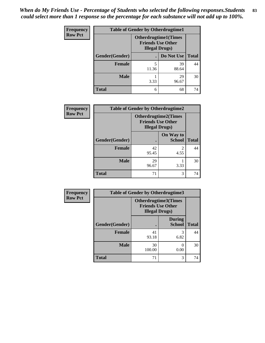| <b>Frequency</b> | <b>Table of Gender by Otherdrugtime1</b> |                                                                                    |             |              |
|------------------|------------------------------------------|------------------------------------------------------------------------------------|-------------|--------------|
| <b>Row Pct</b>   |                                          | <b>Otherdrugtime1</b> (Times<br><b>Friends Use Other</b><br><b>Illegal Drugs</b> ) |             |              |
|                  | Gender(Gender)                           |                                                                                    | Do Not Use  | <b>Total</b> |
|                  | <b>Female</b>                            | 5<br>11.36                                                                         | 39<br>88.64 | 44           |
|                  | <b>Male</b>                              | 3.33                                                                               | 29<br>96.67 | 30           |
|                  | <b>Total</b>                             | 6                                                                                  | 68          | 74           |

| Frequency      |                | <b>Table of Gender by Otherdrugtime2</b>                                          |                            |              |
|----------------|----------------|-----------------------------------------------------------------------------------|----------------------------|--------------|
| <b>Row Pct</b> |                | <b>Otherdrugtime2(Times</b><br><b>Friends Use Other</b><br><b>Illegal Drugs</b> ) |                            |              |
|                | Gender(Gender) |                                                                                   | On Way to<br><b>School</b> | <b>Total</b> |
|                | <b>Female</b>  | 42<br>95.45                                                                       | $\mathfrak{D}$<br>4.55     | 44           |
|                | <b>Male</b>    | 29<br>96.67                                                                       | 3.33                       | 30           |
|                | <b>Total</b>   | 71                                                                                | 3                          | 74           |

| Frequency      | <b>Table of Gender by Otherdrugtime3</b> |                                                                            |                                |              |
|----------------|------------------------------------------|----------------------------------------------------------------------------|--------------------------------|--------------|
| <b>Row Pct</b> |                                          | Otherdrugtime3(Times<br><b>Friends Use Other</b><br><b>Illegal Drugs</b> ) |                                |              |
|                | Gender(Gender)                           |                                                                            | <b>During</b><br><b>School</b> | <b>Total</b> |
|                | <b>Female</b>                            | 41<br>93.18                                                                | 3<br>6.82                      | 44           |
|                | <b>Male</b>                              | 30<br>100.00                                                               | 0.00                           | 30           |
|                | <b>Total</b>                             | 71                                                                         | 3                              | 74           |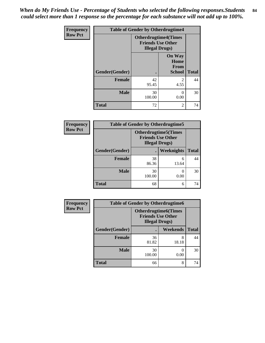*When do My Friends Use - Percentage of Students who selected the following responses.Students could select more than 1 response so the percentage for each substance will not add up to 100%.* **84**

| <b>Frequency</b> |                | <b>Table of Gender by Otherdrugtime4</b>                                          |                                                |              |
|------------------|----------------|-----------------------------------------------------------------------------------|------------------------------------------------|--------------|
| <b>Row Pct</b>   |                | <b>Otherdrugtime4(Times</b><br><b>Friends Use Other</b><br><b>Illegal Drugs</b> ) |                                                |              |
|                  | Gender(Gender) |                                                                                   | <b>On Way</b><br>Home<br>From<br><b>School</b> | <b>Total</b> |
|                  | Female         | 42<br>95.45                                                                       | $\mathfrak{D}$<br>4.55                         | 44           |
|                  | <b>Male</b>    | 30<br>100.00                                                                      | 0.00                                           | 30           |
|                  | <b>Total</b>   | 72                                                                                | $\mathfrak{D}$                                 | 74           |

| Frequency      | <b>Table of Gender by Otherdrugtime5</b> |                                                                                    |            |              |  |
|----------------|------------------------------------------|------------------------------------------------------------------------------------|------------|--------------|--|
| <b>Row Pct</b> |                                          | <b>Otherdrugtime5</b> (Times<br><b>Friends Use Other</b><br><b>Illegal Drugs</b> ) |            |              |  |
|                | Gender(Gender)                           |                                                                                    | Weeknights | <b>Total</b> |  |
|                | Female                                   | 38<br>86.36                                                                        | 6<br>13.64 | 44           |  |
|                | <b>Male</b>                              | 30<br>100.00                                                                       | 0.00       | 30           |  |
|                | <b>Total</b>                             | 68                                                                                 | 6          | 74           |  |

| <b>Frequency</b> | <b>Table of Gender by Otherdrugtime6</b> |                                                                                   |            |              |  |
|------------------|------------------------------------------|-----------------------------------------------------------------------------------|------------|--------------|--|
| <b>Row Pct</b>   |                                          | <b>Otherdrugtime6(Times</b><br><b>Friends Use Other</b><br><b>Illegal Drugs</b> ) |            |              |  |
|                  | Gender(Gender)                           |                                                                                   | Weekends   | <b>Total</b> |  |
|                  | <b>Female</b>                            | 36<br>81.82                                                                       | 8<br>18.18 | 44           |  |
|                  | <b>Male</b>                              | 30<br>100.00                                                                      | 0.00       | 30           |  |
|                  | <b>Total</b>                             | 66                                                                                | 8          | 74           |  |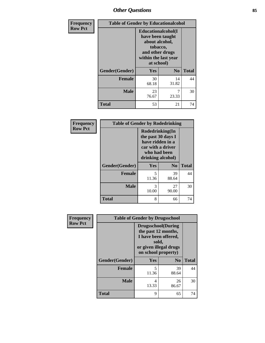## *Other Questions* **85**

| <b>Frequency</b> | <b>Table of Gender by Educationalcohol</b> |                                                                                                                               |                |              |
|------------------|--------------------------------------------|-------------------------------------------------------------------------------------------------------------------------------|----------------|--------------|
| <b>Row Pct</b>   |                                            | Educationalcohol(I<br>have been taught<br>about alcohol,<br>tobacco,<br>and other drugs<br>within the last year<br>at school) |                |              |
|                  | Gender(Gender)                             | <b>Yes</b>                                                                                                                    | N <sub>0</sub> | <b>Total</b> |
|                  | <b>Female</b>                              | 30<br>68.18                                                                                                                   | 14<br>31.82    | 44           |
|                  | <b>Male</b>                                | 23<br>76.67                                                                                                                   | 7<br>23.33     | 30           |
|                  | <b>Total</b>                               | 53                                                                                                                            | 21             | 74           |

| Frequency      | <b>Table of Gender by Rodedrinking</b> |                                                                                                                     |                |              |
|----------------|----------------------------------------|---------------------------------------------------------------------------------------------------------------------|----------------|--------------|
| <b>Row Pct</b> |                                        | Rodedrinking(In<br>the past 30 days I<br>have ridden in a<br>car with a driver<br>who had been<br>drinking alcohol) |                |              |
|                | Gender(Gender)                         | Yes                                                                                                                 | N <sub>0</sub> | <b>Total</b> |
|                | <b>Female</b>                          | 5<br>11.36                                                                                                          | 39<br>88.64    | 44           |
|                | <b>Male</b>                            | 3<br>10.00                                                                                                          | 27<br>90.00    | 30           |
|                | <b>Total</b>                           | 8                                                                                                                   | 66             | 74           |

| <b>Frequency</b> |                | <b>Table of Gender by Drugsschool</b>                                                                                               |                |              |
|------------------|----------------|-------------------------------------------------------------------------------------------------------------------------------------|----------------|--------------|
| <b>Row Pct</b>   |                | <b>Drugsschool</b> (During<br>the past 12 months,<br>I have been offered,<br>sold,<br>or given illegal drugs<br>on school property) |                |              |
|                  | Gender(Gender) | <b>Yes</b>                                                                                                                          | N <sub>0</sub> | <b>Total</b> |
|                  | <b>Female</b>  | 5<br>11.36                                                                                                                          | 39<br>88.64    | 44           |
|                  | <b>Male</b>    | 4<br>13.33                                                                                                                          | 26<br>86.67    | 30           |
|                  | <b>Total</b>   | 9                                                                                                                                   | 65             | 74           |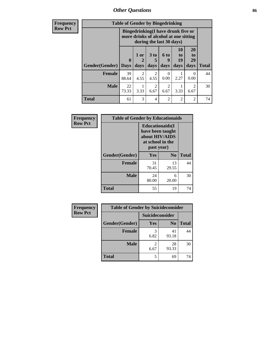*Other Questions* **86**

**Frequency Row Pct**

| <b>Table of Gender by Bingedrinking</b> |             |                                                                                                         |           |                      |                            |                        |              |
|-----------------------------------------|-------------|---------------------------------------------------------------------------------------------------------|-----------|----------------------|----------------------------|------------------------|--------------|
|                                         |             | Bingedrinking(I have drunk five or<br>more drinks of alcohol at one sitting<br>during the last 30 days) |           |                      |                            |                        |              |
|                                         | $\bf{0}$    | 1 or<br>2                                                                                               | $3$ to    | 6 to<br>9            | 10<br>t <sub>0</sub><br>19 | 20<br>to<br>29         |              |
| <b>Gender</b> (Gender)                  | <b>Days</b> | days                                                                                                    | days      | days                 | days                       | days                   | <b>Total</b> |
| <b>Female</b>                           | 39<br>88.64 | $\mathcal{L}$<br>4.55                                                                                   | 2<br>4.55 | $\mathbf{0}$<br>0.00 | 2.27                       | $\theta$<br>0.00       | 44           |
| <b>Male</b>                             | 22<br>73.33 | 3.33                                                                                                    | 2<br>6.67 | 2<br>6.67            | 3.33                       | $\overline{2}$<br>6.67 | 30           |

| Frequency      | <b>Table of Gender by Educationaids</b> |                                                                                                 |                |              |  |
|----------------|-----------------------------------------|-------------------------------------------------------------------------------------------------|----------------|--------------|--|
| <b>Row Pct</b> |                                         | <b>Educationaids</b> (I<br>have been taught<br>about HIV/AIDS<br>at school in the<br>past year) |                |              |  |
|                | Gender(Gender)                          | Yes                                                                                             | N <sub>0</sub> | <b>Total</b> |  |
|                | <b>Female</b>                           | 31<br>70.45                                                                                     | 13<br>29.55    | 44           |  |
|                | <b>Male</b>                             | 24<br>80.00                                                                                     | 6<br>20.00     | 30           |  |
|                | <b>Total</b>                            | 55                                                                                              | 19             | 74           |  |

| <b>Frequency</b> | <b>Table of Gender by Suicideconsider</b> |                 |                |       |
|------------------|-------------------------------------------|-----------------|----------------|-------|
| <b>Row Pct</b>   |                                           | Suicideconsider |                |       |
|                  | Gender(Gender)                            | Yes             | N <sub>0</sub> | Total |
|                  | <b>Female</b>                             | 6.82            | 41<br>93.18    | 44    |
|                  | <b>Male</b>                               | 6.67            | 28<br>93.33    | 30    |
|                  | <b>Total</b>                              |                 | 69             | 74    |